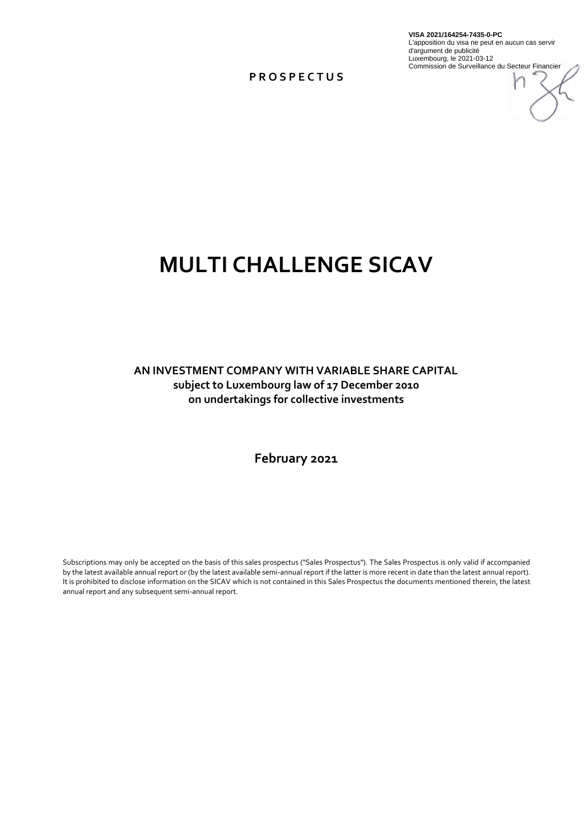**P R O S P E C T U S**

**VISA 2021/164254-7435-0-PC** L'apposition du visa ne peut en aucun cas servir d'argument de publicité Luxembourg, le 2021-03-12 Commission de Surveillance du Secteur Financier

# **MULTI CHALLENGE SICAV**

**AN INVESTMENT COMPANY WITH VARIABLE SHARE CAPITAL subject to Luxembourg law of 17 December 2010 on undertakings for collective investments**

**February 2021**

Subscriptions may only be accepted on the basis of this sales prospectus ("Sales Prospectus"). The Sales Prospectus is only valid if accompanied by the latest available annual report or (by the latest available semi-annual report if the latter is more recent in date than the latest annual report). It is prohibited to disclose information on the SICAV which is not contained in this Sales Prospectus the documents mentioned therein, the latest annual report and any subsequent semi-annual report.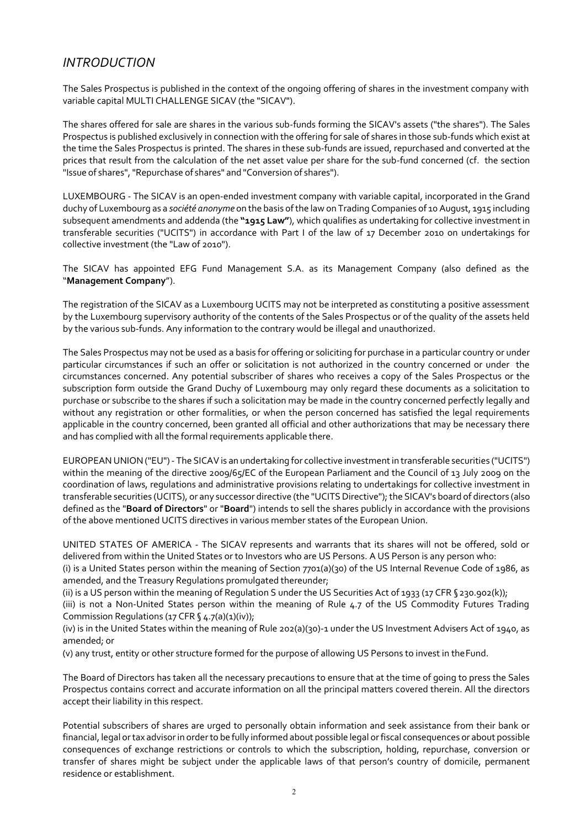### <span id="page-1-0"></span>*INTRODUCTION*

The Sales Prospectus is published in the context of the ongoing offering of shares in the investment company with variable capital MULTI CHALLENGE SICAV (the "SICAV").

The shares offered for sale are shares in the various sub-funds forming the SICAV's assets ("the shares"). The Sales Prospectus is published exclusively in connection with the offering for sale of shares in those sub-funds which exist at the time the Sales Prospectus is printed. The shares in these sub-funds are issued, repurchased and converted at the prices that result from the calculation of the net asset value per share for the sub-fund concerned (cf. the section "Issue of shares","Repurchase of shares" and "Conversion of shares").

LUXEMBOURG - The SICAV is an open-ended investment company with variable capital, incorporated in the Grand duchy of Luxembourg as a *société anonyme* on the basis of the law on Trading Companies of 10 August, 1915 including subsequent amendments and addenda (the **"1915 Law"**), which qualifies as undertaking for collective investment in transferable securities ("UCITS") in accordance with Part I of the law of 17 December 2010 on undertakings for collective investment (the "Law of 2010").

The SICAV has appointed EFG Fund Management S.A. as its Management Company (also defined as the "**Management Company**").

The registration of the SICAV as a Luxembourg UCITS may not be interpreted as constituting a positive assessment by the Luxembourg supervisory authority of the contents of the Sales Prospectus or of the quality of the assets held by the various sub-funds. Any information to the contrary would be illegal and unauthorized.

The Sales Prospectus may not be used as a basis for offering or soliciting for purchase in a particular country or under particular circumstances if such an offer or solicitation is not authorized in the country concerned or under the circumstances concerned. Any potential subscriber of shares who receives a copy of the Sales Prospectus or the subscription form outside the Grand Duchy of Luxembourg may only regard these documents as a solicitation to purchase or subscribe to the shares if such a solicitation may be made in the country concerned perfectly legally and without any registration or other formalities, or when the person concerned has satisfied the legal requirements applicable in the country concerned, been granted all official and other authorizations that may be necessary there and has complied with all the formal requirements applicable there.

EUROPEAN UNION ("EU") - The SICAV is an undertaking for collective investment in transferable securities ("UCITS") within the meaning of the directive 2009/65/EC of the European Parliament and the Council of 13 July 2009 on the coordination of laws, regulations and administrative provisions relating to undertakings for collective investment in transferable securities (UCITS), or any successor directive (the "UCITS Directive"); the SICAV's board of directors (also defined as the "**Board of Directors**" or "**Board**") intends to sell the shares publicly in accordance with the provisions of the above mentioned UCITS directives in various member states of the European Union.

UNITED STATES OF AMERICA - The SICAV represents and warrants that its shares will not be offered, sold or delivered from within the United States or to Investors who are US Persons. A US Person is any person who:

(i) is a United States person within the meaning of Section 7701(a)(30) of the US Internal Revenue Code of 1986, as amended, and the Treasury Regulations promulgated thereunder;

(ii) is a US person within the meaning of Regulation S under the US Securities Act of 1933 (17 CFR § 230.902(k));

(iii) is not a Non-United States person within the meaning of Rule 4.7 of the US Commodity Futures Trading Commission Regulations (17 CFR § 4.7(a)(1)(iv));

(iv) is in the United States within the meaning of Rule 202(a)(30)-1 under the US Investment Advisers Act of 1940, as amended; or

(v) any trust, entity or other structure formed for the purpose of allowing US Persons to invest in theFund.

The Board of Directors has taken all the necessary precautions to ensure that at the time of going to press the Sales Prospectus contains correct and accurate information on all the principal matters covered therein. All the directors accept their liability in this respect.

Potential subscribers of shares are urged to personally obtain information and seek assistance from their bank or financial, legal or tax advisor in order to be fully informed about possible legal or fiscal consequences or about possible consequences of exchange restrictions or controls to which the subscription, holding, repurchase, conversion or transfer of shares might be subject under the applicable laws of that person's country of domicile, permanent residence or establishment.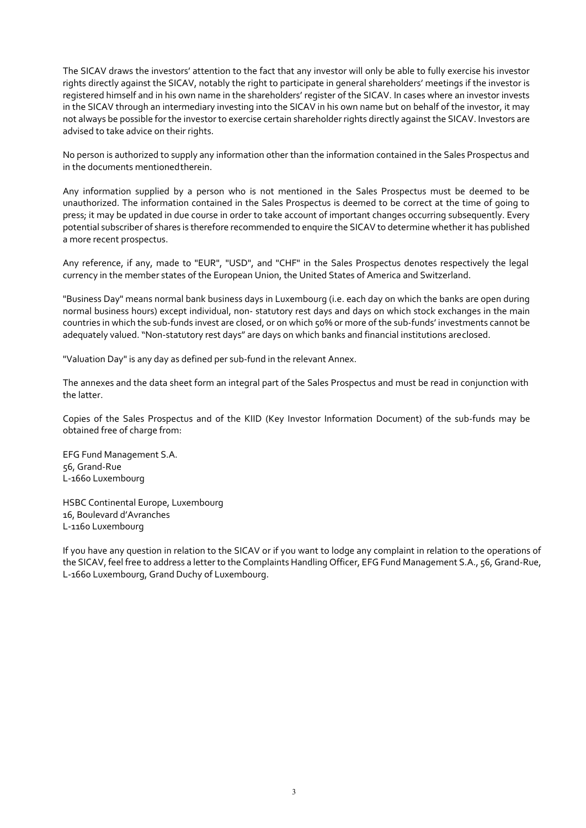The SICAV draws the investors' attention to the fact that any investor will only be able to fully exercise his investor rights directly against the SICAV, notably the right to participate in general shareholders' meetings if the investor is registered himself and in his own name in the shareholders' register of the SICAV. In cases where an investor invests in the SICAV through an intermediary investing into the SICAV in his own name but on behalf of the investor, it may not always be possible for the investor to exercise certain shareholder rights directly against the SICAV. Investors are advised to take advice on their rights.

No person is authorized to supply any information other than the information contained in the Sales Prospectus and in the documents mentionedtherein.

Any information supplied by a person who is not mentioned in the Sales Prospectus must be deemed to be unauthorized. The information contained in the Sales Prospectus is deemed to be correct at the time of going to press; it may be updated in due course in order to take account of important changes occurring subsequently. Every potential subscriber of shares is therefore recommended to enquire the SICAV to determine whether it has published a more recent prospectus.

Any reference, if any, made to "EUR", "USD", and "CHF" in the Sales Prospectus denotes respectively the legal currency in the member states of the European Union, the United States of America and Switzerland.

"Business Day" means normal bank business days in Luxembourg (i.e. each day on which the banks are open during normal business hours) except individual, non- statutory rest days and days on which stock exchanges in the main countries in which the sub-funds invest are closed, or on which 50% or more of the sub-funds' investments cannot be adequately valued. "Non-statutory rest days" are days on which banks and financial institutions areclosed.

"Valuation Day" is any day as defined per sub-fund in the relevant Annex.

The annexes and the data sheet form an integral part of the Sales Prospectus and must be read in conjunction with the latter.

Copies of the Sales Prospectus and of the KIID (Key Investor Information Document) of the sub-funds may be obtained free of charge from:

EFG Fund Management S.A. 56, Grand-Rue L-1660 Luxembourg

HSBC Continental Europe, Luxembourg 16, Boulevard d'Avranches L-1160 Luxembourg

If you have any question in relation to the SICAV or if you want to lodge any complaint in relation to the operations of the SICAV, feel free to address a letter to the Complaints Handling Officer, EFG Fund Management S.A., 56, Grand-Rue, L-1660 Luxembourg, Grand Duchy of Luxembourg.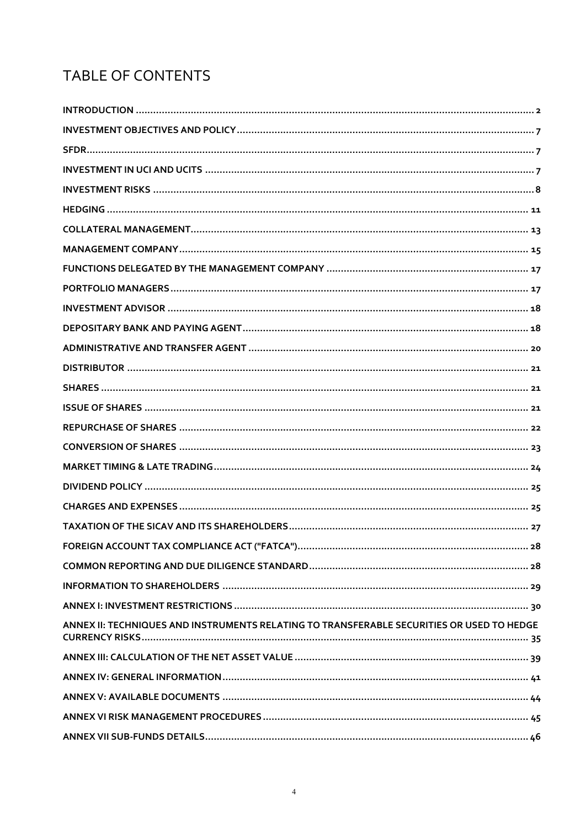# TABLE OF CONTENTS

| ANNEX II: TECHNIQUES AND INSTRUMENTS RELATING TO TRANSFERABLE SECURITIES OR USED TO HEDGE |
|-------------------------------------------------------------------------------------------|
|                                                                                           |
|                                                                                           |
|                                                                                           |
|                                                                                           |
|                                                                                           |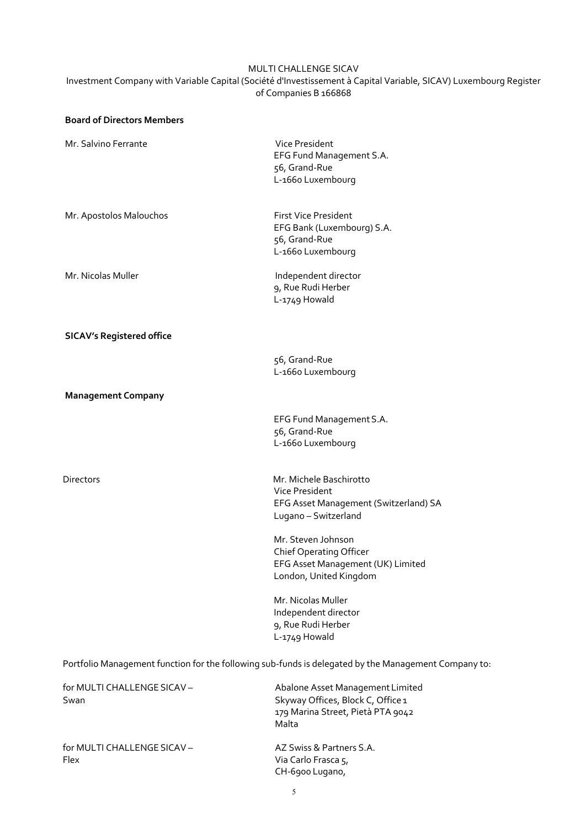#### MULTI CHALLENGE SICAV Investment Company with Variable Capital (Société d'Investissement à Capital Variable, SICAV) Luxembourg Register of Companies B 166868

| <b>Board of Directors Members</b>  |                                                                                                              |
|------------------------------------|--------------------------------------------------------------------------------------------------------------|
| Mr. Salvino Ferrante               | Vice President<br>EFG Fund Management S.A.<br>56, Grand-Rue<br>L-1660 Luxembourg                             |
| Mr. Apostolos Malouchos            | <b>First Vice President</b><br>EFG Bank (Luxembourg) S.A.<br>56, Grand-Rue<br>L-1660 Luxembourg              |
| Mr. Nicolas Muller                 | Independent director<br>9, Rue Rudi Herber<br>L-1749 Howald                                                  |
| <b>SICAV's Registered office</b>   |                                                                                                              |
|                                    | 56, Grand-Rue<br>L-1660 Luxembourg                                                                           |
| <b>Management Company</b>          |                                                                                                              |
|                                    | EFG Fund Management S.A.<br>56, Grand-Rue<br>L-1660 Luxembourg                                               |
| Directors                          | Mr. Michele Baschirotto<br>Vice President<br>EFG Asset Management (Switzerland) SA<br>Lugano - Switzerland   |
|                                    | Mr. Steven Johnson<br>Chief Operating Officer<br>EFG Asset Management (UK) Limited<br>London, United Kingdom |
|                                    | Mr. Nicolas Muller<br>Independent director<br>9, Rue Rudi Herber<br>L-1749 Howald                            |
|                                    | Portfolio Management function for the following sub-funds is delegated by the Management Company to:         |
| for MULTI CHALLENGE SICAV-<br>Swan | Abalone Asset Management Limited<br>Skyway Offices, Block C, Office 1<br>179 Marina Street, Pietà PTA 9042   |

for MULTI CHALLENGE SICAV – AZ Swiss & Partners S.A.<br>Flex Via Carlo Frasca 5.

Via Carlo Frasca 5, CH-6900 Lugano,

Malta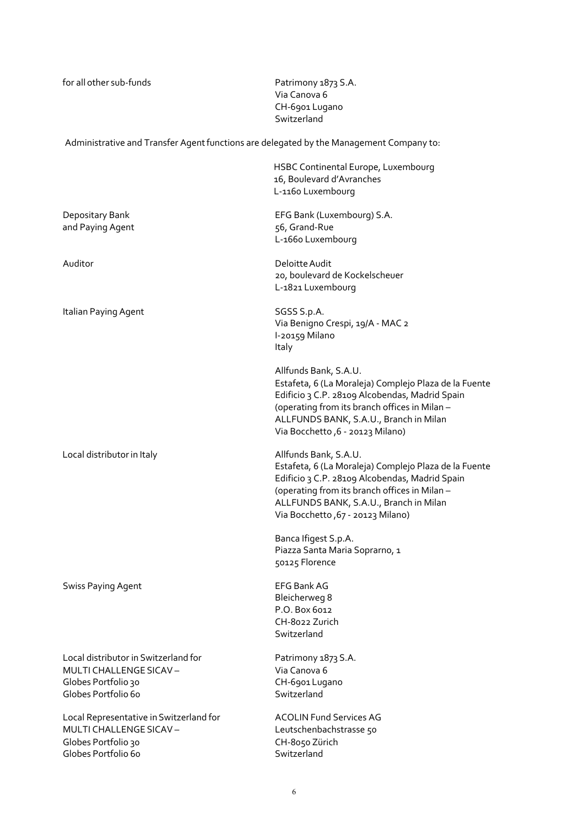for all other sub-funds extending the Patrimony 1873 S.A.

Via Canova 6 CH-6901 Lugano **Switzerland** 

Administrative and Transfer Agent functions are delegated by the Management Company to:

|                                                                                                                 | HSBC Continental Europe, Luxembourg<br>16, Boulevard d'Avranches<br>L-1160 Luxembourg                                                                                                                                                                            |
|-----------------------------------------------------------------------------------------------------------------|------------------------------------------------------------------------------------------------------------------------------------------------------------------------------------------------------------------------------------------------------------------|
| Depositary Bank<br>and Paying Agent                                                                             | EFG Bank (Luxembourg) S.A.<br>56, Grand-Rue<br>L-1660 Luxembourg                                                                                                                                                                                                 |
| Auditor                                                                                                         | Deloitte Audit<br>20, boulevard de Kockelscheuer<br>L-1821 Luxembourg                                                                                                                                                                                            |
| Italian Paying Agent                                                                                            | SGSS S.p.A.<br>Via Benigno Crespi, 19/A - MAC 2<br>I-20159 Milano<br>Italy                                                                                                                                                                                       |
|                                                                                                                 | Allfunds Bank, S.A.U.<br>Estafeta, 6 (La Moraleja) Complejo Plaza de la Fuente<br>Edificio 3 C.P. 28109 Alcobendas, Madrid Spain<br>(operating from its branch offices in Milan -<br>ALLFUNDS BANK, S.A.U., Branch in Milan<br>Via Bocchetto, 6 - 20123 Milano)  |
| Local distributor in Italy                                                                                      | Allfunds Bank, S.A.U.<br>Estafeta, 6 (La Moraleja) Complejo Plaza de la Fuente<br>Edificio 3 C.P. 28109 Alcobendas, Madrid Spain<br>(operating from its branch offices in Milan -<br>ALLFUNDS BANK, S.A.U., Branch in Milan<br>Via Bocchetto, 67 - 20123 Milano) |
|                                                                                                                 | Banca Ifigest S.p.A.<br>Piazza Santa Maria Soprarno, 1<br>50125 Florence                                                                                                                                                                                         |
| <b>Swiss Paying Agent</b>                                                                                       | EFG Bank AG<br>Bleicherweg 8<br>P.O. Box 6012<br>CH-8022 Zurich<br>Switzerland                                                                                                                                                                                   |
| Local distributor in Switzerland for<br>MULTI CHALLENGE SICAV-<br>Globes Portfolio 30<br>Globes Portfolio 60    | Patrimony 1873 S.A.<br>Via Canova 6<br>CH-6901 Lugano<br>Switzerland                                                                                                                                                                                             |
| Local Representative in Switzerland for<br>MULTI CHALLENGE SICAV-<br>Globes Portfolio 30<br>Globes Portfolio 60 | <b>ACOLIN Fund Services AG</b><br>Leutschenbachstrasse 50<br>CH-8050 Zürich<br>Switzerland                                                                                                                                                                       |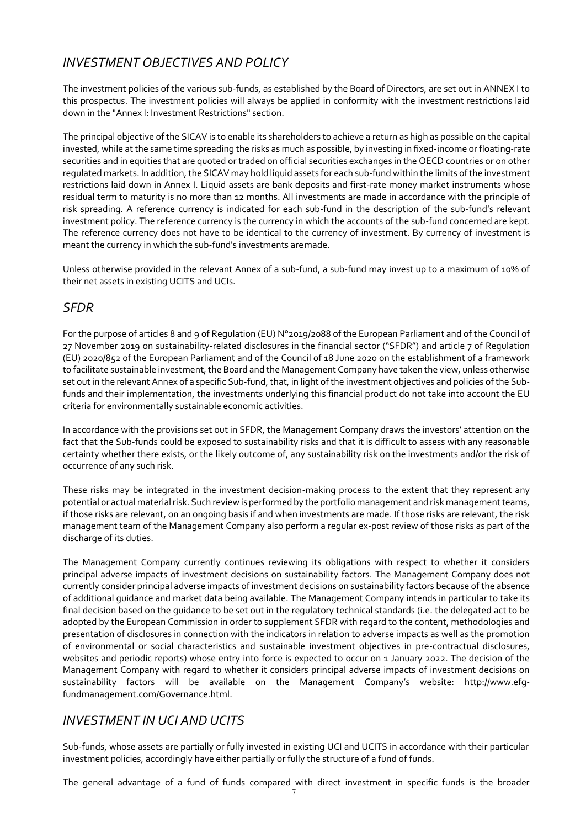# <span id="page-6-0"></span>*INVESTMENT OBJECTIVES AND POLICY*

The investment policies of the various sub-funds, as established by the Board of Directors, are set out in ANNEX I to this prospectus. The investment policies will always be applied in conformity with the investment restrictions laid down in the "Annex I: Investment Restrictions" section.

The principal objective of the SICAV is to enable its shareholders to achieve a return as high as possible on the capital invested, while at the same time spreading the risks as much as possible, by investing in fixed-income or floating-rate securities and in equities that are quoted or traded on official securities exchanges in the OECD countries or on other regulated markets. In addition, the SICAV may hold liquid assets for each sub-fund within the limits of the investment restrictions laid down in Annex I. Liquid assets are bank deposits and first-rate money market instruments whose residual term to maturity is no more than 12 months. All investments are made in accordance with the principle of risk spreading. A reference currency is indicated for each sub-fund in the description of the sub-fund's relevant investment policy. The reference currency is the currency in which the accounts of the sub-fund concerned are kept. The reference currency does not have to be identical to the currency of investment. By currency of investment is meant the currency in which the sub-fund's investments aremade.

Unless otherwise provided in the relevant Annex of a sub-fund, a sub-fund may invest up to a maximum of 10% of their net assets in existing UCITS and UCIs.

# <span id="page-6-1"></span>*SFDR*

For the purpose of articles 8 and 9 of Regulation (EU) N°2019/2088 of the European Parliament and of the Council of 27 November 2019 on sustainability-related disclosures in the financial sector ("SFDR") and article 7 of Regulation (EU) 2020/852 of the European Parliament and of the Council of 18 June 2020 on the establishment of a framework to facilitate sustainable investment, the Board and the Management Company have taken the view, unless otherwise set out in the relevant Annex of a specific Sub-fund, that, in light of the investment objectives and policies of the Subfunds and their implementation, the investments underlying this financial product do not take into account the EU criteria for environmentally sustainable economic activities.

In accordance with the provisions set out in SFDR, the Management Company draws the investors' attention on the fact that the Sub-funds could be exposed to sustainability risks and that it is difficult to assess with any reasonable certainty whether there exists, or the likely outcome of, any sustainability risk on the investments and/or the risk of occurrence of any such risk.

These risks may be integrated in the investment decision-making process to the extent that they represent any potential or actual material risk. Such review is performed by the portfolio management and risk management teams, if those risks are relevant, on an ongoing basis if and when investments are made. If those risks are relevant, the risk management team of the Management Company also perform a regular ex-post review of those risks as part of the discharge of its duties.

The Management Company currently continues reviewing its obligations with respect to whether it considers principal adverse impacts of investment decisions on sustainability factors. The Management Company does not currently consider principal adverse impacts of investment decisions on sustainability factors because of the absence of additional guidance and market data being available. The Management Company intends in particular to take its final decision based on the guidance to be set out in the regulatory technical standards (i.e. the delegated act to be adopted by the European Commission in order to supplement SFDR with regard to the content, methodologies and presentation of disclosures in connection with the indicators in relation to adverse impacts as well as the promotion of environmental or social characteristics and sustainable investment objectives in pre-contractual disclosures, websites and periodic reports) whose entry into force is expected to occur on 1 January 2022. The decision of the Management Company with regard to whether it considers principal adverse impacts of investment decisions on sustainability factors will be available on the Management Company's website: http://www.efgfundmanagement.com/Governance.html.

# <span id="page-6-2"></span>*INVESTMENT IN UCI AND UCITS*

Sub-funds, whose assets are partially or fully invested in existing UCI and UCITS in accordance with their particular investment policies, accordingly have either partially or fully the structure of a fund of funds.

The general advantage of a fund of funds compared with direct investment in specific funds is the broader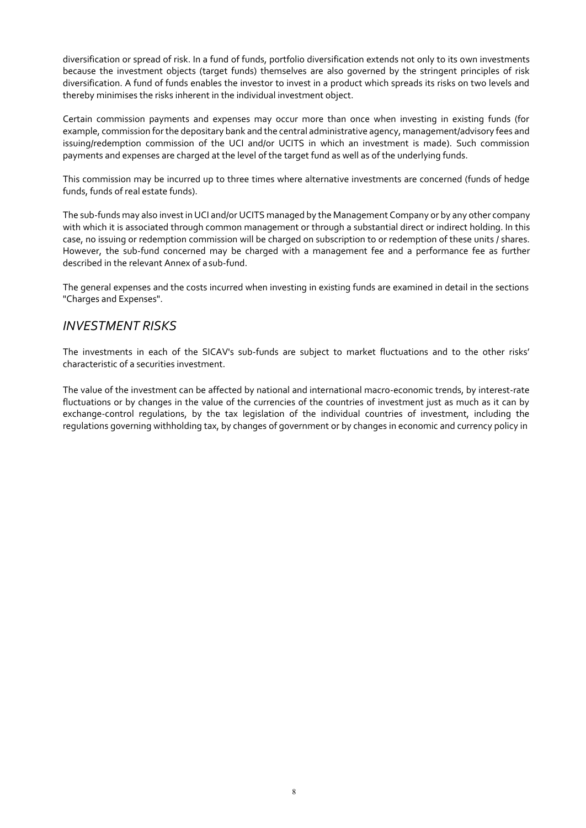diversification or spread of risk. In a fund of funds, portfolio diversification extends not only to its own investments because the investment objects (target funds) themselves are also governed by the stringent principles of risk diversification. A fund of funds enables the investor to invest in a product which spreads its risks on two levels and thereby minimises the risks inherent in the individual investment object.

Certain commission payments and expenses may occur more than once when investing in existing funds (for example, commission for the depositary bank and the central administrative agency, management/advisory fees and issuing/redemption commission of the UCI and/or UCITS in which an investment is made). Such commission payments and expenses are charged at the level of the target fund as well as of the underlying funds.

This commission may be incurred up to three times where alternative investments are concerned (funds of hedge funds, funds of real estate funds).

The sub-funds may also invest in UCI and/or UCITS managed by the Management Company or by any other company with which it is associated through common management or through a substantial direct or indirect holding. In this case, no issuing or redemption commission will be charged on subscription to or redemption of these units / shares. However, the sub-fund concerned may be charged with a management fee and a performance fee as further described in the relevant Annex of a sub-fund.

The general expenses and the costs incurred when investing in existing funds are examined in detail in the sections "Charges and Expenses".

### <span id="page-7-0"></span>*INVESTMENT RISKS*

The investments in each of the SICAV's sub-funds are subject to market fluctuations and to the other risks' characteristic of a securities investment.

The value of the investment can be affected by national and international macro-economic trends, by interest-rate fluctuations or by changes in the value of the currencies of the countries of investment just as much as it can by exchange-control regulations, by the tax legislation of the individual countries of investment, including the regulations governing withholding tax, by changes of government or by changes in economic and currency policy in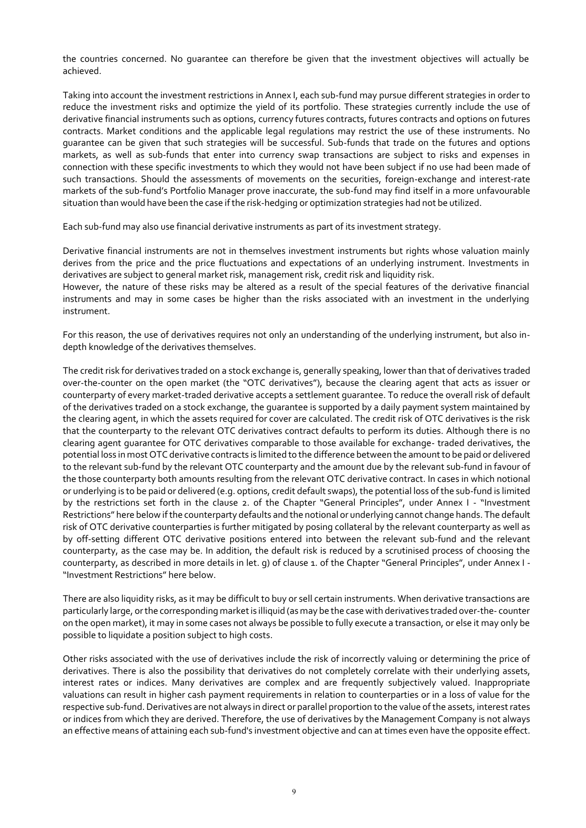the countries concerned. No guarantee can therefore be given that the investment objectives will actually be achieved.

Taking into account the investment restrictions in Annex I, each sub-fund may pursue different strategies in order to reduce the investment risks and optimize the yield of its portfolio. These strategies currently include the use of derivative financial instruments such as options, currency futures contracts, futures contracts and options on futures contracts. Market conditions and the applicable legal regulations may restrict the use of these instruments. No guarantee can be given that such strategies will be successful. Sub-funds that trade on the futures and options markets, as well as sub-funds that enter into currency swap transactions are subject to risks and expenses in connection with these specific investments to which they would not have been subject if no use had been made of such transactions. Should the assessments of movements on the securities, foreign-exchange and interest-rate markets of the sub-fund's Portfolio Manager prove inaccurate, the sub-fund may find itself in a more unfavourable situation than would have been the case ifthe risk-hedging or optimization strategies had not be utilized.

Each sub-fund may also use financial derivative instruments as part of its investment strategy.

Derivative financial instruments are not in themselves investment instruments but rights whose valuation mainly derives from the price and the price fluctuations and expectations of an underlying instrument. Investments in derivatives are subject to general market risk, management risk, credit risk and liquidity risk.

However, the nature of these risks may be altered as a result of the special features of the derivative financial instruments and may in some cases be higher than the risks associated with an investment in the underlying instrument.

For this reason, the use of derivatives requires not only an understanding of the underlying instrument, but also indepth knowledge of the derivatives themselves.

The credit risk for derivatives traded on a stock exchange is, generally speaking, lower than that of derivatives traded over-the-counter on the open market (the "OTC derivatives"), because the clearing agent that acts as issuer or counterparty of every market-traded derivative accepts a settlement guarantee. To reduce the overall risk of default of the derivatives traded on a stock exchange, the guarantee is supported by a daily payment system maintained by the clearing agent, in which the assets required for cover are calculated. The credit risk of OTC derivatives is the risk that the counterparty to the relevant OTC derivatives contract defaults to perform its duties. Although there is no clearing agent guarantee for OTC derivatives comparable to those available for exchange- traded derivatives, the potential loss in most OTC derivative contracts is limited to the difference between the amount to be paid or delivered to the relevant sub-fund by the relevant OTC counterparty and the amount due by the relevant sub-fund in favour of the those counterparty both amounts resulting from the relevant OTC derivative contract. In cases in which notional or underlying is to be paid or delivered (e.g. options, credit default swaps), the potential loss of the sub-fund is limited by the restrictions set forth in the clause 2. of the Chapter "General Principles", under Annex I - "Investment Restrictions" here below if the counterparty defaults and the notional or underlying cannot change hands. The default risk of OTC derivative counterparties is further mitigated by posing collateral by the relevant counterparty as well as by off-setting different OTC derivative positions entered into between the relevant sub-fund and the relevant counterparty, as the case may be. In addition, the default risk is reduced by a scrutinised process of choosing the counterparty, as described in more details in let. g) of clause 1. of the Chapter "General Principles", under Annex I - "Investment Restrictions" here below.

There are also liquidity risks, as it may be difficult to buy or sell certain instruments. When derivative transactions are particularly large, or the corresponding market is illiquid (as may be the case with derivatives traded over-the- counter on the open market), it may in some cases not always be possible to fully execute a transaction, or else it may only be possible to liquidate a position subject to high costs.

Other risks associated with the use of derivatives include the risk of incorrectly valuing or determining the price of derivatives. There is also the possibility that derivatives do not completely correlate with their underlying assets, interest rates or indices. Many derivatives are complex and are frequently subjectively valued. Inappropriate valuations can result in higher cash payment requirements in relation to counterparties or in a loss of value for the respective sub-fund. Derivatives are not always in direct or parallel proportion to the value of the assets, interest rates or indices from which they are derived. Therefore, the use of derivatives by the Management Company is not always an effective means of attaining each sub-fund's investment objective and can at times even have the opposite effect.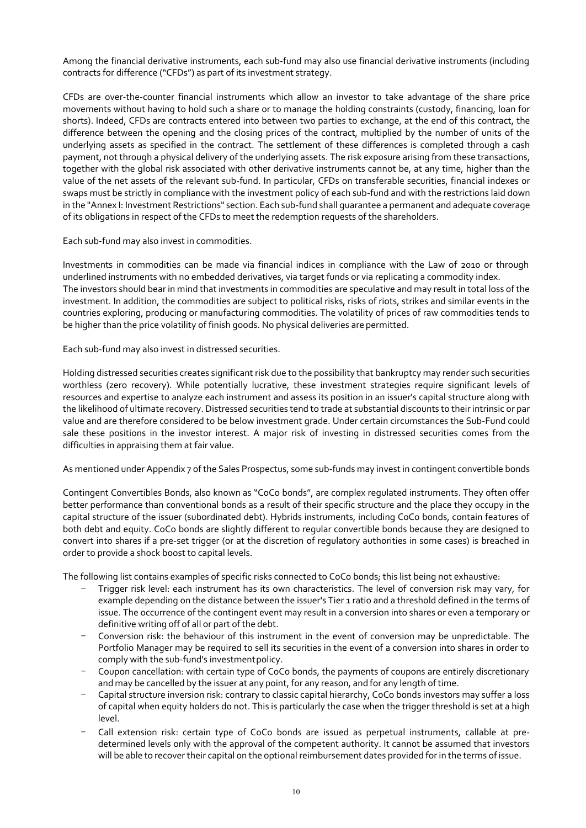Among the financial derivative instruments, each sub-fund may also use financial derivative instruments (including contracts for difference ("CFDs") as part of its investment strategy.

CFDs are over-the-counter financial instruments which allow an investor to take advantage of the share price movements without having to hold such a share or to manage the holding constraints (custody, financing, loan for shorts). Indeed, CFDs are contracts entered into between two parties to exchange, at the end of this contract, the difference between the opening and the closing prices of the contract, multiplied by the number of units of the underlying assets as specified in the contract. The settlement of these differences is completed through a cash payment, not through a physical delivery of the underlying assets. The risk exposure arising from these transactions, together with the global risk associated with other derivative instruments cannot be, at any time, higher than the value of the net assets of the relevant sub-fund. In particular, CFDs on transferable securities, financial indexes or swaps must be strictly in compliance with the investment policy of each sub-fund and with the restrictions laid down in the "Annex I: Investment Restrictions" section. Each sub-fund shall guarantee a permanent and adequate coverage of its obligations in respect of the CFDs to meet the redemption requests of the shareholders.

Each sub-fund may also invest in commodities.

Investments in commodities can be made via financial indices in compliance with the Law of 2010 or through underlined instruments with no embedded derivatives, via target funds or via replicating a commodity index. The investors should bear in mind that investments in commodities are speculative and may result in total loss of the investment. In addition, the commodities are subject to political risks, risks of riots, strikes and similar events in the countries exploring, producing or manufacturing commodities. The volatility of prices of raw commodities tends to be higher than the price volatility of finish goods. No physical deliveries are permitted.

Each sub-fund may also invest in distressed securities.

Holding distressed securities creates significant risk due to the possibility that bankruptcy may render such securities worthless (zero recovery). While potentially lucrative, these investment strategies require significant levels of resources and expertise to analyze each instrument and assess its position in an issuer's capital structure along with the likelihood of ultimate recovery. Distressed securities tend to trade at substantial discounts to their intrinsic or par value and are therefore considered to be below investment grade. Under certain circumstances the Sub-Fund could sale these positions in the investor interest. A major risk of investing in distressed securities comes from the difficulties in appraising them at fair value.

As mentioned under Appendix 7 of the Sales Prospectus, some sub-funds may invest in contingent convertible bonds

Contingent Convertibles Bonds, also known as "CoCo bonds", are complex regulated instruments. They often offer better performance than conventional bonds as a result of their specific structure and the place they occupy in the capital structure of the issuer (subordinated debt). Hybrids instruments, including CoCo bonds, contain features of both debt and equity. CoCo bonds are slightly different to regular convertible bonds because they are designed to convert into shares if a pre-set trigger (or at the discretion of regulatory authorities in some cases) is breached in order to provide a shock boost to capital levels.

The following list contains examples of specific risks connected to CoCo bonds; this list being not exhaustive:

- Trigger risk level: each instrument has its own characteristics. The level of conversion risk may vary, for example depending on the distance between the issuer's Tier 1 ratio and a threshold defined in the terms of issue. The occurrence of the contingent event may result in a conversion into shares or even a temporary or definitive writing off of all or part of the debt.
- Conversion risk: the behaviour of this instrument in the event of conversion may be unpredictable. The Portfolio Manager may be required to sell its securities in the event of a conversion into shares in order to comply with the sub-fund's investmentpolicy.
- Coupon cancellation: with certain type of CoCo bonds, the payments of coupons are entirely discretionary and may be cancelled by the issuer at any point, for any reason, and for any length of time.
- Capital structure inversion risk: contrary to classic capital hierarchy, CoCo bonds investors may suffer a loss of capital when equity holders do not. This is particularly the case when the trigger threshold is set at a high level.
- Call extension risk: certain type of CoCo bonds are issued as perpetual instruments, callable at predetermined levels only with the approval of the competent authority. It cannot be assumed that investors will be able to recover their capital on the optional reimbursement dates provided for in the terms of issue.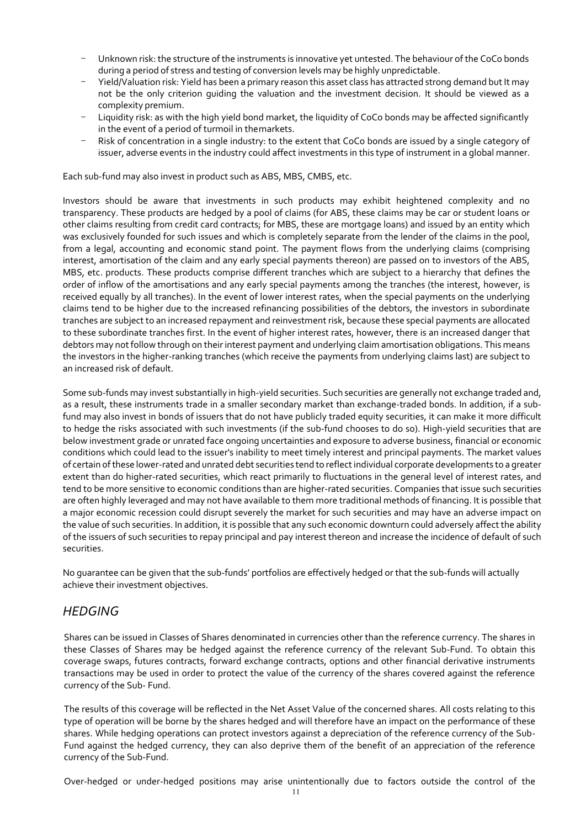- Unknown risk: the structure of the instruments is innovative yet untested. The behaviour of the CoCo bonds during a period of stress and testing of conversion levels may be highly unpredictable.
- Yield/Valuation risk: Yield has been a primary reason this asset class has attracted strong demand but It may not be the only criterion guiding the valuation and the investment decision. It should be viewed as a complexity premium.
- Liquidity risk: as with the high yield bond market, the liquidity of CoCo bonds may be affected significantly in the event of a period of turmoil in themarkets.
- Risk of concentration in a single industry: to the extent that CoCo bonds are issued by a single category of issuer, adverse events in the industry could affect investments in this type of instrument in a global manner.

Each sub-fund may also invest in product such as ABS, MBS, CMBS, etc.

Investors should be aware that investments in such products may exhibit heightened complexity and no transparency. These products are hedged by a pool of claims (for ABS, these claims may be car or student loans or other claims resulting from credit card contracts; for MBS, these are mortgage loans) and issued by an entity which was exclusively founded for such issues and which is completely separate from the lender of the claims in the pool, from a legal, accounting and economic stand point. The payment flows from the underlying claims (comprising interest, amortisation of the claim and any early special payments thereon) are passed on to investors of the ABS, MBS, etc. products. These products comprise different tranches which are subject to a hierarchy that defines the order of inflow of the amortisations and any early special payments among the tranches (the interest, however, is received equally by all tranches). In the event of lower interest rates, when the special payments on the underlying claims tend to be higher due to the increased refinancing possibilities of the debtors, the investors in subordinate tranches are subject to an increased repayment and reinvestment risk, because these special payments are allocated to these subordinate tranches first. In the event of higher interest rates, however, there is an increased danger that debtors may not follow through on their interest payment and underlying claim amortisation obligations. This means the investors in the higher-ranking tranches (which receive the payments from underlying claims last) are subject to an increased risk of default.

Some sub-funds may invest substantially in high-yield securities. Such securities are generally not exchange traded and, as a result, these instruments trade in a smaller secondary market than exchange-traded bonds. In addition, if a subfund may also invest in bonds of issuers that do not have publicly traded equity securities, it can make it more difficult to hedge the risks associated with such investments (if the sub-fund chooses to do so). High-yield securities that are below investment grade or unrated face ongoing uncertainties and exposure to adverse business, financial or economic conditions which could lead to the issuer's inability to meet timely interest and principal payments. The market values of certain of these lower-rated and unrated debt securities tend to reflect individual corporate developments to a greater extent than do higher-rated securities, which react primarily to fluctuations in the general level of interest rates, and tend to be more sensitive to economic conditions than are higher-rated securities. Companies that issue such securities are often highly leveraged and may not have available to them more traditional methods of financing. It is possible that a major economic recession could disrupt severely the market for such securities and may have an adverse impact on the value of such securities. In addition, it is possible that any such economic downturn could adversely affect the ability of the issuers of such securities to repay principal and pay interest thereon and increase the incidence of default of such securities.

No guarantee can be given that the sub-funds' portfolios are effectively hedged or that the sub-funds will actually achieve their investment objectives.

### <span id="page-10-0"></span>*HEDGING*

Shares can be issued in Classes of Shares denominated in currencies other than the reference currency. The shares in these Classes of Shares may be hedged against the reference currency of the relevant Sub-Fund. To obtain this coverage swaps, futures contracts, forward exchange contracts, options and other financial derivative instruments transactions may be used in order to protect the value of the currency of the shares covered against the reference currency of the Sub- Fund.

The results of this coverage will be reflected in the Net Asset Value of the concerned shares. All costs relating to this type of operation will be borne by the shares hedged and will therefore have an impact on the performance of these shares. While hedging operations can protect investors against a depreciation of the reference currency of the Sub-Fund against the hedged currency, they can also deprive them of the benefit of an appreciation of the reference currency of the Sub-Fund.

Over-hedged or under-hedged positions may arise unintentionally due to factors outside the control of the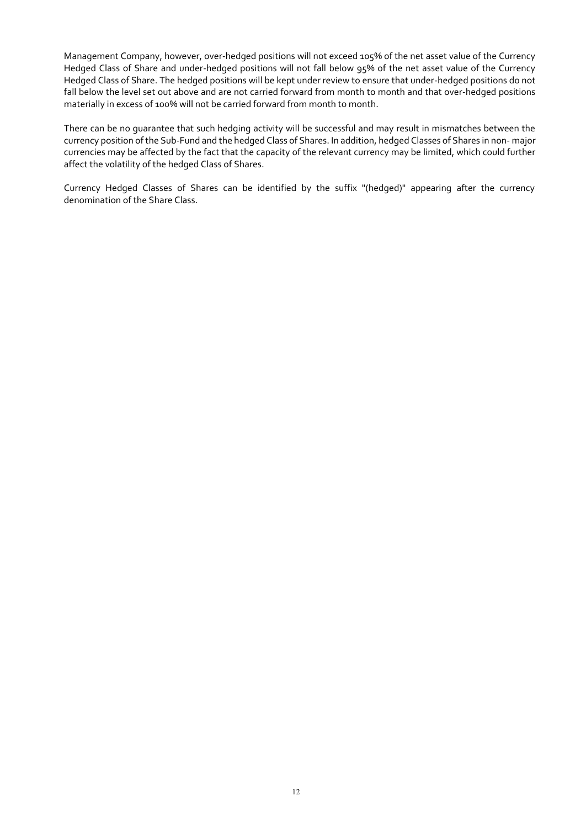Management Company, however, over-hedged positions will not exceed 105% of the net asset value of the Currency Hedged Class of Share and under-hedged positions will not fall below 95% of the net asset value of the Currency Hedged Class of Share. The hedged positions will be kept under review to ensure that under-hedged positions do not fall below the level set out above and are not carried forward from month to month and that over-hedged positions materially in excess of 100% will not be carried forward from month to month.

There can be no guarantee that such hedging activity will be successful and may result in mismatches between the currency position of the Sub-Fund and the hedged Class of Shares. In addition, hedged Classes of Shares in non- major currencies may be affected by the fact that the capacity of the relevant currency may be limited, which could further affect the volatility of the hedged Class of Shares.

Currency Hedged Classes of Shares can be identified by the suffix "(hedged)" appearing after the currency denomination of the Share Class.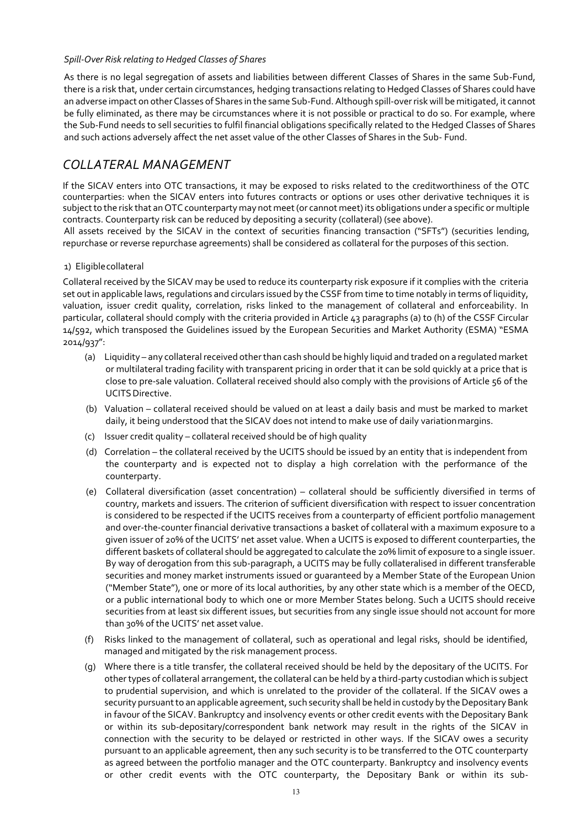#### *Spill-Over Risk relating to Hedged Classes of Shares*

As there is no legal segregation of assets and liabilities between different Classes of Shares in the same Sub-Fund, there is a risk that, under certain circumstances, hedging transactions relating to Hedged Classes of Shares could have an adverse impact on other Classes of Shares in the same Sub-Fund. Although spill-over risk will be mitigated, it cannot be fully eliminated, as there may be circumstances where it is not possible or practical to do so. For example, where the Sub-Fund needs to sell securities to fulfil financial obligations specifically related to the Hedged Classes of Shares and such actions adversely affect the net asset value of the other Classes of Shares in the Sub- Fund.

# <span id="page-12-0"></span>*COLLATERAL MANAGEMENT*

If the SICAV enters into OTC transactions, it may be exposed to risks related to the creditworthiness of the OTC counterparties: when the SICAV enters into futures contracts or options or uses other derivative techniques it is subject to the risk that an OTC counterparty may not meet (or cannot meet) its obligations under a specific or multiple contracts. Counterparty risk can be reduced by depositing a security (collateral) (see above).

All assets received by the SICAV in the context of securities financing transaction ("SFTs") (securities lending, repurchase or reverse repurchase agreements) shall be considered as collateral for the purposes of this section.

#### 1) Eligiblecollateral

Collateral received by the SICAV may be used to reduce its counterparty risk exposure if it complies with the criteria set out in applicable laws, regulations and circulars issued by the CSSF from time to time notably in terms of liquidity, valuation, issuer credit quality, correlation, risks linked to the management of collateral and enforceability. In particular, collateral should comply with the criteria provided in Article 43 paragraphs (a) to (h) of the CSSF Circular 14/592, which transposed the Guidelines issued by the European Securities and Market Authority (ESMA) "ESMA 2014/937":

- (a) Liquidity any collateral received other than cash should be highly liquid and traded on a regulated market or multilateral trading facility with transparent pricing in order that it can be sold quickly at a price that is close to pre-sale valuation. Collateral received should also comply with the provisions of Article 56 of the UCITS Directive.
- (b) Valuation collateral received should be valued on at least a daily basis and must be marked to market daily, it being understood that the SICAV does not intend to make use of daily variationmargins.
- (c) Issuer credit quality collateral received should be of high quality
- (d) Correlation the collateral received by the UCITS should be issued by an entity that is independent from the counterparty and is expected not to display a high correlation with the performance of the counterparty.
- (e) Collateral diversification (asset concentration) collateral should be sufficiently diversified in terms of country, markets and issuers. The criterion of sufficient diversification with respect to issuer concentration is considered to be respected if the UCITS receives from a counterparty of efficient portfolio management and over-the-counter financial derivative transactions a basket of collateral with a maximum exposure to a given issuer of 20% of the UCITS' net asset value. When a UCITS is exposed to different counterparties, the different baskets of collateral should be aggregated to calculate the 20% limit of exposure to a single issuer. By way of derogation from this sub-paragraph, a UCITS may be fully collateralised in different transferable securities and money market instruments issued or guaranteed by a Member State of the European Union ("Member State"), one or more of its local authorities, by any other state which is a member of the OECD, or a public international body to which one or more Member States belong. Such a UCITS should receive securities from at least six different issues, but securities from any single issue should not account for more than 30% of the UCITS' net asset value.
- (f) Risks linked to the management of collateral, such as operational and legal risks, should be identified, managed and mitigated by the risk management process.
- (g) Where there is a title transfer, the collateral received should be held by the depositary of the UCITS. For other types of collateral arrangement, the collateral can be held by a third-party custodian which is subject to prudential supervision, and which is unrelated to the provider of the collateral. If the SICAV owes a security pursuant to an applicable agreement, such security shall be held in custody by the Depositary Bank in favour of the SICAV. Bankruptcy and insolvency events or other credit events with the Depositary Bank or within its sub-depositary/correspondent bank network may result in the rights of the SICAV in connection with the security to be delayed or restricted in other ways. If the SICAV owes a security pursuant to an applicable agreement, then any such security is to be transferred to the OTC counterparty as agreed between the portfolio manager and the OTC counterparty. Bankruptcy and insolvency events or other credit events with the OTC counterparty, the Depositary Bank or within its sub-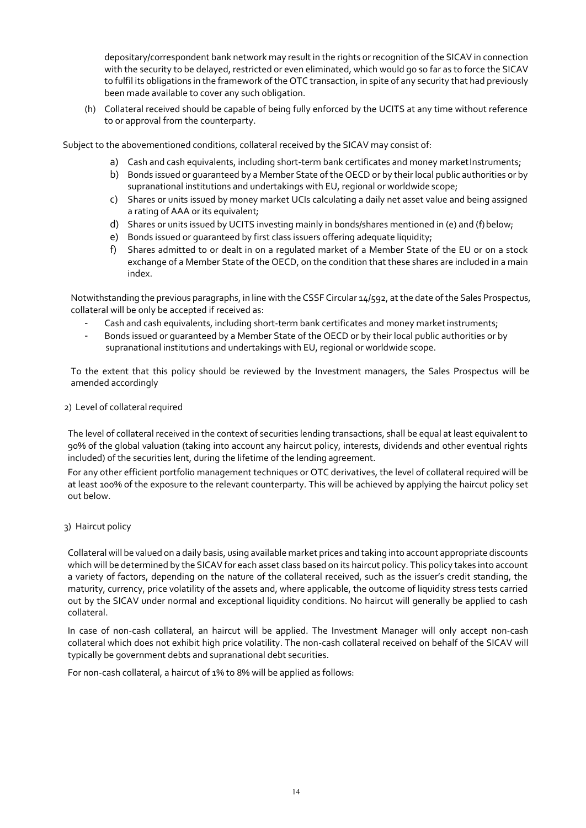depositary/correspondent bank network may result in the rights or recognition of the SICAV in connection with the security to be delayed, restricted or even eliminated, which would go so far as to force the SICAV to fulfil its obligations in the framework of the OTC transaction, in spite of any security that had previously been made available to cover any such obligation.

(h) Collateral received should be capable of being fully enforced by the UCITS at any time without reference to or approval from the counterparty.

Subject to the abovementioned conditions, collateral received by the SICAV may consist of:

- a) Cash and cash equivalents, including short-term bank certificates and money marketInstruments;
- b) Bonds issued or guaranteed by a Member State of the OECD or by their local public authorities or by supranational institutions and undertakings with EU, regional or worldwide scope;
- c) Shares or units issued by money market UCIs calculating a daily net asset value and being assigned a rating of AAA or its equivalent;
- d) Shares or units issued by UCITS investing mainly in bonds/shares mentioned in (e) and (f) below;
- e) Bonds issued or guaranteed by first class issuers offering adequate liquidity;
- f) Shares admitted to or dealt in on a regulated market of a Member State of the EU or on a stock exchange of a Member State of the OECD, on the condition that these shares are included in a main index.

Notwithstanding the previous paragraphs, in line with the CSSF Circular 14/592, at the date of the Sales Prospectus, collateral will be only be accepted if received as:

- Cash and cash equivalents, including short-term bank certificates and money market instruments;
- Bonds issued or guaranteed by a Member State of the OECD or by their local public authorities or by supranational institutions and undertakings with EU, regional or worldwide scope.

To the extent that this policy should be reviewed by the Investment managers, the Sales Prospectus will be amended accordingly

#### 2) Level of collateral required

The level of collateral received in the context of securities lending transactions, shall be equal at least equivalent to 90% of the global valuation (taking into account any haircut policy, interests, dividends and other eventual rights included) of the securities lent, during the lifetime of the lending agreement.

For any other efficient portfolio management techniques or OTC derivatives, the level of collateral required will be at least 100% of the exposure to the relevant counterparty. This will be achieved by applying the haircut policy set out below.

#### 3) Haircut policy

Collateral will be valued on a daily basis, using available market prices and taking into account appropriate discounts which will be determined by the SICAV for each asset class based on its haircut policy. This policy takes into account a variety of factors, depending on the nature of the collateral received, such as the issuer's credit standing, the maturity, currency, price volatility of the assets and, where applicable, the outcome of liquidity stress tests carried out by the SICAV under normal and exceptional liquidity conditions. No haircut will generally be applied to cash collateral.

In case of non-cash collateral, an haircut will be applied. The Investment Manager will only accept non-cash collateral which does not exhibit high price volatility. The non-cash collateral received on behalf of the SICAV will typically be government debts and supranational debt securities.

For non-cash collateral, a haircut of 1% to 8% will be applied as follows: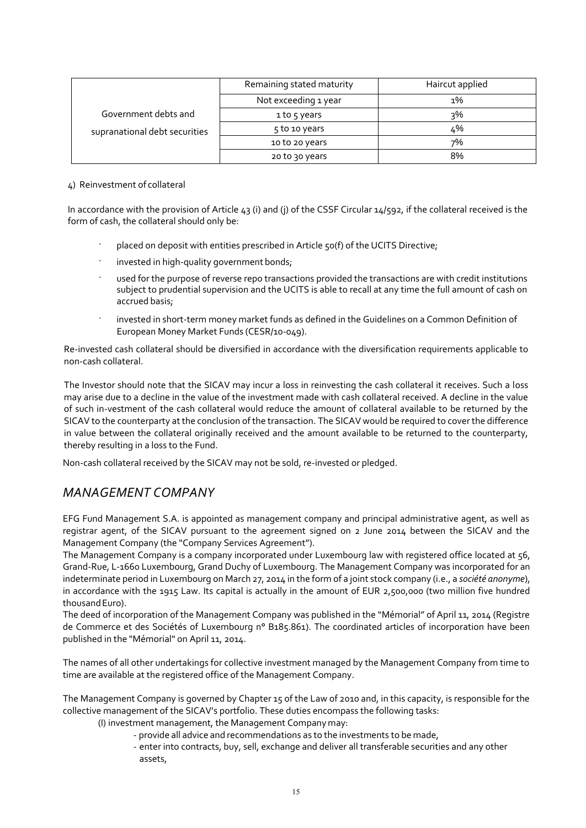|                               | Remaining stated maturity | Haircut applied |
|-------------------------------|---------------------------|-----------------|
|                               | Not exceeding 1 year      | $1\%$           |
| Government debts and          | 1 to 5 years              | 3%              |
| supranational debt securities | 5 to 10 years             | 4%              |
|                               | 10 to 20 years            | 7%              |
|                               | 20 to 30 years            | 8%              |

#### 4) Reinvestment of collateral

In accordance with the provision of Article 43 (i) and (j) of the CSSF Circular 14/592, if the collateral received is the form of cash, the collateral should only be:

- placed on deposit with entities prescribed in Article 50(f) of the UCITS Directive;
- invested in high-quality government bonds;
- used for the purpose of reverse repo transactions provided the transactions are with credit institutions subject to prudential supervision and the UCITS is able to recall at any time the full amount of cash on accrued basis;
- invested in short-term money market funds as defined in the Guidelines on a Common Definition of European Money Market Funds (CESR/10-049).

Re-invested cash collateral should be diversified in accordance with the diversification requirements applicable to non-cash collateral.

The Investor should note that the SICAV may incur a loss in reinvesting the cash collateral it receives. Such a loss may arise due to a decline in the value of the investment made with cash collateral received. A decline in the value of such in-vestment of the cash collateral would reduce the amount of collateral available to be returned by the SICAV to the counterparty at the conclusion of the transaction. The SICAV would be required to cover the difference in value between the collateral originally received and the amount available to be returned to the counterparty, thereby resulting in a loss to the Fund.

Non-cash collateral received by the SICAV may not be sold, re-invested or pledged.

### <span id="page-14-0"></span>*MANAGEMENT COMPANY*

EFG Fund Management S.A. is appointed as management company and principal administrative agent, as well as registrar agent, of the SICAV pursuant to the agreement signed on 2 June 2014 between the SICAV and the Management Company (the "Company Services Agreement").

The Management Company is a company incorporated under Luxembourg law with registered office located at 56, Grand-Rue, L-1660 Luxembourg, Grand Duchy of Luxembourg. The Management Company was incorporated for an indeterminate period in Luxembourg on March 27, 2014 in the form of a joint stock company (i.e., a *société anonyme*), in accordance with the 1915 Law. Its capital is actually in the amount of EUR 2,500,000 (two million five hundred thousandEuro).

The deed of incorporation of the Management Company was published in the "Mémorial" of April 11, 2014 (Registre de Commerce et des Sociétés of Luxembourg n° B185.861). The coordinated articles of incorporation have been published in the "Mémorial" on April 11, 2014.

The names of all other undertakings for collective investment managed by the Management Company from time to time are available at the registered office of the Management Company.

The Management Company is governed by Chapter 15 of the Law of 2010 and, in this capacity, is responsible for the collective management of the SICAV's portfolio. These duties encompass the following tasks:

(I) investment management, the Management Company may:

- provide all advice and recommendations as to the investments to be made,
- enter into contracts, buy, sell, exchange and deliver all transferable securities and any other assets,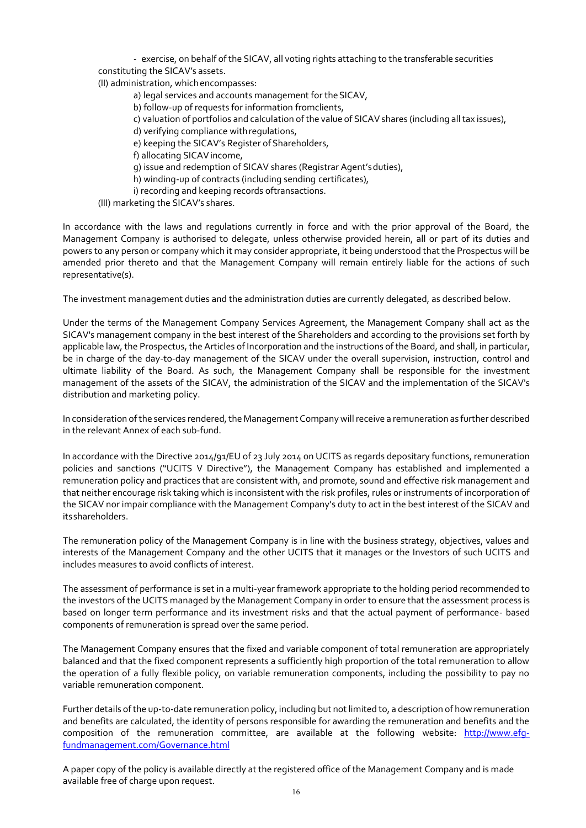- exercise, on behalf of the SICAV, all voting rights attaching to the transferable securities constituting the SICAV's assets. (II) administration, whichencompasses: a) legal services and accounts management for the SICAV, b) follow-up of requests for information fromclients, c) valuation of portfolios and calculation of the value of SICAV shares (including all tax issues), d) verifying compliance withregulations, e) keeping the SICAV's Register of Shareholders, f) allocating SICAVincome, g) issue and redemption of SICAV shares (Registrar Agent'sduties), h) winding-up of contracts (including sending certificates), i) recording and keeping records oftransactions.

(III) marketing the SICAV's shares.

In accordance with the laws and regulations currently in force and with the prior approval of the Board, the Management Company is authorised to delegate, unless otherwise provided herein, all or part of its duties and powers to any person or company which it may consider appropriate, it being understood that the Prospectus will be amended prior thereto and that the Management Company will remain entirely liable for the actions of such representative(s).

The investment management duties and the administration duties are currently delegated, as described below.

Under the terms of the Management Company Services Agreement, the Management Company shall act as the SICAV's management company in the best interest of the Shareholders and according to the provisions set forth by applicable law, the Prospectus, the Articles of Incorporation and the instructions of the Board, and shall, in particular, be in charge of the day-to-day management of the SICAV under the overall supervision, instruction, control and ultimate liability of the Board. As such, the Management Company shall be responsible for the investment management of the assets of the SICAV, the administration of the SICAV and the implementation of the SICAV's distribution and marketing policy.

In consideration of the services rendered, the Management Company will receive a remuneration as further described in the relevant Annex of each sub-fund.

In accordance with the Directive 2014/91/EU of 23 July 2014 on UCITS as regards depositary functions, remuneration policies and sanctions ("UCITS V Directive"), the Management Company has established and implemented a remuneration policy and practices that are consistent with, and promote, sound and effective risk management and that neither encourage risk taking which is inconsistent with the risk profiles, rules or instruments of incorporation of the SICAV nor impair compliance with the Management Company's duty to act in the best interest of the SICAV and itsshareholders.

The remuneration policy of the Management Company is in line with the business strategy, objectives, values and interests of the Management Company and the other UCITS that it manages or the Investors of such UCITS and includes measures to avoid conflicts of interest.

The assessment of performance is set in a multi-year framework appropriate to the holding period recommended to the investors of the UCITS managed by the Management Company in order to ensure that the assessment process is based on longer term performance and its investment risks and that the actual payment of performance- based components of remuneration is spread over the same period.

The Management Company ensures that the fixed and variable component of total remuneration are appropriately balanced and that the fixed component represents a sufficiently high proportion of the total remuneration to allow the operation of a fully flexible policy, on variable remuneration components, including the possibility to pay no variable remuneration component.

Further details of the up-to-date remuneration policy, including but not limited to, a description of how remuneration and benefits are calculated, the identity of persons responsible for awarding the remuneration and benefits and the composition of the remuneration committee, are available at the following website: [http://www.efg](http://www.efg-fundmanagement.com/Governance.html)[fundmanagement.com/Governance.html](http://www.efg-fundmanagement.com/Governance.html)

A paper copy of the policy is available directly at the registered office of the Management Company and is made available free of charge upon request.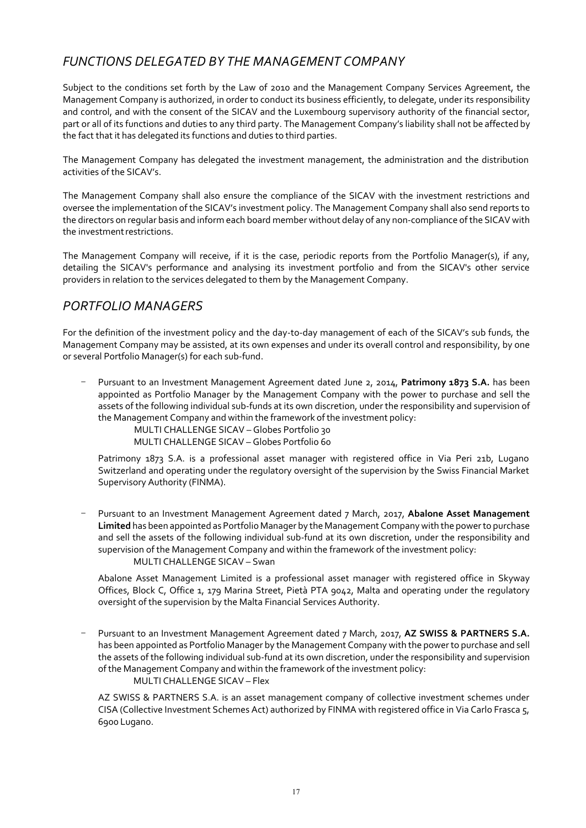# <span id="page-16-0"></span>*FUNCTIONS DELEGATED BY THE MANAGEMENT COMPANY*

Subject to the conditions set forth by the Law of 2010 and the Management Company Services Agreement, the Management Company is authorized, in order to conduct its business efficiently, to delegate, under its responsibility and control, and with the consent of the SICAV and the Luxembourg supervisory authority of the financial sector, part or all of its functions and duties to any third party. The Management Company's liability shall not be affected by the fact that it has delegated its functions and duties to third parties.

The Management Company has delegated the investment management, the administration and the distribution activities of the SICAV's.

The Management Company shall also ensure the compliance of the SICAV with the investment restrictions and oversee the implementation of the SICAV's investment policy. The Management Company shall also send reports to the directors on regular basis and inform each board member without delay of any non-compliance of the SICAV with the investment restrictions.

The Management Company will receive, if it is the case, periodic reports from the Portfolio Manager(s), if any, detailing the SICAV's performance and analysing its investment portfolio and from the SICAV's other service providers in relation to the services delegated to them by the Management Company.

# <span id="page-16-1"></span>*PORTFOLIO MANAGERS*

For the definition of the investment policy and the day-to-day management of each of the SICAV's sub funds, the Management Company may be assisted, at its own expenses and under its overall control and responsibility, by one or several Portfolio Manager(s) for each sub-fund.

- Pursuant to an Investment Management Agreement dated June 2, 2014, **Patrimony 1873 S.A.** has been appointed as Portfolio Manager by the Management Company with the power to purchase and sell the assets of the following individual sub-funds at its own discretion, under the responsibility and supervision of the Management Company and within the framework of the investment policy:
	- MULTI CHALLENGE SICAV Globes Portfolio 30

MULTI CHALLENGE SICAV – Globes Portfolio 60

Patrimony 1873 S.A. is a professional asset manager with registered office in Via Peri 21b, Lugano Switzerland and operating under the regulatory oversight of the supervision by the Swiss Financial Market Supervisory Authority (FINMA).

- Pursuant to an Investment Management Agreement dated 7 March, 2017, **Abalone Asset Management Limited** has been appointed as Portfolio Manager by the Management Company with the power to purchase and sell the assets of the following individual sub-fund at its own discretion, under the responsibility and supervision of the Management Company and within the framework of the investment policy: MULTI CHALLENGE SICAV – Swan

Abalone Asset Management Limited is a professional asset manager with registered office in Skyway Offices, Block C, Office 1, 179 Marina Street, Pietà PTA 9042, Malta and operating under the regulatory oversight of the supervision by the Malta Financial Services Authority.

- Pursuant to an Investment Management Agreement dated 7 March, 2017, **AZ SWISS & PARTNERS S.A.**  has been appointed as Portfolio Manager by the Management Company with the power to purchase and sell the assets of the following individual sub-fund at its own discretion, under the responsibility and supervision ofthe Management Company and within the framework ofthe investment policy:

MULTI CHALLENGE SICAV – Flex

AZ SWISS & PARTNERS S.A. is an asset management company of collective investment schemes under CISA (Collective Investment Schemes Act) authorized by FINMA with registered office in Via Carlo Frasca 5, 6900 Lugano.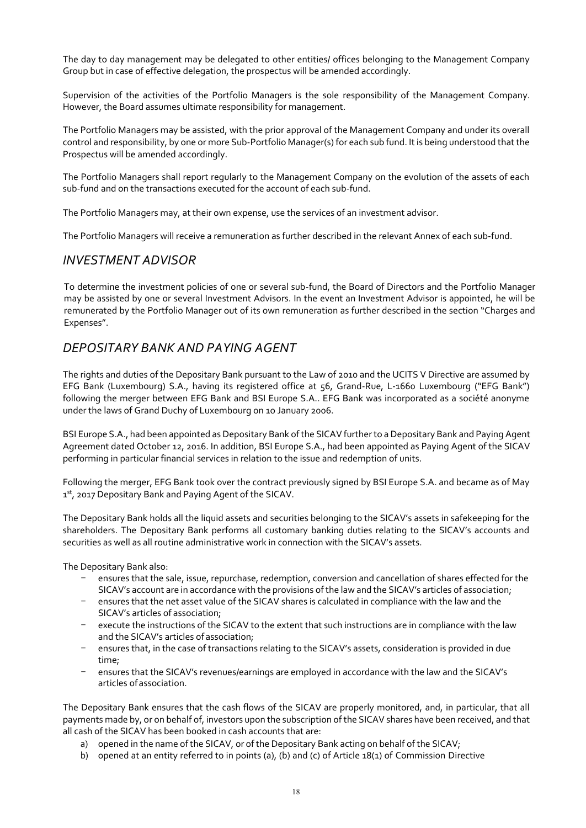The day to day management may be delegated to other entities/ offices belonging to the Management Company Group but in case of effective delegation, the prospectus will be amended accordingly.

Supervision of the activities of the Portfolio Managers is the sole responsibility of the Management Company. However, the Board assumes ultimate responsibility for management.

The Portfolio Managers may be assisted, with the prior approval of the Management Company and under its overall control and responsibility, by one or more Sub-Portfolio Manager(s) for each sub fund. It is being understood that the Prospectus will be amended accordingly.

The Portfolio Managers shall report regularly to the Management Company on the evolution of the assets of each sub-fund and on the transactions executed for the account of each sub-fund.

The Portfolio Managers may, at their own expense, use the services of an investment advisor.

The Portfolio Managers will receive a remuneration as further described in the relevant Annex of each sub-fund.

### <span id="page-17-0"></span>*INVESTMENT ADVISOR*

To determine the investment policies of one or several sub-fund, the Board of Directors and the Portfolio Manager may be assisted by one or several Investment Advisors. In the event an Investment Advisor is appointed, he will be remunerated by the Portfolio Manager out of its own remuneration as further described in the section "Charges and Expenses".

### <span id="page-17-1"></span>*DEPOSITARY BANK AND PAYING AGENT*

The rights and duties of the Depositary Bank pursuant to the Law of 2010 and the UCITS V Directive are assumed by EFG Bank (Luxembourg) S.A., having its registered office at 56, Grand-Rue, L-1660 Luxembourg ("EFG Bank") following the merger between EFG Bank and BSI Europe S.A.. EFG Bank was incorporated as a société anonyme under the laws of Grand Duchy of Luxembourg on 1o January 2006.

BSI Europe S.A., had been appointed as Depositary Bank of the SICAV further to a Depositary Bank and Paying Agent Agreement dated October 12, 2016. In addition, BSI Europe S.A., had been appointed as Paying Agent of the SICAV performing in particular financial services in relation to the issue and redemption of units.

Following the merger, EFG Bank took over the contract previously signed by BSI Europe S.A. and became as of May 1<sup>st</sup>, 2017 Depositary Bank and Paying Agent of the SICAV.

The Depositary Bank holds all the liquid assets and securities belonging to the SICAV's assets in safekeeping for the shareholders. The Depositary Bank performs all customary banking duties relating to the SICAV's accounts and securities as well as all routine administrative work in connection with the SICAV's assets.

The Depositary Bank also:

- ensures that the sale, issue, repurchase, redemption, conversion and cancellation of shares effected for the SICAV's account are in accordance with the provisions ofthe law and the SICAV's articles of association;
- ensures that the net asset value of the SICAV shares is calculated in compliance with the law and the SICAV's articles of association;
- execute the instructions of the SICAV to the extent that such instructions are in compliance with the law and the SICAV's articles of association;
- ensures that, in the case of transactions relating to the SICAV's assets, consideration is provided in due time;
- ensures that the SICAV's revenues/earnings are employed in accordance with the law and the SICAV's articles ofassociation.

The Depositary Bank ensures that the cash flows of the SICAV are properly monitored, and, in particular, that all payments made by, or on behalf of, investors upon the subscription of the SICAV shares have been received, and that all cash of the SICAV has been booked in cash accounts that are:

- a) opened in the name of the SICAV, or of the Depositary Bank acting on behalf of the SICAV;
- b) opened at an entity referred to in points (a), (b) and (c) of Article 18(1) of Commission Directive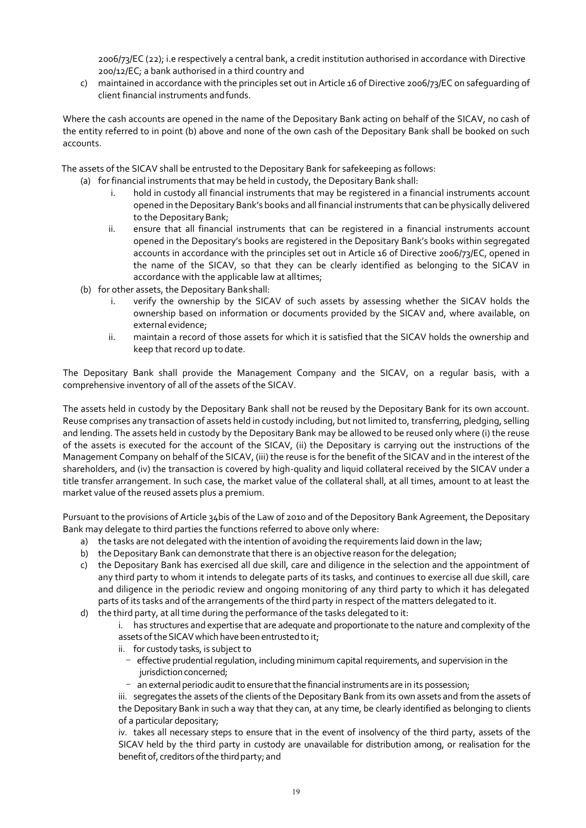2006/73/E[C \(22\); i](http://eur-lex.europa.eu/legal-content/EN/TXT/HTML/?uri=CELEX%3A32014L0091&amp%3Bfrom=EN&amp%3Bntr22-L_2014257EN.01018601-E0022).e respectively a central bank, a credit institution authorised in accordance with Directive 200/12/EC; a bank authorised in a third country and

c) maintained in accordance with the principles set out in Article 16 of Directive 2006/73/EC on safeguarding of client financial instruments andfunds.

Where the cash accounts are opened in the name of the Depositary Bank acting on behalf of the SICAV, no cash of the entity referred to in point (b) above and none of the own cash of the Depositary Bank shall be booked on such accounts.

The assets of the SICAV shall be entrusted to the Depositary Bank for safekeeping as follows:

- (a) for financial instruments that may be held in custody, the Depositary Bank shall:
	- i. hold in custody all financial instruments that may be registered in a financial instruments account opened in the Depositary Bank's books and all financial instruments that can be physically delivered to the Depositary Bank;
	- ii. ensure that all financial instruments that can be registered in a financial instruments account opened in the Depositary's books are registered in the Depositary Bank's books within segregated accounts in accordance with the principles set out in Article 16 of Directive 2006/73/EC, opened in the name of the SICAV, so that they can be clearly identified as belonging to the SICAV in accordance with the applicable law at alltimes;
- (b) for other assets, the Depositary Bankshall:
	- i. verify the ownership by the SICAV of such assets by assessing whether the SICAV holds the ownership based on information or documents provided by the SICAV and, where available, on external evidence;
	- ii. maintain a record of those assets for which it is satisfied that the SICAV holds the ownership and keep that record up todate.

The Depositary Bank shall provide the Management Company and the SICAV, on a regular basis, with a comprehensive inventory of all of the assets of the SICAV.

The assets held in custody by the Depositary Bank shall not be reused by the Depositary Bank for its own account. Reuse comprises any transaction of assets held in custody including, but not limited to, transferring, pledging, selling and lending. The assets held in custody by the Depositary Bank may be allowed to be reused only where (i) the reuse of the assets is executed for the account of the SICAV, (ii) the Depositary is carrying out the instructions of the Management Company on behalf of the SICAV, (iii) the reuse is for the benefit of the SICAV and in the interest of the shareholders, and (iv) the transaction is covered by high-quality and liquid collateral received by the SICAV under a title transfer arrangement. In such case, the market value of the collateral shall, at all times, amount to at least the market value of the reused assets plus a premium.

Pursuant to the provisions of Article 34bis of the Law of 2010 and of the Depository Bank Agreement, the Depositary Bank may delegate to third parties the functions referred to above only where:

- a) the tasks are not delegated with the intention of avoiding the requirements laid down in the law;
- b) the Depositary Bank can demonstrate that there is an objective reason for the delegation;
- c) the Depositary Bank has exercised all due skill, care and diligence in the selection and the appointment of any third party to whom it intends to delegate parts of its tasks, and continues to exercise all due skill, care and diligence in the periodic review and ongoing monitoring of any third party to which it has delegated parts of its tasks and of the arrangements of the third party in respect of the matters delegated to it.
- d) the third party, at all time during the performance ofthe tasks delegated to it:

i. has structures and expertise that are adequate and proportionate to the nature and complexity ofthe assets of the SICAV which have been entrusted to it;

- ii. for custody tasks, is subject to
	- effective prudential regulation, including minimum capital requirements, and supervision in the jurisdiction concerned;
- an external periodic audit to ensure that the financial instruments are in its possession;

iii. segregates the assets of the clients of the Depositary Bank from its own assets and from the assets of the Depositary Bank in such a way that they can, at any time, be clearly identified as belonging to clients of a particular depositary;

iv. takes all necessary steps to ensure that in the event of insolvency of the third party, assets of the SICAV held by the third party in custody are unavailable for distribution among, or realisation for the benefit of, creditors of the third party; and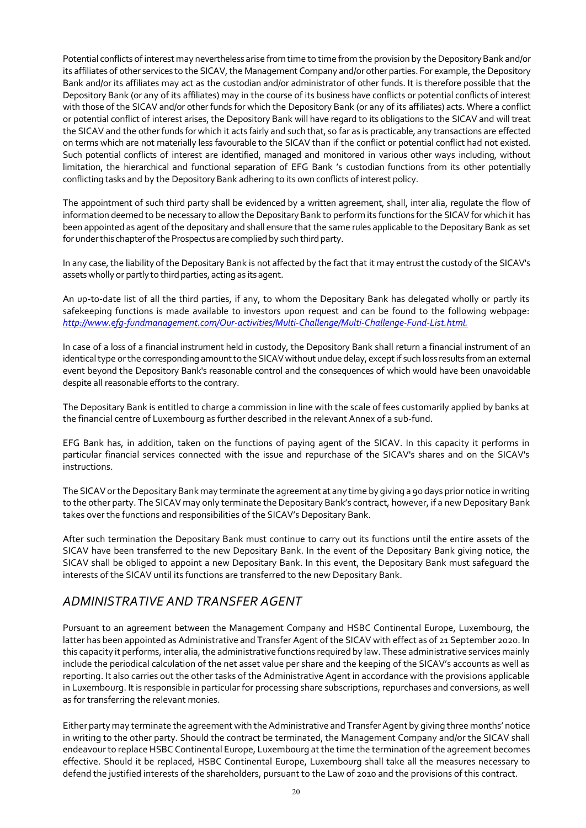Potential conflicts of interest may nevertheless arise from time to time from the provision by the Depository Bank and/or its affiliates of other services to the SICAV, the Management Company and/or other parties. For example, the Depository Bank and/or its affiliates may act as the custodian and/or administrator of other funds. It is therefore possible that the Depository Bank (or any of its affiliates) may in the course of its business have conflicts or potential conflicts of interest with those of the SICAV and/or other funds for which the Depository Bank (or any of its affiliates) acts. Where a conflict or potential conflict of interest arises, the Depository Bank will have regard to its obligations to the SICAV and will treat the SICAV and the other funds for which it acts fairly and such that, so far as is practicable, any transactions are effected on terms which are not materially less favourable to the SICAV than if the conflict or potential conflict had not existed. Such potential conflicts of interest are identified, managed and monitored in various other ways including, without limitation, the hierarchical and functional separation of EFG Bank 's custodian functions from its other potentially conflicting tasks and by the Depository Bank adhering to its own conflicts of interest policy.

The appointment of such third party shall be evidenced by a written agreement, shall, inter alia, regulate the flow of information deemed to be necessary to allow the Depositary Bank to perform its functions for the SICAV for which it has been appointed as agent ofthe depositary and shall ensure that the same rules applicable to the Depositary Bank as set for under this chapter of the Prospectus are complied by such third party.

In any case, the liability of the Depositary Bank is not affected by the fact that it may entrust the custody of the SICAV's assets wholly or partly to third parties, acting as its agent.

An up-to-date list of all the third parties, if any, to whom the Depositary Bank has delegated wholly or partly its safekeeping functions is made available to investors upon request and can be found to the following webpage: *[http://www.efg-fundmanagement.com/Our-activities/Multi-Challenge/Multi-Challenge-Fund-List.html.](http://www.efg-fundmanagement.com/Multi-Challenge/FundList.html)*

In case of a loss of a financial instrument held in custody, the Depository Bank shall return a financial instrument of an identical type or the corresponding amount to the SICAV without undue delay, except if such loss results from an external event beyond the Depository Bank's reasonable control and the consequences of which would have been unavoidable despite all reasonable efforts to the contrary.

The Depositary Bank is entitled to charge a commission in line with the scale of fees customarily applied by banks at the financial centre of Luxembourg as further described in the relevant Annex of a sub-fund.

EFG Bank has, in addition, taken on the functions of paying agent of the SICAV. In this capacity it performs in particular financial services connected with the issue and repurchase of the SICAV's shares and on the SICAV's instructions.

The SICAV or the Depositary Bank may terminate the agreement at any time by giving a 90 days prior notice in writing to the other party. The SICAV may only terminate the Depositary Bank's contract, however, if a new Depositary Bank takes over the functions and responsibilities of the SICAV's Depositary Bank.

After such termination the Depositary Bank must continue to carry out its functions until the entire assets of the SICAV have been transferred to the new Depositary Bank. In the event of the Depositary Bank giving notice, the SICAV shall be obliged to appoint a new Depositary Bank. In this event, the Depositary Bank must safeguard the interests of the SICAV until its functions are transferred to the new Depositary Bank.

# <span id="page-19-0"></span>*ADMINISTRATIVE AND TRANSFER AGENT*

Pursuant to an agreement between the Management Company and HSBC Continental Europe, Luxembourg, the latter has been appointed as Administrative and Transfer Agent of the SICAV with effect as of 21 September 2020. In this capacity it performs, inter alia, the administrative functions required by law. These administrative services mainly include the periodical calculation of the net asset value per share and the keeping of the SICAV's accounts as well as reporting. It also carries out the other tasks of the Administrative Agent in accordance with the provisions applicable in Luxembourg. It is responsible in particular for processing share subscriptions, repurchases and conversions, as well as for transferring the relevant monies.

Either party may terminate the agreement with the Administrative and Transfer Agent by giving three months' notice in writing to the other party. Should the contract be terminated, the Management Company and/or the SICAV shall endeavour to replace HSBC Continental Europe, Luxembourg at the time the termination of the agreement becomes effective. Should it be replaced, HSBC Continental Europe, Luxembourg shall take all the measures necessary to defend the justified interests of the shareholders, pursuant to the Law of 2010 and the provisions of this contract.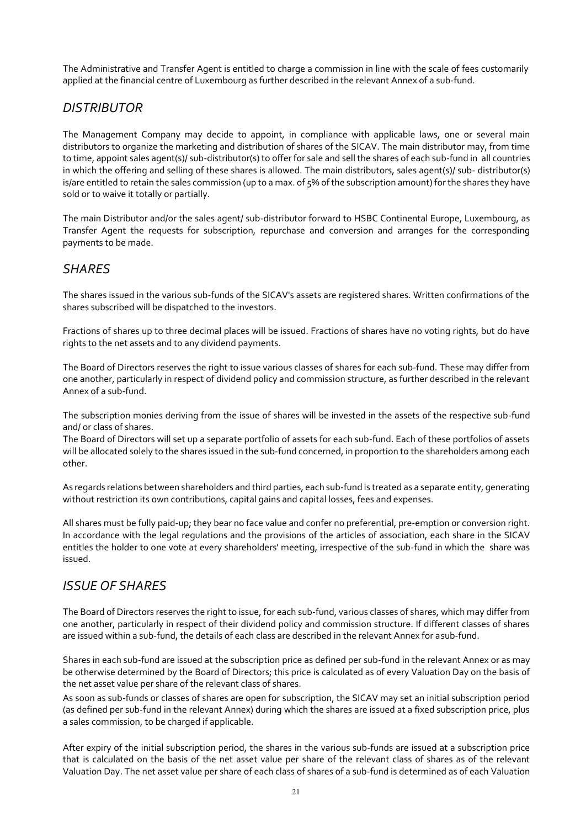The Administrative and Transfer Agent is entitled to charge a commission in line with the scale of fees customarily applied at the financial centre of Luxembourg as further described in the relevant Annex of a sub-fund.

# <span id="page-20-0"></span>*DISTRIBUTOR*

The Management Company may decide to appoint, in compliance with applicable laws, one or several main distributors to organize the marketing and distribution of shares of the SICAV. The main distributor may, from time to time, appoint sales agent(s)/ sub-distributor(s) to offer for sale and sell the shares of each sub-fund in all countries in which the offering and selling of these shares is allowed. The main distributors, sales agent(s)/ sub- distributor(s) is/are entitled to retain the sales commission (up to a max. of 5% of the subscription amount) for the shares they have sold or to waive it totally or partially.

The main Distributor and/or the sales agent/ sub-distributor forward to HSBC Continental Europe, Luxembourg, as Transfer Agent the requests for subscription, repurchase and conversion and arranges for the corresponding payments to be made.

### <span id="page-20-1"></span>*SHARES*

The shares issued in the various sub-funds of the SICAV's assets are registered shares. Written confirmations of the shares subscribed will be dispatched to the investors.

Fractions of shares up to three decimal places will be issued. Fractions of shares have no voting rights, but do have rights to the net assets and to any dividend payments.

The Board of Directors reserves the right to issue various classes of shares for each sub-fund. These may differ from one another, particularly in respect of dividend policy and commission structure, as further described in the relevant Annex of a sub-fund.

The subscription monies deriving from the issue of shares will be invested in the assets of the respective sub-fund and/ or class of shares.

The Board of Directors will set up a separate portfolio of assets for each sub-fund. Each of these portfolios of assets will be allocated solely to the shares issued in the sub-fund concerned, in proportion to the shareholders among each other.

As regards relations between shareholders and third parties, each sub-fund is treated as a separate entity, generating without restriction its own contributions, capital gains and capital losses, fees and expenses.

All shares must be fully paid-up; they bear no face value and confer no preferential, pre-emption or conversion right. In accordance with the legal regulations and the provisions of the articles of association, each share in the SICAV entitles the holder to one vote at every shareholders' meeting, irrespective of the sub-fund in which the share was issued.

# <span id="page-20-2"></span>*ISSUE OF SHARES*

The Board of Directors reserves the right to issue, for each sub-fund, various classes of shares, which may differ from one another, particularly in respect of their dividend policy and commission structure. If different classes of shares are issued within a sub-fund, the details of each class are described in the relevant Annex for asub-fund.

Shares in each sub-fund are issued at the subscription price as defined per sub-fund in the relevant Annex or as may be otherwise determined by the Board of Directors; this price is calculated as of every Valuation Day on the basis of the net asset value per share of the relevant class of shares.

As soon as sub-funds or classes of shares are open for subscription, the SICAV may set an initial subscription period (as defined per sub-fund in the relevant Annex) during which the shares are issued at a fixed subscription price, plus a sales commission, to be charged if applicable.

After expiry of the initial subscription period, the shares in the various sub-funds are issued at a subscription price that is calculated on the basis of the net asset value per share of the relevant class of shares as of the relevant Valuation Day. The net asset value per share of each class of shares of a sub-fund is determined as of each Valuation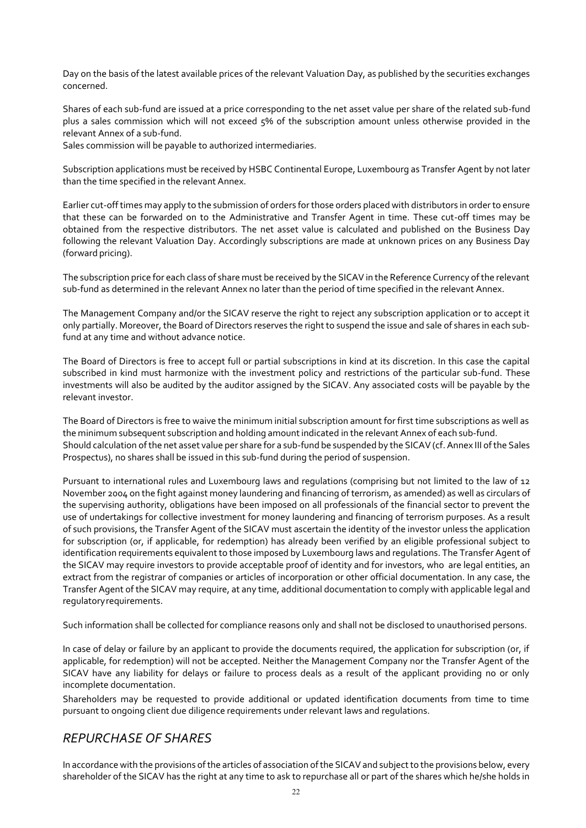Day on the basis of the latest available prices of the relevant Valuation Day, as published by the securities exchanges concerned.

Shares of each sub-fund are issued at a price corresponding to the net asset value per share of the related sub-fund plus a sales commission which will not exceed 5% of the subscription amount unless otherwise provided in the relevant Annex of a sub-fund.

Sales commission will be payable to authorized intermediaries.

Subscription applications must be received by HSBC Continental Europe, Luxembourg as Transfer Agent by not later than the time specified in the relevant Annex.

Earlier cut-off times may apply to the submission of orders for those orders placed with distributors in order to ensure that these can be forwarded on to the Administrative and Transfer Agent in time. These cut-off times may be obtained from the respective distributors. The net asset value is calculated and published on the Business Day following the relevant Valuation Day. Accordingly subscriptions are made at unknown prices on any Business Day (forward pricing).

The subscription price for each class of share must be received by the SICAV in the Reference Currency of the relevant sub-fund as determined in the relevant Annex no later than the period of time specified in the relevant Annex.

The Management Company and/or the SICAV reserve the right to reject any subscription application or to accept it only partially. Moreover, the Board of Directors reserves the right to suspend the issue and sale of shares in each subfund at any time and without advance notice.

The Board of Directors is free to accept full or partial subscriptions in kind at its discretion. In this case the capital subscribed in kind must harmonize with the investment policy and restrictions of the particular sub-fund. These investments will also be audited by the auditor assigned by the SICAV. Any associated costs will be payable by the relevant investor.

The Board of Directors is free to waive the minimum initial subscription amount for first time subscriptions as well as the minimum subsequent subscription and holding amountindicated in the relevant Annex of each sub-fund. Should calculation of the net asset value per share for a sub-fund be suspended by the SICAV (cf. Annex III of the Sales Prospectus), no shares shall be issued in this sub-fund during the period of suspension.

Pursuant to international rules and Luxembourg laws and regulations (comprising but not limited to the law of 12 November 2004 on the fight against money laundering and financing of terrorism, as amended) as well as circulars of the supervising authority, obligations have been imposed on all professionals of the financial sector to prevent the use of undertakings for collective investment for money laundering and financing of terrorism purposes. As a result of such provisions, the Transfer Agent of the SICAV must ascertain the identity of the investor unless the application for subscription (or, if applicable, for redemption) has already been verified by an eligible professional subject to identification requirements equivalent to those imposed by Luxembourg laws and regulations. The Transfer Agent of the SICAV may require investors to provide acceptable proof of identity and for investors, who are legal entities, an extract from the registrar of companies or articles of incorporation or other official documentation. In any case, the Transfer Agent of the SICAV may require, at any time, additional documentation to comply with applicable legal and regulatoryrequirements.

Such information shall be collected for compliance reasons only and shall not be disclosed to unauthorised persons.

In case of delay or failure by an applicant to provide the documents required, the application for subscription (or, if applicable, for redemption) will not be accepted. Neither the Management Company nor the Transfer Agent of the SICAV have any liability for delays or failure to process deals as a result of the applicant providing no or only incomplete documentation.

Shareholders may be requested to provide additional or updated identification documents from time to time pursuant to ongoing client due diligence requirements under relevant laws and regulations.

### <span id="page-21-0"></span>*REPURCHASE OF SHARES*

In accordance with the provisions of the articles of association of the SICAV and subject to the provisions below, every shareholder of the SICAV has the right at any time to ask to repurchase all or part of the shares which he/she holds in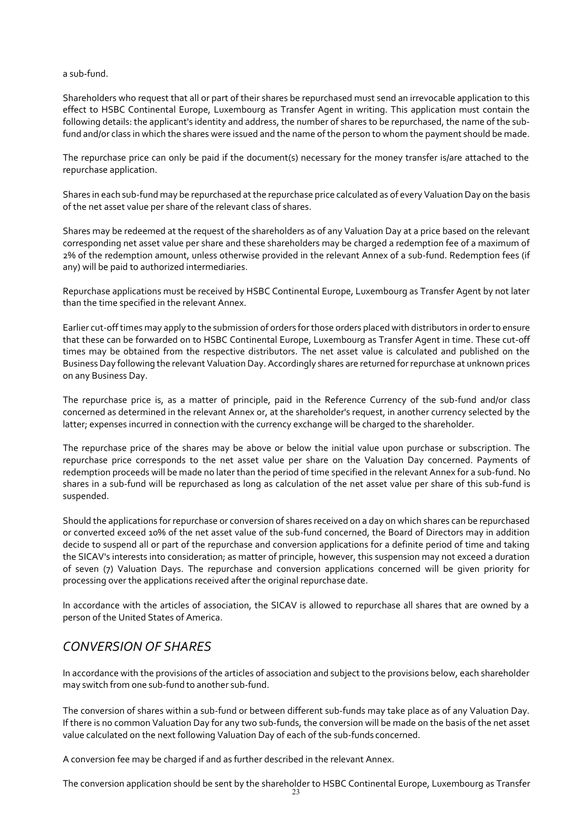a sub-fund.

Shareholders who request that all or part of their shares be repurchased must send an irrevocable application to this effect to HSBC Continental Europe, Luxembourg as Transfer Agent in writing. This application must contain the following details: the applicant's identity and address, the number of shares to be repurchased, the name of the subfund and/or class in which the shares were issued and the name of the person to whom the payment should be made.

The repurchase price can only be paid if the document(s) necessary for the money transfer is/are attached to the repurchase application.

Shares in each sub-fund may be repurchased at the repurchase price calculated as of every Valuation Day on the basis of the net asset value per share of the relevant class of shares.

Shares may be redeemed at the request of the shareholders as of any Valuation Day at a price based on the relevant corresponding net asset value per share and these shareholders may be charged a redemption fee of a maximum of 2% of the redemption amount, unless otherwise provided in the relevant Annex of a sub-fund. Redemption fees (if any) will be paid to authorized intermediaries.

Repurchase applications must be received by HSBC Continental Europe, Luxembourg as Transfer Agent by not later than the time specified in the relevant Annex.

Earlier cut-off times may apply to the submission of orders for those orders placed with distributors in order to ensure that these can be forwarded on to HSBC Continental Europe, Luxembourg as Transfer Agent in time. These cut-off times may be obtained from the respective distributors. The net asset value is calculated and published on the Business Day following the relevant Valuation Day. Accordingly shares are returned for repurchase at unknown prices on any Business Day.

The repurchase price is, as a matter of principle, paid in the Reference Currency of the sub-fund and/or class concerned as determined in the relevant Annex or, at the shareholder's request, in another currency selected by the latter; expenses incurred in connection with the currency exchange will be charged to the shareholder.

The repurchase price of the shares may be above or below the initial value upon purchase or subscription. The repurchase price corresponds to the net asset value per share on the Valuation Day concerned. Payments of redemption proceeds will be made no later than the period of time specified in the relevant Annex for a sub-fund. No shares in a sub-fund will be repurchased as long as calculation of the net asset value per share of this sub-fund is suspended.

Should the applications for repurchase or conversion of shares received on a day on which shares can be repurchased or converted exceed 10% of the net asset value of the sub-fund concerned, the Board of Directors may in addition decide to suspend all or part of the repurchase and conversion applications for a definite period of time and taking the SICAV's interests into consideration; as matter of principle, however, this suspension may not exceed a duration of seven (7) Valuation Days. The repurchase and conversion applications concerned will be given priority for processing over the applications received after the original repurchase date.

In accordance with the articles of association, the SICAV is allowed to repurchase all shares that are owned by a person of the United States of America.

### <span id="page-22-0"></span>*CONVERSION OF SHARES*

In accordance with the provisions of the articles of association and subject to the provisions below, each shareholder may switch from one sub-fund to another sub-fund.

The conversion of shares within a sub-fund or between different sub-funds may take place as of any Valuation Day. If there is no common Valuation Day for any two sub-funds, the conversion will be made on the basis of the net asset value calculated on the next following Valuation Day of each of the sub-funds concerned.

A conversion fee may be charged if and as further described in the relevant Annex.

The conversion application should be sent by the shareholder to HSBC Continental Europe, Luxembourg as Transfer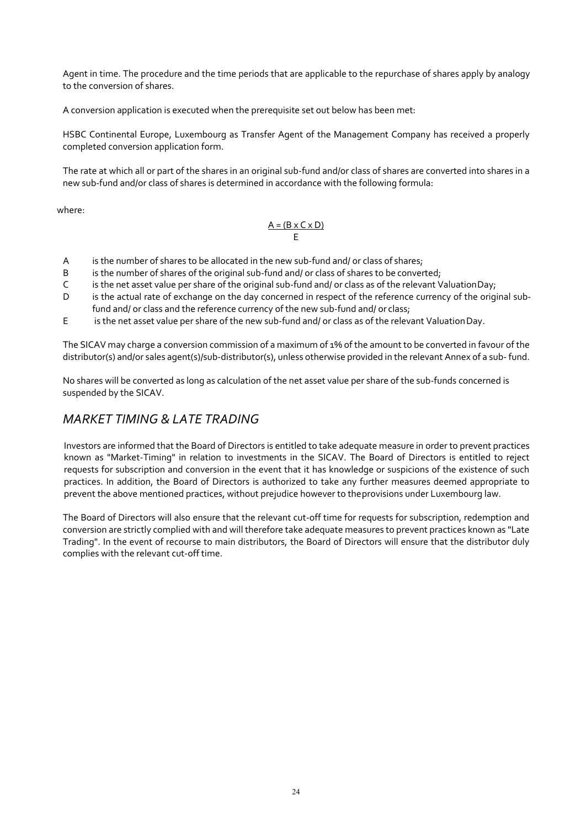Agent in time. The procedure and the time periods that are applicable to the repurchase of shares apply by analogy to the conversion of shares.

A conversion application is executed when the prerequisite set out below has been met:

HSBC Continental Europe, Luxembourg as Transfer Agent of the Management Company has received a properly completed conversion application form.

The rate at which all or part of the shares in an original sub-fund and/or class of shares are converted into shares in a new sub-fund and/or class of shares is determined in accordance with the following formula:

where:

#### $A = (B \times C \times D)$ E

- A is the number of shares to be allocated in the new sub-fund and/ or class of shares;
- B is the number of shares of the original sub-fund and/ or class of shares to be converted;
- C is the net asset value per share of the original sub-fund and/ or class as of the relevant ValuationDay;
- D is the actual rate of exchange on the day concerned in respect of the reference currency of the original subfund and/ or class and the reference currency of the new sub-fund and/ or class;
- E is the net asset value per share of the new sub-fund and/ or class as of the relevant ValuationDay.

The SICAV may charge a conversion commission of a maximum of 1% of the amount to be converted in favour of the distributor(s) and/or sales agent(s)/sub-distributor(s), unless otherwise provided in the relevant Annex of a sub- fund.

No shares will be converted as long as calculation of the net asset value per share of the sub-funds concerned is suspended by the SICAV.

# <span id="page-23-0"></span>*MARKET TIMING & LATE TRADING*

Investors are informed that the Board of Directors is entitled to take adequate measure in order to prevent practices known as "Market-Timing" in relation to investments in the SICAV. The Board of Directors is entitled to reject requests for subscription and conversion in the event that it has knowledge or suspicions of the existence of such practices. In addition, the Board of Directors is authorized to take any further measures deemed appropriate to prevent the above mentioned practices, without prejudice however to theprovisions under Luxembourg law.

The Board of Directors will also ensure that the relevant cut-off time for requests for subscription, redemption and conversion are strictly complied with and will therefore take adequate measures to prevent practices known as "Late Trading". In the event of recourse to main distributors, the Board of Directors will ensure that the distributor duly complies with the relevant cut-off time.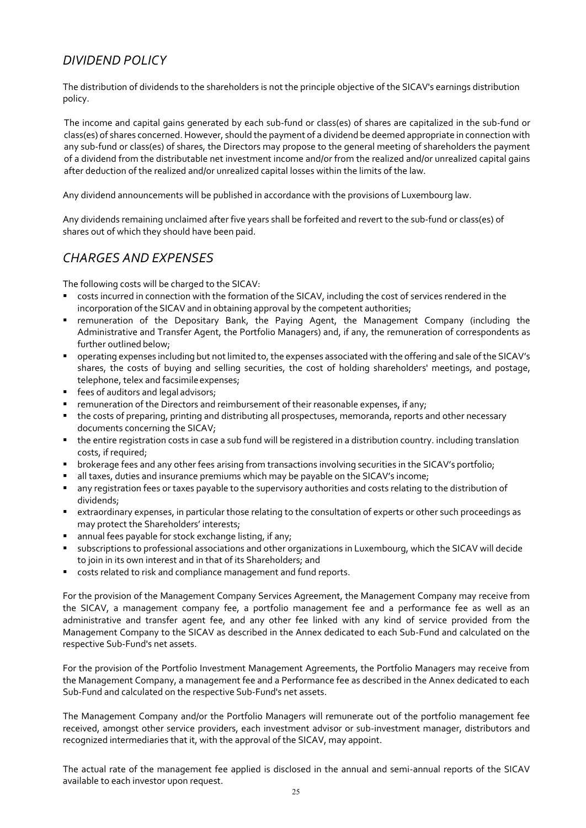### <span id="page-24-0"></span>*DIVIDEND POLICY*

The distribution of dividends to the shareholders is not the principle objective of the SICAV's earnings distribution policy.

The income and capital gains generated by each sub-fund or class(es) of shares are capitalized in the sub-fund or class(es) of shares concerned. However, should the payment of a dividend be deemed appropriate in connection with any sub-fund or class(es) of shares, the Directors may propose to the general meeting of shareholders the payment of a dividend from the distributable net investment income and/or from the realized and/or unrealized capital gains after deduction of the realized and/or unrealized capital losses within the limits of the law.

Any dividend announcements will be published in accordance with the provisions of Luxembourg law.

Any dividends remaining unclaimed after five years shall be forfeited and revert to the sub-fund or class(es) of shares out of which they should have been paid.

### <span id="page-24-1"></span>*CHARGES AND EXPENSES*

The following costs will be charged to the SICAV:

- costs incurred in connection with the formation of the SICAV, including the cost of services rendered in the incorporation of the SICAV and in obtaining approval by the competent authorities;
- remuneration of the Depositary Bank, the Paying Agent, the Management Company (including the Administrative and Transfer Agent, the Portfolio Managers) and, if any, the remuneration of correspondents as further outlined below;
- operating expenses including but not limited to, the expenses associated with the offering and sale of the SICAV's shares, the costs of buying and selling securities, the cost of holding shareholders' meetings, and postage, telephone, telex and facsimile expenses;
- fees of auditors and legal advisors:
- remuneration of the Directors and reimbursement of their reasonable expenses, if any;
- the costs of preparing, printing and distributing all prospectuses, memoranda, reports and other necessary documents concerning the SICAV;
- the entire registration costs in case a sub fund will be registered in a distribution country. including translation costs, if required;
- brokerage fees and any other fees arising from transactions involving securities in the SICAV's portfolio;
- all taxes, duties and insurance premiums which may be payable on the SICAV's income;
- any registration fees or taxes payable to the supervisory authorities and costs relating to the distribution of dividends;
- extraordinary expenses, in particular those relating to the consultation of experts or other such proceedings as may protect the Shareholders' interests;
- annual fees payable for stock exchange listing, if any;
- subscriptions to professional associations and other organizations in Luxembourg, which the SICAV will decide to join in its own interest and in that of its Shareholders; and
- costs related to risk and compliance management and fund reports.

For the provision of the Management Company Services Agreement, the Management Company may receive from the SICAV, a management company fee, a portfolio management fee and a performance fee as well as an administrative and transfer agent fee, and any other fee linked with any kind of service provided from the Management Company to the SICAV as described in the Annex dedicated to each Sub-Fund and calculated on the respective Sub-Fund's net assets.

For the provision of the Portfolio Investment Management Agreements, the Portfolio Managers may receive from the Management Company, a management fee and a Performance fee as described in the Annex dedicated to each Sub-Fund and calculated on the respective Sub-Fund's net assets.

The Management Company and/or the Portfolio Managers will remunerate out of the portfolio management fee received, amongst other service providers, each investment advisor or sub-investment manager, distributors and recognized intermediaries that it, with the approval of the SICAV, may appoint.

The actual rate of the management fee applied is disclosed in the annual and semi-annual reports of the SICAV available to each investor upon request.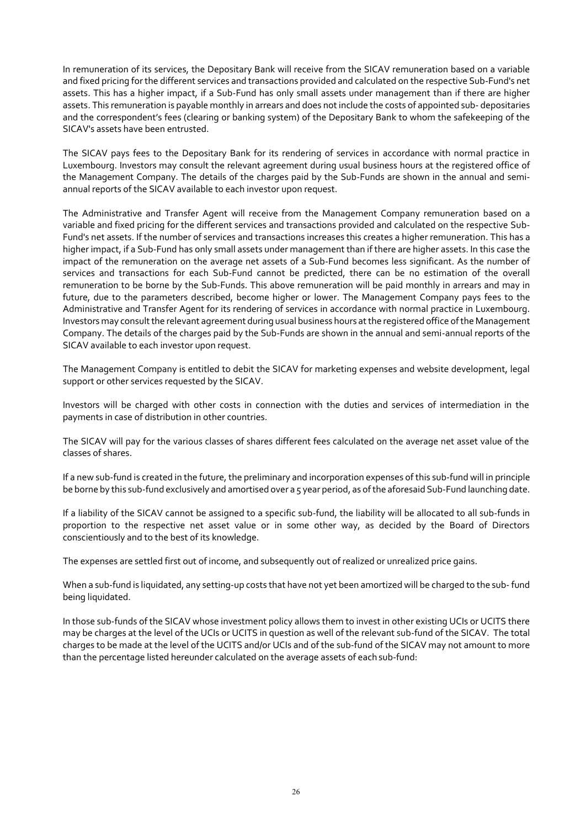In remuneration of its services, the Depositary Bank will receive from the SICAV remuneration based on a variable and fixed pricing for the different services and transactions provided and calculated on the respective Sub-Fund's net assets. This has a higher impact, if a Sub-Fund has only small assets under management than if there are higher assets. This remuneration is payable monthly in arrears and does not include the costs of appointed sub- depositaries and the correspondent's fees (clearing or banking system) of the Depositary Bank to whom the safekeeping of the SICAV's assets have been entrusted.

The SICAV pays fees to the Depositary Bank for its rendering of services in accordance with normal practice in Luxembourg. Investors may consult the relevant agreement during usual business hours at the registered office of the Management Company. The details of the charges paid by the Sub-Funds are shown in the annual and semiannual reports of the SICAV available to each investor upon request.

The Administrative and Transfer Agent will receive from the Management Company remuneration based on a variable and fixed pricing for the different services and transactions provided and calculated on the respective Sub-Fund's net assets. If the number of services and transactions increases this creates a higher remuneration. This has a higher impact, if a Sub-Fund has only small assets under management than if there are higher assets. In this case the impact of the remuneration on the average net assets of a Sub-Fund becomes less significant. As the number of services and transactions for each Sub-Fund cannot be predicted, there can be no estimation of the overall remuneration to be borne by the Sub-Funds. This above remuneration will be paid monthly in arrears and may in future, due to the parameters described, become higher or lower. The Management Company pays fees to the Administrative and Transfer Agent for its rendering of services in accordance with normal practice in Luxembourg. Investors may consult the relevant agreement during usual business hours at the registered office of the Management Company. The details of the charges paid by the Sub-Funds are shown in the annual and semi-annual reports of the SICAV available to each investor upon request.

The Management Company is entitled to debit the SICAV for marketing expenses and website development, legal support or other services requested by the SICAV.

Investors will be charged with other costs in connection with the duties and services of intermediation in the payments in case of distribution in other countries.

The SICAV will pay for the various classes of shares different fees calculated on the average net asset value of the classes of shares.

If a new sub-fund is created in the future, the preliminary and incorporation expenses of this sub-fund will in principle be borne by this sub-fund exclusively and amortised over a 5 year period, as of the aforesaid Sub-Fund launching date.

If a liability of the SICAV cannot be assigned to a specific sub-fund, the liability will be allocated to all sub-funds in proportion to the respective net asset value or in some other way, as decided by the Board of Directors conscientiously and to the best of its knowledge.

The expenses are settled first out of income, and subsequently out of realized or unrealized price gains.

When a sub-fund is liquidated, any setting-up costs that have not yet been amortized will be charged to the sub- fund being liquidated.

In those sub-funds of the SICAV whose investment policy allows them to invest in other existing UCIs or UCITS there may be charges at the level of the UCIs or UCITS in question as well of the relevant sub-fund of the SICAV. The total charges to be made at the level of the UCITS and/or UCIs and of the sub-fund of the SICAV may not amount to more than the percentage listed hereunder calculated on the average assets of each sub-fund: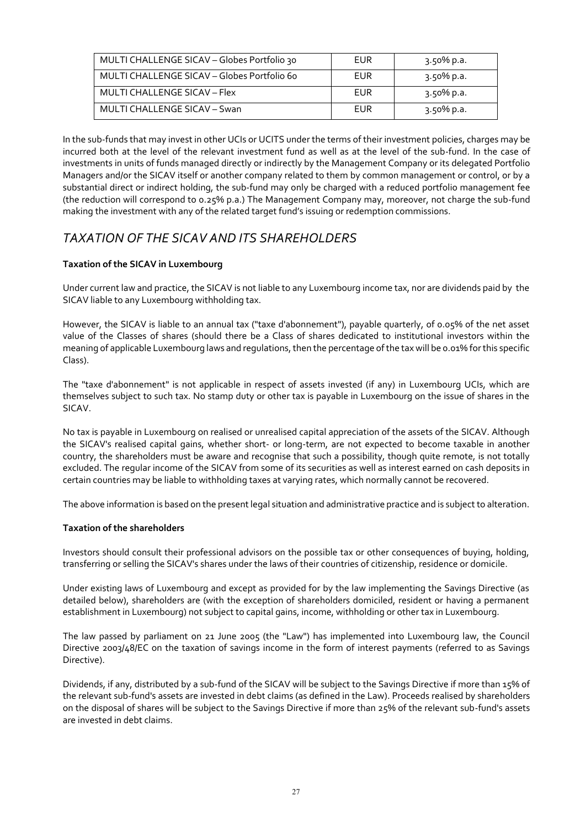| MULTI CHALLENGE SICAV - Globes Portfolio 30 | EUR        | 3.50% p.a. |
|---------------------------------------------|------------|------------|
| MULTI CHALLENGE SICAV – Globes Portfolio 60 | <b>EUR</b> | 3.50% p.a. |
| MULTI CHALLENGE SICAV – Flex                | EUR        | 3.50% p.a. |
| MULTI CHALLENGE SICAV - Swan                | EUR        | 3.50% p.a. |

In the sub-funds that may invest in other UCIs or UCITS under the terms of their investment policies, charges may be incurred both at the level of the relevant investment fund as well as at the level of the sub-fund. In the case of investments in units of funds managed directly or indirectly by the Management Company or its delegated Portfolio Managers and/or the SICAV itself or another company related to them by common management or control, or by a substantial direct or indirect holding, the sub-fund may only be charged with a reduced portfolio management fee (the reduction will correspond to 0.25% p.a.) The Management Company may, moreover, not charge the sub-fund making the investment with any of the related target fund's issuing or redemption commissions.

# <span id="page-26-0"></span>*TAXATION OF THE SICAV AND ITS SHAREHOLDERS*

#### **Taxation of the SICAV in Luxembourg**

Under current law and practice, the SICAV is not liable to any Luxembourg income tax, nor are dividends paid by the SICAV liable to any Luxembourg withholding tax.

However, the SICAV is liable to an annual tax ("taxe d'abonnement"), payable quarterly, of 0.05% of the net asset value of the Classes of shares (should there be a Class of shares dedicated to institutional investors within the meaning of applicable Luxembourg laws and regulations, then the percentage of the tax will be 0.01% for this specific Class).

The "taxe d'abonnement" is not applicable in respect of assets invested (if any) in Luxembourg UCIs, which are themselves subject to such tax. No stamp duty or other tax is payable in Luxembourg on the issue of shares in the SICAV.

No tax is payable in Luxembourg on realised or unrealised capital appreciation of the assets of the SICAV. Although the SICAV's realised capital gains, whether short- or long-term, are not expected to become taxable in another country, the shareholders must be aware and recognise that such a possibility, though quite remote, is not totally excluded. The regular income of the SICAV from some of its securities as well as interest earned on cash deposits in certain countries may be liable to withholding taxes at varying rates, which normally cannot be recovered.

The above information is based on the present legal situation and administrative practice and is subject to alteration.

#### **Taxation of the shareholders**

Investors should consult their professional advisors on the possible tax or other consequences of buying, holding, transferring or selling the SICAV's shares under the laws of their countries of citizenship, residence or domicile.

Under existing laws of Luxembourg and except as provided for by the law implementing the Savings Directive (as detailed below), shareholders are (with the exception of shareholders domiciled, resident or having a permanent establishment in Luxembourg) not subject to capital gains, income, withholding or other tax in Luxembourg.

The law passed by parliament on 21 June 2005 (the "Law") has implemented into Luxembourg law, the Council Directive 2003/48/EC on the taxation of savings income in the form of interest payments (referred to as Savings Directive).

Dividends, if any, distributed by a sub-fund of the SICAV will be subject to the Savings Directive if more than 15% of the relevant sub-fund's assets are invested in debt claims (as defined in the Law). Proceeds realised by shareholders on the disposal of shares will be subject to the Savings Directive if more than 25% of the relevant sub-fund's assets are invested in debt claims.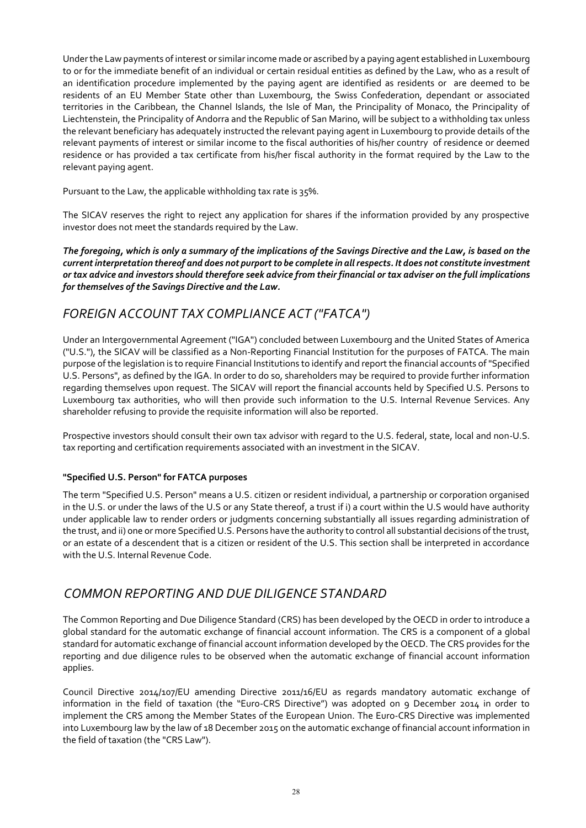Under the Law payments of interest or similar income made or ascribed by a paying agent established in Luxembourg to or for the immediate benefit of an individual or certain residual entities as defined by the Law, who as a result of an identification procedure implemented by the paying agent are identified as residents or are deemed to be residents of an EU Member State other than Luxembourg, the Swiss Confederation, dependant or associated territories in the Caribbean, the Channel Islands, the Isle of Man, the Principality of Monaco, the Principality of Liechtenstein, the Principality of Andorra and the Republic of San Marino, will be subject to a withholding tax unless the relevant beneficiary has adequately instructed the relevant paying agent in Luxembourg to provide details of the relevant payments of interest or similar income to the fiscal authorities of his/her country of residence or deemed residence or has provided a tax certificate from his/her fiscal authority in the format required by the Law to the relevant paying agent.

Pursuant to the Law, the applicable withholding tax rate is 35%.

The SICAV reserves the right to reject any application for shares if the information provided by any prospective investor does not meet the standards required by the Law.

*The foregoing, which is only a summary of the implications of the Savings Directive and the Law, is based on the current interpretation thereof and does not purport to be complete in all respects. It does not constitute investment or tax advice and investors should therefore seek advice from their financial or tax adviser on the full implications for themselves of the Savings Directive and the Law.*

### <span id="page-27-0"></span>*FOREIGN ACCOUNT TAX COMPLIANCE ACT ("FATCA")*

Under an Intergovernmental Agreement ("IGA") concluded between Luxembourg and the United States of America ("U.S."), the SICAV will be classified as a Non-Reporting Financial Institution for the purposes of FATCA. The main purpose of the legislation is to require Financial Institutions to identify and report the financial accounts of "Specified U.S. Persons", as defined by the IGA. In order to do so, shareholders may be required to provide further information regarding themselves upon request. The SICAV will report the financial accounts held by Specified U.S. Persons to Luxembourg tax authorities, who will then provide such information to the U.S. Internal Revenue Services. Any shareholder refusing to provide the requisite information will also be reported.

Prospective investors should consult their own tax advisor with regard to the U.S. federal, state, local and non-U.S. tax reporting and certification requirements associated with an investment in the SICAV.

#### **"Specified U.S. Person" for FATCA purposes**

The term "Specified U.S. Person" means a U.S. citizen or resident individual, a partnership or corporation organised in the U.S. or under the laws of the U.S or any State thereof, a trust if i) a court within the U.S would have authority under applicable law to render orders or judgments concerning substantially all issues regarding administration of the trust, and ii) one or more Specified U.S. Persons have the authority to control all substantial decisions of the trust, or an estate of a descendent that is a citizen or resident of the U.S. This section shall be interpreted in accordance with the U.S. Internal Revenue Code.

### <span id="page-27-1"></span>*COMMON REPORTING AND DUE DILIGENCE STANDARD*

The Common Reporting and Due Diligence Standard (CRS) has been developed by the OECD in order to introduce a global standard for the automatic exchange of financial account information. The CRS is a component of a global standard for automatic exchange of financial account information developed by the OECD. The CRS provides for the reporting and due diligence rules to be observed when the automatic exchange of financial account information applies.

Council Directive 2014/107/EU amending Directive 2011/16/EU as regards mandatory automatic exchange of information in the field of taxation (the "Euro-CRS Directive") was adopted on 9 December 2014 in order to implement the CRS among the Member States of the European Union. The Euro-CRS Directive was implemented into Luxembourg law by the law of 18 December 2015 on the automatic exchange of financial account information in the field of taxation (the "CRS Law").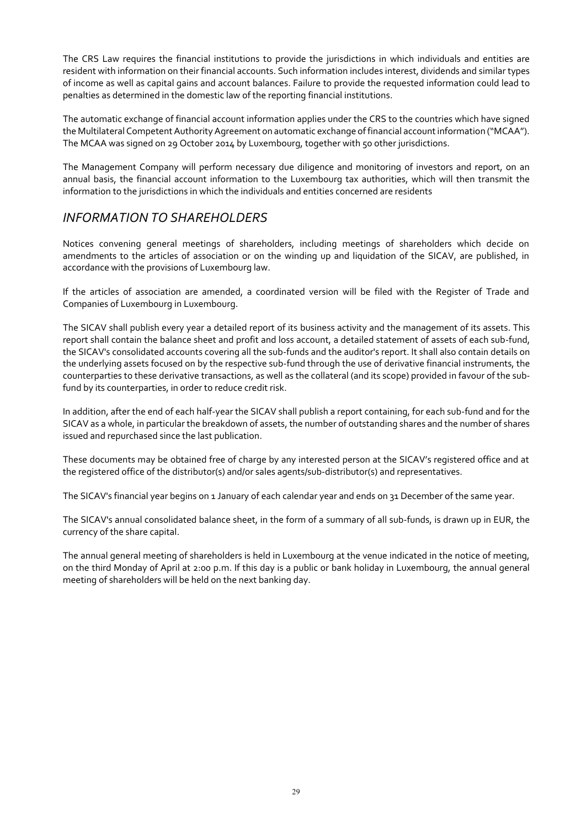The CRS Law requires the financial institutions to provide the jurisdictions in which individuals and entities are resident with information on their financial accounts. Such information includes interest, dividends and similar types of income as well as capital gains and account balances. Failure to provide the requested information could lead to penalties as determined in the domestic law of the reporting financial institutions.

The automatic exchange of financial account information applies under the CRS to the countries which have signed the Multilateral Competent Authority Agreement on automatic exchange of financial account information ("MCAA"). The MCAA was signed on 29 October 2014 by Luxembourg, together with 50 other jurisdictions.

The Management Company will perform necessary due diligence and monitoring of investors and report, on an annual basis, the financial account information to the Luxembourg tax authorities, which will then transmit the information to the jurisdictions in which the individuals and entities concerned are residents

# <span id="page-28-0"></span>*INFORMATION TO SHAREHOLDERS*

Notices convening general meetings of shareholders, including meetings of shareholders which decide on amendments to the articles of association or on the winding up and liquidation of the SICAV, are published, in accordance with the provisions of Luxembourg law.

If the articles of association are amended, a coordinated version will be filed with the Register of Trade and Companies of Luxembourg in Luxembourg.

The SICAV shall publish every year a detailed report of its business activity and the management of its assets. This report shall contain the balance sheet and profit and loss account, a detailed statement of assets of each sub-fund, the SICAV's consolidated accounts covering all the sub-funds and the auditor's report. It shall also contain details on the underlying assets focused on by the respective sub-fund through the use of derivative financial instruments, the counterparties to these derivative transactions, as well as the collateral (and its scope) provided in favour of the subfund by its counterparties, in order to reduce credit risk.

In addition, after the end of each half-year the SICAV shall publish a report containing, for each sub-fund and for the SICAV as a whole, in particular the breakdown of assets, the number of outstanding shares and the number of shares issued and repurchased since the last publication.

These documents may be obtained free of charge by any interested person at the SICAV's registered office and at the registered office of the distributor(s) and/or sales agents/sub-distributor(s) and representatives.

The SICAV's financial year begins on 1 January of each calendar year and ends on 31 December of the same year.

The SICAV's annual consolidated balance sheet, in the form of a summary of all sub-funds, is drawn up in EUR, the currency of the share capital.

The annual general meeting of shareholders is held in Luxembourg at the venue indicated in the notice of meeting, on the third Monday of April at 2:00 p.m. If this day is a public or bank holiday in Luxembourg, the annual general meeting of shareholders will be held on the next banking day.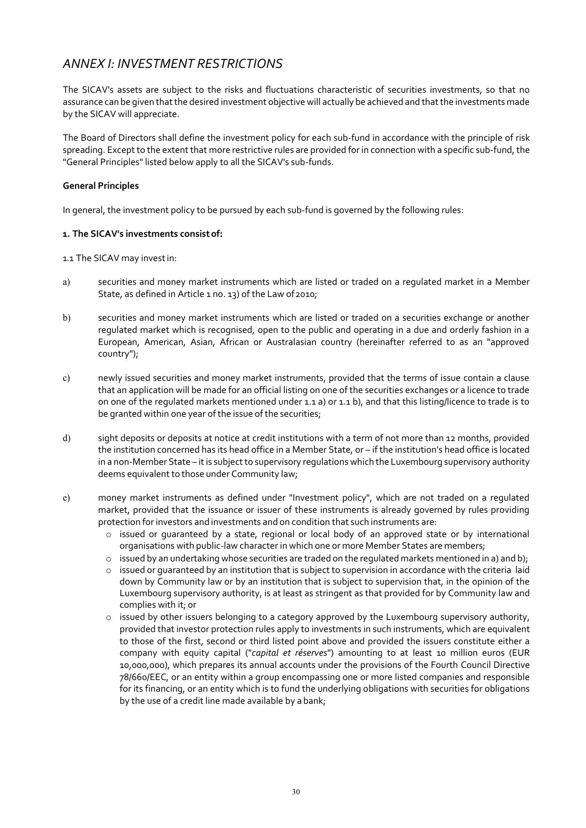# <span id="page-29-0"></span>*ANNEX I: INVESTMENT RESTRICTIONS*

The SICAV's assets are subject to the risks and fluctuations characteristic of securities investments, so that no assurance can be given that the desired investment objective will actually be achieved and that the investments made by the SICAV will appreciate.

The Board of Directors shall define the investment policy for each sub-fund in accordance with the principle of risk spreading. Except to the extent that more restrictive rules are provided for in connection with a specific sub-fund, the "General Principles" listed below apply to all the SICAV's sub-funds.

#### **General Principles**

In general, the investment policy to be pursued by each sub-fund is governed by the following rules:

#### **1. The SICAV's investments consistof:**

1.1 The SICAV may invest in:

- a) securities and money market instruments which are listed or traded on a regulated market in a Member State, as defined in Article 1 no. 13) of the Law of 2010;
- b) securities and money market instruments which are listed or traded on a securities exchange or another regulated market which is recognised, open to the public and operating in a due and orderly fashion in a European, American, Asian, African or Australasian country (hereinafter referred to as an "approved country");
- c) newly issued securities and money market instruments, provided that the terms of issue contain a clause that an application will be made for an official listing on one of the securities exchanges or a licence to trade on one of the regulated markets mentioned under 1.1 a) or 1.1 b), and that this listing/licence to trade is to be granted within one year of the issue of the securities;
- d) sight deposits or deposits at notice at credit institutions with a term of not more than 12 months, provided the institution concerned has its head office in a Member State, or – if the institution's head office is located in a non-Member State – it is subject to supervisory regulations which the Luxembourg supervisory authority deems equivalent to those under Community law;
- e) money market instruments as defined under "Investment policy", which are not traded on a regulated market, provided that the issuance or issuer of these instruments is already governed by rules providing protection for investors and investments and on condition that such instruments are:
	- o issued or guaranteed by a state, regional or local body of an approved state or by international organisations with public-law character in which one or more Member States are members;
	- o issued by an undertaking whose securities are traded on the regulated markets mentioned in a) and b);<br>o issued or quaranteed by an institution that is subiect to supervision in accordance with the criterial laid
	- issued or guaranteed by an institution that is subject to supervision in accordance with the criteria laid down by Community law or by an institution that is subject to supervision that, in the opinion of the Luxembourg supervisory authority, is at least as stringent as that provided for by Community law and complies with it; or
	- $\circ$  issued by other issuers belonging to a category approved by the Luxembourg supervisory authority, provided that investor protection rules apply to investments in such instruments, which are equivalent to those of the first, second or third listed point above and provided the issuers constitute either a company with equity capital ("*capital et réserves*") amounting to at least 10 million euros (EUR 10,000,000), which prepares its annual accounts under the provisions of the Fourth Council Directive 78/660/EEC, or an entity within a group encompassing one or more listed companies and responsible for its financing, or an entity which is to fund the underlying obligations with securities for obligations by the use of a credit line made available by a bank;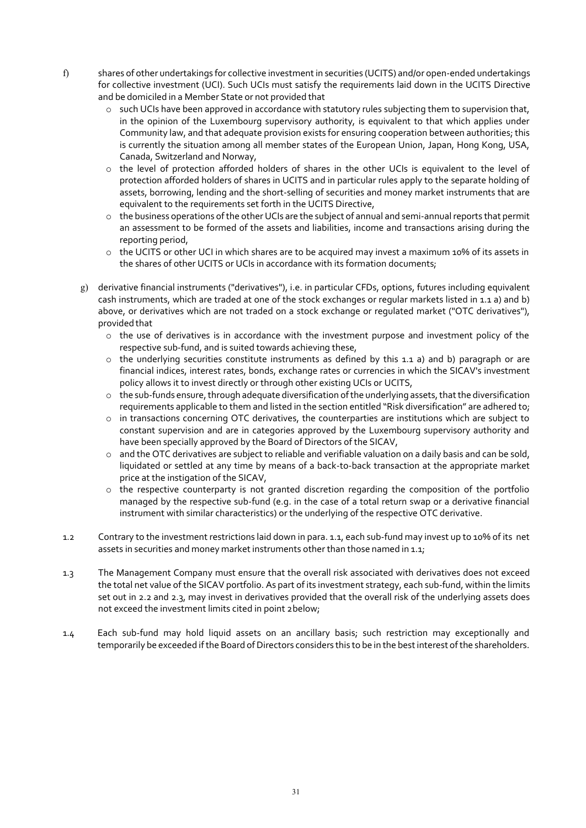- f) shares of other undertakings for collective investment in securities (UCITS) and/or open-ended undertakings for collective investment (UCI). Such UCIs must satisfy the requirements laid down in the UCITS Directive and be domiciled in a Member State or not provided that
	- o such UCIs have been approved in accordance with statutory rules subjecting them to supervision that, in the opinion of the Luxembourg supervisory authority, is equivalent to that which applies under Community law, and that adequate provision exists for ensuring cooperation between authorities; this is currently the situation among all member states of the European Union, Japan, Hong Kong, USA, Canada, Switzerland and Norway,
	- o the level of protection afforded holders of shares in the other UCIs is equivalent to the level of protection afforded holders of shares in UCITS and in particular rules apply to the separate holding of assets, borrowing, lending and the short-selling of securities and money market instruments that are equivalent to the requirements set forth in the UCITS Directive,
	- o the business operations of the other UCIs are the subject of annual and semi-annual reports that permit an assessment to be formed of the assets and liabilities, income and transactions arising during the reporting period,
	- o the UCITS or other UCI in which shares are to be acquired may invest a maximum 10% of its assets in the shares of other UCITS or UCIs in accordance with its formation documents;
	- g) derivative financial instruments ("derivatives"), i.e. in particular CFDs, options, futures including equivalent cash instruments, which are traded at one of the stock exchanges or regular markets listed in 1.1 a) and b) above, or derivatives which are not traded on a stock exchange or regulated market ("OTC derivatives"), provided that
		- o the use of derivatives is in accordance with the investment purpose and investment policy of the respective sub-fund, and is suited towards achieving these,
		- $\circ$  the underlying securities constitute instruments as defined by this 1.1 a) and b) paragraph or are financial indices, interest rates, bonds, exchange rates or currencies in which the SICAV's investment policy allows it to invest directly or through other existing UCIs or UCITS,
		- $\circ$  the sub-funds ensure, through adequate diversification of the underlying assets, that the diversification requirements applicable to them and listed in the section entitled "Risk diversification" are adhered to;
		- o in transactions concerning OTC derivatives, the counterparties are institutions which are subject to constant supervision and are in categories approved by the Luxembourg supervisory authority and have been specially approved by the Board of Directors of the SICAV,
		- o and the OTC derivatives are subject to reliable and verifiable valuation on a daily basis and can be sold, liquidated or settled at any time by means of a back-to-back transaction at the appropriate market price at the instigation of the SICAV,
		- o the respective counterparty is not granted discretion regarding the composition of the portfolio managed by the respective sub-fund (e.g. in the case of a total return swap or a derivative financial instrument with similar characteristics) or the underlying of the respective OTC derivative.
- 1.2 Contrary to the investment restrictions laid down in para. 1.1, each sub-fund may invest up to 10% of its net assets in securities and money market instruments other than those named in 1.1;
- 1.3 The Management Company must ensure that the overall risk associated with derivatives does not exceed the total net value of the SICAV portfolio. As part of its investment strategy, each sub-fund, within the limits set out in 2.2 and 2.3, may invest in derivatives provided that the overall risk of the underlying assets does not exceed the investment limits cited in point 2below;
- 1.4 Each sub-fund may hold liquid assets on an ancillary basis; such restriction may exceptionally and temporarily be exceeded if the Board of Directors considers this to be in the best interest of the shareholders.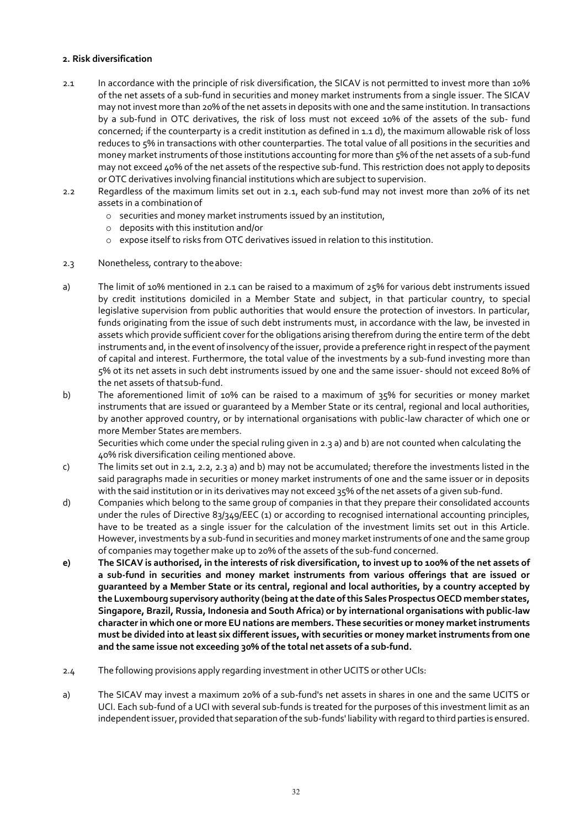#### **2. Risk diversification**

- 2.1 In accordance with the principle of risk diversification, the SICAV is not permitted to invest more than 10% of the net assets of a sub-fund in securities and money market instruments from a single issuer. The SICAV may not invest more than 20% of the net assets in deposits with one and the same institution. In transactions by a sub-fund in OTC derivatives, the risk of loss must not exceed 10% of the assets of the sub- fund concerned; if the counterparty is a credit institution as defined in 1.1 d), the maximum allowable risk of loss reduces to 5% in transactions with other counterparties. The total value of all positions in the securities and money market instruments of those institutions accounting for more than 5% of the net assets of a sub-fund may not exceed 40% of the net assets of the respective sub-fund. This restriction does not apply to deposits or OTC derivatives involving financial institutions which are subject to supervision.
- 2.2 Regardless of the maximum limits set out in 2.1, each sub-fund may not invest more than 20% of its net assets in a combinationof
	- o securities and money market instruments issued by an institution,
	- o deposits with this institution and/or
	- o expose itself to risks from OTC derivatives issued in relation to this institution.
- 2.3 Nonetheless, contrary to theabove:
- a) The limit of 10% mentioned in 2.1 can be raised to a maximum of 25% for various debt instruments issued by credit institutions domiciled in a Member State and subject, in that particular country, to special legislative supervision from public authorities that would ensure the protection of investors. In particular, funds originating from the issue of such debt instruments must, in accordance with the law, be invested in assets which provide sufficient cover for the obligations arising therefrom during the entire term of the debt instruments and, in the event of insolvency of the issuer, provide a preference right in respect of the payment of capital and interest. Furthermore, the total value of the investments by a sub-fund investing more than 5% ot its net assets in such debt instruments issued by one and the same issuer- should not exceed 80% of the net assets of thatsub-fund.
- b) The aforementioned limit of 10% can be raised to a maximum of 35% for securities or money market instruments that are issued or guaranteed by a Member State or its central, regional and local authorities, by another approved country, or by international organisations with public-law character of which one or more Member States are members.

Securities which come under the special ruling given in 2.3 a) and b) are not counted when calculating the 40% risk diversification ceiling mentioned above.

- c) The limits set out in 2.1, 2.2, 2.3 a) and b) may not be accumulated; therefore the investments listed in the said paragraphs made in securities or money market instruments of one and the same issuer or in deposits with the said institution or in its derivatives may not exceed 35% ofthe net assets of a given sub-fund.
- d) Companies which belong to the same group of companies in that they prepare their consolidated accounts under the rules of Directive 83/349/EEC (1) or according to recognised international accounting principles, have to be treated as a single issuer for the calculation of the investment limits set out in this Article. However, investments by a sub-fund in securities and money market instruments of one and the same group of companies may together make up to 20% of the assets of the sub-fund concerned.
- **e) The SICAV is authorised, in the interests of risk diversification, to invest up to 100% of the net assets of a sub-fund in securities and money market instruments from various offerings that are issued or guaranteed by a Member State or its central, regional and local authorities, by a country accepted by the Luxembourg supervisory authority (being at the date of this Sales Prospectus OECD member states, Singapore, Brazil, Russia, Indonesia and South Africa) or by international organisations with public-law character in which one or more EU nations are members. These securities or money market instruments must be divided into at least six different issues, with securities or money market instruments from one and the same issue not exceeding 30% ofthe total net assets of a sub-fund.**
- 2.4 The following provisions apply regarding investment in other UCITS or other UCIs:
- a) The SICAV may invest a maximum 20% of a sub-fund's net assets in shares in one and the same UCITS or UCI. Each sub-fund of a UCI with several sub-funds is treated for the purposes of this investment limit as an independent issuer, provided that separation of the sub-funds' liability with regard to third parties is ensured.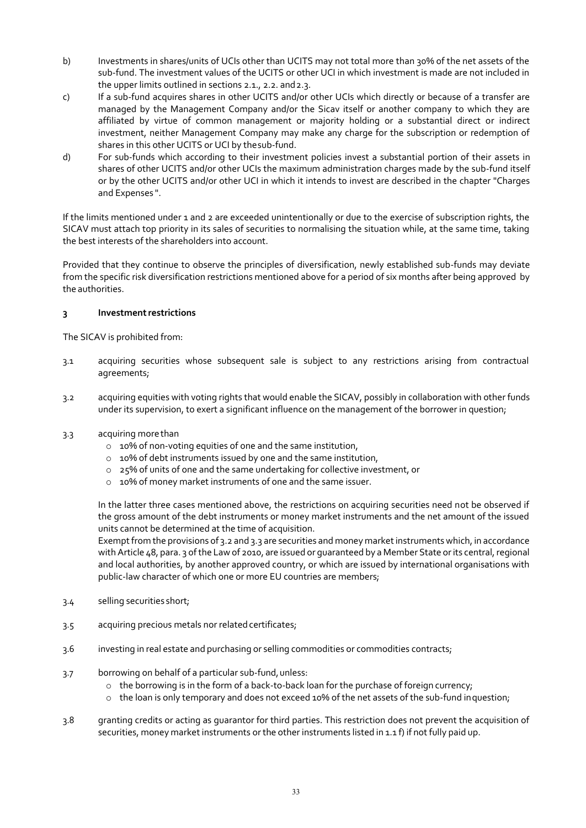- b) Investments in shares/units of UCIs other than UCITS may not total more than 30% of the net assets of the sub-fund. The investment values of the UCITS or other UCI in which investment is made are not included in the upper limits outlined in sections 2.1., 2.2. and 2.3.
- c) If a sub-fund acquires shares in other UCITS and/or other UCIs which directly or because of a transfer are managed by the Management Company and/or the Sicav itself or another company to which they are affiliated by virtue of common management or majority holding or a substantial direct or indirect investment, neither Management Company may make any charge for the subscription or redemption of shares in this other UCITS or UCI by thesub-fund.
- d) For sub-funds which according to their investment policies invest a substantial portion of their assets in shares of other UCITS and/or other UCIs the maximum administration charges made by the sub-fund itself or by the other UCITS and/or other UCI in which it intends to invest are described in the chapter "Charges and Expenses ".

If the limits mentioned under 1 and 2 are exceeded unintentionally or due to the exercise of subscription rights, the SICAV must attach top priority in its sales of securities to normalising the situation while, at the same time, taking the best interests of the shareholders into account.

Provided that they continue to observe the principles of diversification, newly established sub-funds may deviate from the specific risk diversification restrictions mentioned above for a period of six months after being approved by the authorities.

#### **3 Investmentrestrictions**

The SICAV is prohibited from:

- 3.1 acquiring securities whose subsequent sale is subject to any restrictions arising from contractual agreements;
- 3.2 acquiring equities with voting rights that would enable the SICAV, possibly in collaboration with other funds under its supervision, to exert a significant influence on the management of the borrower in question;
- 3.3 acquiring morethan
	- o 10% of non-voting equities of one and the same institution,
	- o 10% of debt instruments issued by one and the same institution,
	- o 25% of units of one and the same undertaking for collective investment, or
	- o 10% of money market instruments of one and the same issuer.

In the latter three cases mentioned above, the restrictions on acquiring securities need not be observed if the gross amount of the debt instruments or money market instruments and the net amount of the issued units cannot be determined at the time of acquisition.

Exempt from the provisions of 3.2 and 3.3 are securities and money market instruments which, in accordance with Article 48, para. 3 of the Law of 2010, are issued or guaranteed by a Member State or its central, regional and local authorities, by another approved country, or which are issued by international organisations with public-law character of which one or more EU countries are members;

- 3.4 selling securities short;
- 3.5 acquiring precious metals nor related certificates;
- 3.6 investing in real estate and purchasing or selling commodities or commodities contracts;
- 3.7 borrowing on behalf of a particular sub-fund,unless:
	- o the borrowing is in the form of a back-to-back loan for the purchase of foreign currency;
	- $\circ$  the loan is only temporary and does not exceed 10% of the net assets of the sub-fund inquestion;
- 3.8 granting credits or acting as guarantor for third parties. This restriction does not prevent the acquisition of securities, money market instruments or the other instruments listed in 1.1 f) if not fully paid up.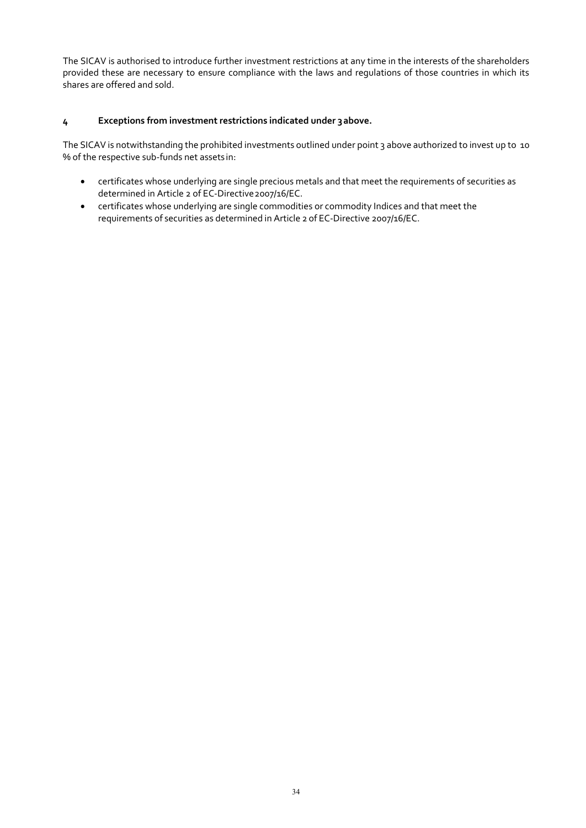The SICAV is authorised to introduce further investment restrictions at any time in the interests of the shareholders provided these are necessary to ensure compliance with the laws and regulations of those countries in which its shares are offered and sold.

#### **4 Exceptions from investment restrictions indicated under 3above.**

The SICAV is notwithstanding the prohibited investments outlined under point 3 above authorized to invest up to 10 % of the respective sub-funds net assets in:

- certificates whose underlying are single precious metals and that meet the requirements of securities as determined in Article 2 of EC-Directive 2007/16/EC.
- certificates whose underlying are single commodities or commodity Indices and that meet the requirements of securities as determined in Article 2 of EC-Directive 2007/16/EC.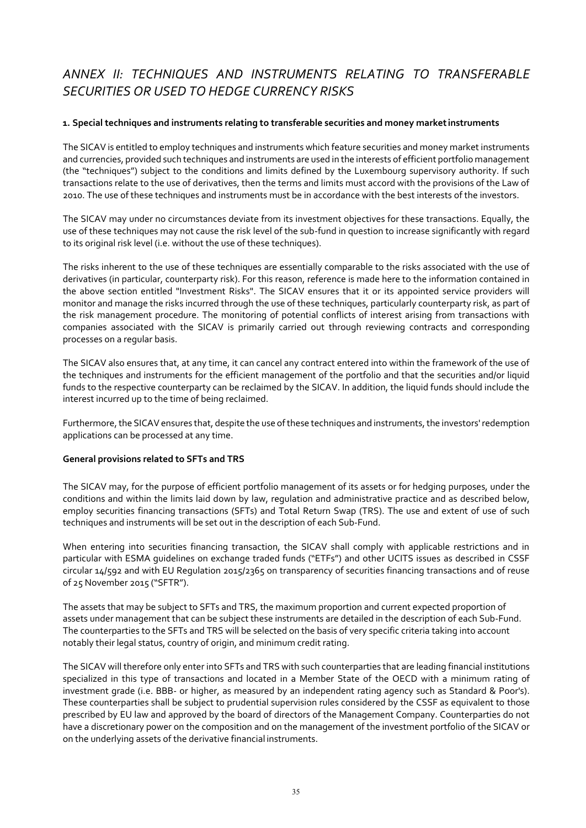# <span id="page-34-0"></span>*ANNEX II: TECHNIQUES AND INSTRUMENTS RELATING TO TRANSFERABLE SECURITIES OR USED TO HEDGE CURRENCY RISKS*

#### **1. Special techniques and instruments relating to transferable securities and money marketinstruments**

The SICAV is entitled to employ techniques and instruments which feature securities and money market instruments and currencies, provided such techniques and instruments are used in the interests of efficient portfolio management (the "techniques") subject to the conditions and limits defined by the Luxembourg supervisory authority. If such transactions relate to the use of derivatives, then the terms and limits must accord with the provisions of the Law of 2010. The use of these techniques and instruments must be in accordance with the best interests of the investors.

The SICAV may under no circumstances deviate from its investment objectives for these transactions. Equally, the use of these techniques may not cause the risk level of the sub-fund in question to increase significantly with regard to its original risk level (i.e. without the use of these techniques).

The risks inherent to the use of these techniques are essentially comparable to the risks associated with the use of derivatives (in particular, counterparty risk). For this reason, reference is made here to the information contained in the above section entitled "Investment Risks". The SICAV ensures that it or its appointed service providers will monitor and manage the risks incurred through the use of these techniques, particularly counterparty risk, as part of the risk management procedure. The monitoring of potential conflicts of interest arising from transactions with companies associated with the SICAV is primarily carried out through reviewing contracts and corresponding processes on a regular basis.

The SICAV also ensures that, at any time, it can cancel any contract entered into within the framework of the use of the techniques and instruments for the efficient management of the portfolio and that the securities and/or liquid funds to the respective counterparty can be reclaimed by the SICAV. In addition, the liquid funds should include the interest incurred up to the time of being reclaimed.

Furthermore, the SICAV ensures that, despite the use of these techniques and instruments, the investors' redemption applications can be processed at any time.

#### **General provisions related to SFTs and TRS**

The SICAV may, for the purpose of efficient portfolio management of its assets or for hedging purposes, under the conditions and within the limits laid down by law, regulation and administrative practice and as described below, employ securities financing transactions (SFTs) and Total Return Swap (TRS). The use and extent of use of such techniques and instruments will be set out in the description of each Sub-Fund.

When entering into securities financing transaction, the SICAV shall comply with applicable restrictions and in particular with ESMA guidelines on exchange traded funds ("ETFs") and other UCITS issues as described in CSSF circular 14/592 and with EU Regulation 2015/2365 on transparency of securities financing transactions and of reuse of 25 November 2015 ("SFTR").

The assets that may be subject to SFTs and TRS, the maximum proportion and current expected proportion of assets under management that can be subject these instruments are detailed in the description of each Sub-Fund. The counterparties to the SFTs and TRS will be selected on the basis of very specific criteria taking into account notably their legal status, country of origin, and minimum credit rating.

The SICAV will therefore only enter into SFTs and TRS with such counterparties that are leading financial institutions specialized in this type of transactions and located in a Member State of the OECD with a minimum rating of investment grade (i.e. BBB- or higher, as measured by an independent rating agency such as Standard & Poor's). These counterparties shall be subject to prudential supervision rules considered by the CSSF as equivalent to those prescribed by EU law and approved by the board of directors of the Management Company. Counterparties do not have a discretionary power on the composition and on the management of the investment portfolio of the SICAV or on the underlying assets of the derivative financial instruments.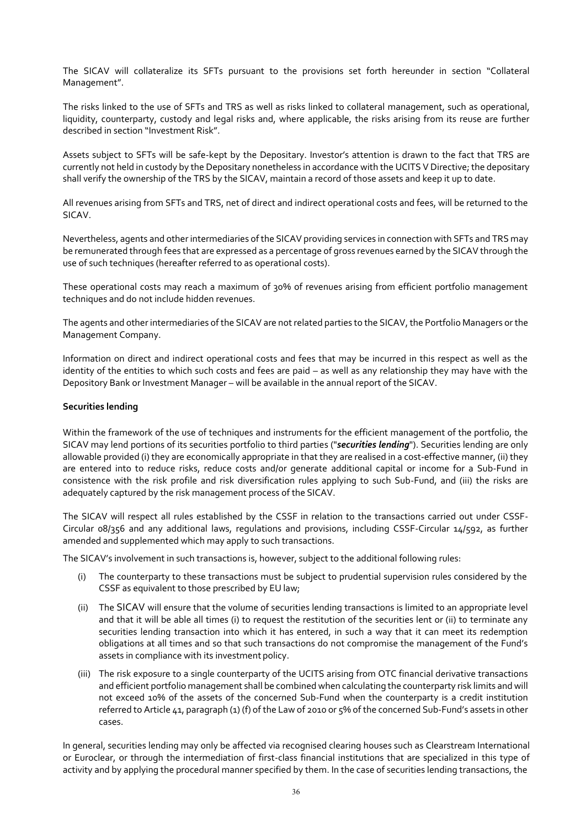The SICAV will collateralize its SFTs pursuant to the provisions set forth hereunder in section "Collateral Management".

The risks linked to the use of SFTs and TRS as well as risks linked to collateral management, such as operational, liquidity, counterparty, custody and legal risks and, where applicable, the risks arising from its reuse are further described in section "Investment Risk".

Assets subject to SFTs will be safe-kept by the Depositary. Investor's attention is drawn to the fact that TRS are currently not held in custody by the Depositary nonetheless in accordance with the UCITS V Directive; the depositary shall verify the ownership of the TRS by the SICAV, maintain a record of those assets and keep it up to date.

All revenues arising from SFTs and TRS, net of direct and indirect operational costs and fees, will be returned to the SICAV.

Nevertheless, agents and other intermediaries of the SICAV providing services in connection with SFTs and TRS may be remunerated through fees that are expressed as a percentage of gross revenues earned by the SICAV through the use of such techniques (hereafter referred to as operational costs).

These operational costs may reach a maximum of 30% of revenues arising from efficient portfolio management techniques and do not include hidden revenues.

The agents and other intermediaries of the SICAV are not related parties to the SICAV, the Portfolio Managers or the Management Company.

Information on direct and indirect operational costs and fees that may be incurred in this respect as well as the identity of the entities to which such costs and fees are paid – as well as any relationship they may have with the Depository Bank or Investment Manager – will be available in the annual report of the SICAV.

#### **Securities lending**

Within the framework of the use of techniques and instruments for the efficient management of the portfolio, the SICAV may lend portions of its securities portfolio to third parties ("*securities lending*"). Securities lending are only allowable provided (i) they are economically appropriate in that they are realised in a cost-effective manner, (ii) they are entered into to reduce risks, reduce costs and/or generate additional capital or income for a Sub-Fund in consistence with the risk profile and risk diversification rules applying to such Sub-Fund, and (iii) the risks are adequately captured by the risk management process of the SICAV.

The SICAV will respect all rules established by the CSSF in relation to the transactions carried out under CSSF-Circular 08/356 and any additional laws, regulations and provisions, including CSSF-Circular 14/592, as further amended and supplemented which may apply to such transactions.

The SICAV's involvement in such transactions is, however, subject to the additional following rules:

- (i) The counterparty to these transactions must be subject to prudential supervision rules considered by the CSSF as equivalent to those prescribed by EU law;
- (ii) The SICAV will ensure that the volume of securities lending transactions is limited to an appropriate level and that it will be able all times (i) to request the restitution of the securities lent or (ii) to terminate any securities lending transaction into which it has entered, in such a way that it can meet its redemption obligations at all times and so that such transactions do not compromise the management of the Fund's assets in compliance with its investment policy.
- (iii) The risk exposure to a single counterparty of the UCITS arising from OTC financial derivative transactions and efficient portfolio management shall be combined when calculating the counterparty risk limits and will not exceed 10% of the assets of the concerned Sub-Fund when the counterparty is a credit institution referred to Article 41, paragraph (1) (f) of the Law of 2010 or 5% of the concerned Sub-Fund's assets in other cases.

In general, securities lending may only be affected via recognised clearing houses such as Clearstream International or Euroclear, or through the intermediation of first-class financial institutions that are specialized in this type of activity and by applying the procedural manner specified by them. In the case of securities lending transactions, the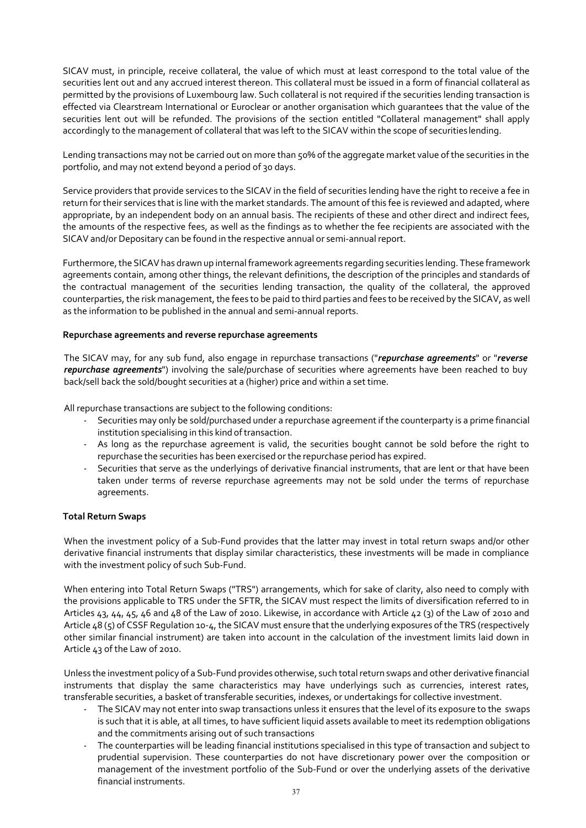SICAV must, in principle, receive collateral, the value of which must at least correspond to the total value of the securities lent out and any accrued interest thereon. This collateral must be issued in a form of financial collateral as permitted by the provisions of Luxembourg law. Such collateral is not required if the securities lending transaction is effected via Clearstream International or Euroclear or another organisation which guarantees that the value of the securities lent out will be refunded. The provisions of the section entitled "Collateral management" shall apply accordingly to the management of collateral that was left to the SICAV within the scope of securities lending.

Lending transactions may not be carried out on more than 50% of the aggregate market value of the securities in the portfolio, and may not extend beyond a period of 30 days.

Service providers that provide services to the SICAV in the field of securities lending have the right to receive a fee in return for their services that is line with the market standards. The amount of this fee is reviewed and adapted, where appropriate, by an independent body on an annual basis. The recipients of these and other direct and indirect fees, the amounts of the respective fees, as well as the findings as to whether the fee recipients are associated with the SICAV and/or Depositary can be found in the respective annual or semi-annual report.

Furthermore, the SICAV has drawn up internal framework agreements regarding securities lending. These framework agreements contain, among other things, the relevant definitions, the description of the principles and standards of the contractual management of the securities lending transaction, the quality of the collateral, the approved counterparties, the risk management, the fees to be paid to third parties and fees to be received by the SICAV, as well as the information to be published in the annual and semi-annual reports.

#### **Repurchase agreements and reverse repurchase agreements**

The SICAV may, for any sub fund, also engage in repurchase transactions ("*repurchase agreements*" or "*reverse repurchase agreements*") involving the sale/purchase of securities where agreements have been reached to buy back/sell back the sold/bought securities at a (higher) price and within a set time.

All repurchase transactions are subject to the following conditions:

- Securities may only be sold/purchased under a repurchase agreement if the counterparty is a prime financial institution specialising in this kind of transaction.
- As long as the repurchase agreement is valid, the securities bought cannot be sold before the right to repurchase the securities has been exercised or the repurchase period has expired.
- Securities that serve as the underlyings of derivative financial instruments, that are lent or that have been taken under terms of reverse repurchase agreements may not be sold under the terms of repurchase agreements.

#### **Total Return Swaps**

When the investment policy of a Sub-Fund provides that the latter may invest in total return swaps and/or other derivative financial instruments that display similar characteristics, these investments will be made in compliance with the investment policy of such Sub-Fund.

When entering into Total Return Swaps ("TRS") arrangements, which for sake of clarity, also need to comply with the provisions applicable to TRS under the SFTR, the SICAV must respect the limits of diversification referred to in Articles 43, 44, 45, 46 and 48 of the Law of 2010. Likewise, in accordance with Article 42 (3) of the Law of 2010 and Article 48 (5) of CSSF Regulation 10-4, the SICAV must ensure that the underlying exposures of the TRS (respectively other similar financial instrument) are taken into account in the calculation of the investment limits laid down in Article 43 of the Law of 2010.

Unless the investment policy of a Sub-Fund provides otherwise, such total return swaps and other derivative financial instruments that display the same characteristics may have underlyings such as currencies, interest rates, transferable securities, a basket of transferable securities, indexes, or undertakings for collective investment.

- The SICAV may not enter into swap transactions unless it ensures that the level of its exposure to the swaps is such that it is able, at all times, to have sufficient liquid assets available to meet its redemption obligations and the commitments arising out of such transactions
- The counterparties will be leading financial institutions specialised in this type of transaction and subject to prudential supervision. These counterparties do not have discretionary power over the composition or management of the investment portfolio of the Sub-Fund or over the underlying assets of the derivative financial instruments.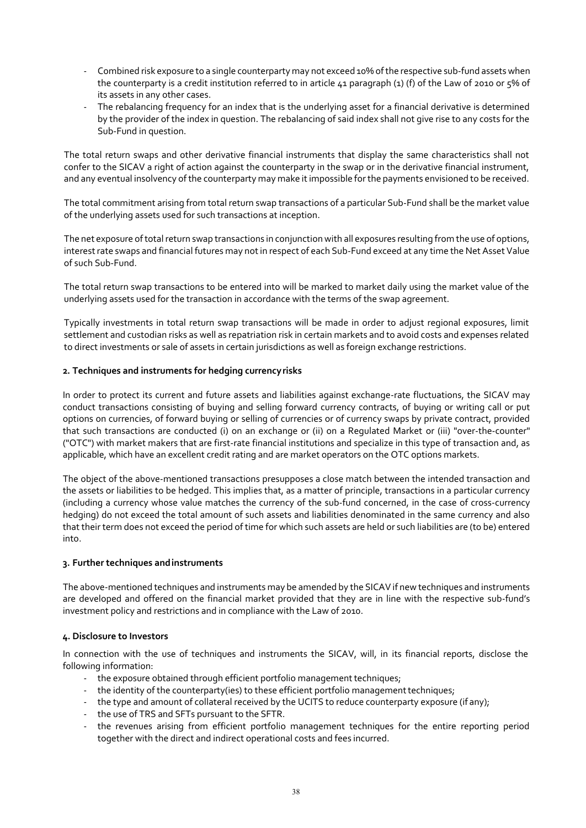- Combined risk exposure to a single counterparty may not exceed 10% of the respective sub-fund assets when the counterparty is a credit institution referred to in article 41 paragraph (1) (f) of the Law of 2010 or 5% of its assets in any other cases.
- The rebalancing frequency for an index that is the underlying asset for a financial derivative is determined by the provider of the index in question. The rebalancing of said index shall not give rise to any costs for the Sub-Fund in question.

The total return swaps and other derivative financial instruments that display the same characteristics shall not confer to the SICAV a right of action against the counterparty in the swap or in the derivative financial instrument, and any eventual insolvency of the counterparty may make it impossible for the payments envisioned to be received.

The total commitment arising from total return swap transactions of a particular Sub-Fund shall be the market value of the underlying assets used for such transactions at inception.

The net exposure of total return swap transactions in conjunction with all exposures resulting from the use of options, interest rate swaps and financial futures may not in respect of each Sub-Fund exceed at any time the Net Asset Value of such Sub-Fund.

The total return swap transactions to be entered into will be marked to market daily using the market value of the underlying assets used for the transaction in accordance with the terms of the swap agreement.

Typically investments in total return swap transactions will be made in order to adjust regional exposures, limit settlement and custodian risks as well as repatriation risk in certain markets and to avoid costs and expenses related to direct investments or sale of assets in certain jurisdictions as well as foreign exchange restrictions.

#### **2. Techniques and instruments for hedging currencyrisks**

In order to protect its current and future assets and liabilities against exchange-rate fluctuations, the SICAV may conduct transactions consisting of buying and selling forward currency contracts, of buying or writing call or put options on currencies, of forward buying or selling of currencies or of currency swaps by private contract, provided that such transactions are conducted (i) on an exchange or (ii) on a Regulated Market or (iii) "over-the-counter" ("OTC") with market makers that are first-rate financial institutions and specialize in this type of transaction and, as applicable, which have an excellent credit rating and are market operators on the OTC options markets.

The object of the above-mentioned transactions presupposes a close match between the intended transaction and the assets or liabilities to be hedged. This implies that, as a matter of principle, transactions in a particular currency (including a currency whose value matches the currency of the sub-fund concerned, in the case of cross-currency hedging) do not exceed the total amount of such assets and liabilities denominated in the same currency and also that their term does not exceed the period of time for which such assets are held or such liabilities are (to be) entered into.

#### **3. Further techniques andinstruments**

The above-mentioned techniques and instruments may be amended by the SICAV if new techniques and instruments are developed and offered on the financial market provided that they are in line with the respective sub-fund's investment policy and restrictions and in compliance with the Law of 2010.

#### **4. Disclosure to Investors**

In connection with the use of techniques and instruments the SICAV, will, in its financial reports, disclose the following information:

- the exposure obtained through efficient portfolio management techniques;
- the identity of the counterparty(ies) to these efficient portfolio managementtechniques;
- the type and amount of collateral received by the UCITS to reduce counterparty exposure (if any);
- the use of TRS and SFTs pursuant to the SFTR.
- the revenues arising from efficient portfolio management techniques for the entire reporting period together with the direct and indirect operational costs and fees incurred.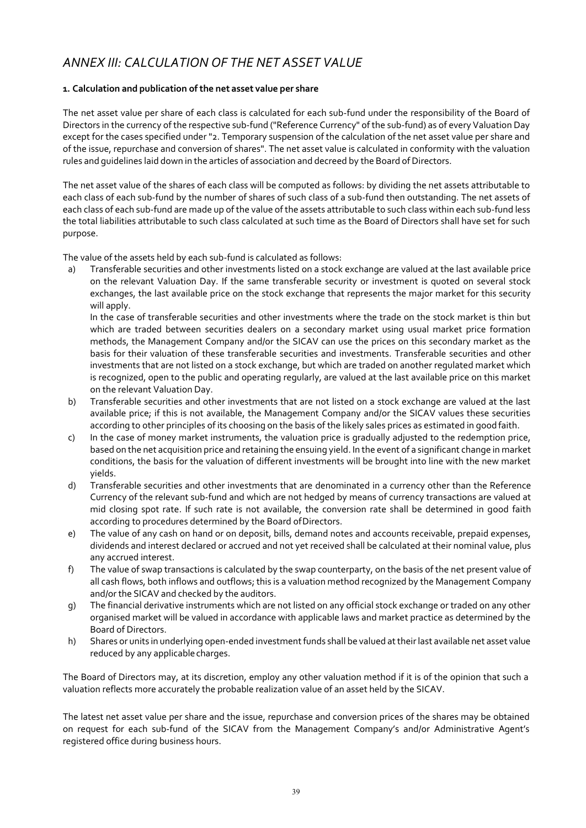# <span id="page-38-0"></span>*ANNEX III: CALCULATION OF THE NET ASSET VALUE*

#### **1. Calculation and publication ofthe net asset value per share**

The net asset value per share of each class is calculated for each sub-fund under the responsibility of the Board of Directors in the currency of the respective sub-fund ("Reference Currency" of the sub-fund) as of every Valuation Day except for the cases specified under "2. Temporary suspension of the calculation of the net asset value per share and of the issue, repurchase and conversion of shares". The net asset value is calculated in conformity with the valuation rules and quidelines laid down in the articles of association and decreed by the Board of Directors.

The net asset value of the shares of each class will be computed as follows: by dividing the net assets attributable to each class of each sub-fund by the number of shares of such class of a sub-fund then outstanding. The net assets of each class of each sub-fund are made up of the value of the assets attributable to such class within each sub-fund less the total liabilities attributable to such class calculated at such time as the Board of Directors shall have set for such purpose.

The value of the assets held by each sub-fund is calculated as follows:

a) Transferable securities and other investments listed on a stock exchange are valued at the last available price on the relevant Valuation Day. If the same transferable security or investment is quoted on several stock exchanges, the last available price on the stock exchange that represents the major market for this security will apply.

In the case of transferable securities and other investments where the trade on the stock market is thin but which are traded between securities dealers on a secondary market using usual market price formation methods, the Management Company and/or the SICAV can use the prices on this secondary market as the basis for their valuation of these transferable securities and investments. Transferable securities and other investments that are not listed on a stock exchange, but which are traded on another regulated market which is recognized, open to the public and operating regularly, are valued at the last available price on this market on the relevant Valuation Day.

- b) Transferable securities and other investments that are not listed on a stock exchange are valued at the last available price; if this is not available, the Management Company and/or the SICAV values these securities according to other principles of its choosing on the basis of the likely sales prices as estimated in good faith.
- c) In the case of money market instruments, the valuation price is gradually adjusted to the redemption price, based on the net acquisition price and retaining the ensuing yield. In the event of a significant change in market conditions, the basis for the valuation of different investments will be brought into line with the new market yields.
- d) Transferable securities and other investments that are denominated in a currency other than the Reference Currency of the relevant sub-fund and which are not hedged by means of currency transactions are valued at mid closing spot rate. If such rate is not available, the conversion rate shall be determined in good faith according to procedures determined by the Board ofDirectors.
- e) The value of any cash on hand or on deposit, bills, demand notes and accounts receivable, prepaid expenses, dividends and interest declared or accrued and not yet received shall be calculated at their nominal value, plus any accrued interest.
- f) The value of swap transactions is calculated by the swap counterparty, on the basis of the net present value of all cash flows, both inflows and outflows; this is a valuation method recognized by the Management Company and/or the SICAV and checked by the auditors.
- g) The financial derivative instruments which are not listed on any official stock exchange or traded on any other organised market will be valued in accordance with applicable laws and market practice as determined by the Board of Directors.
- h) Shares or units in underlying open-ended investment funds shall be valued at their last available net asset value reduced by any applicablecharges.

The Board of Directors may, at its discretion, employ any other valuation method if it is of the opinion that such a valuation reflects more accurately the probable realization value of an asset held by the SICAV.

The latest net asset value per share and the issue, repurchase and conversion prices of the shares may be obtained on request for each sub-fund of the SICAV from the Management Company's and/or Administrative Agent's registered office during business hours.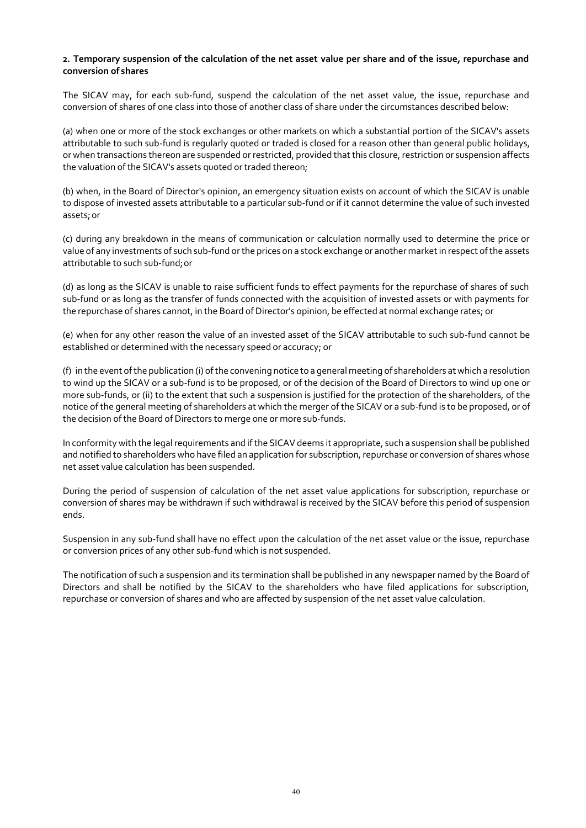#### **2. Temporary suspension of the calculation of the net asset value per share and of the issue, repurchase and conversion of shares**

The SICAV may, for each sub-fund, suspend the calculation of the net asset value, the issue, repurchase and conversion of shares of one class into those of another class of share under the circumstances described below:

(a) when one or more of the stock exchanges or other markets on which a substantial portion of the SICAV's assets attributable to such sub-fund is regularly quoted or traded is closed for a reason other than general public holidays, or when transactions thereon are suspended or restricted, provided that this closure, restriction or suspension affects the valuation of the SICAV's assets quoted or traded thereon;

(b) when, in the Board of Director's opinion, an emergency situation exists on account of which the SICAV is unable to dispose of invested assets attributable to a particular sub-fund or if it cannot determine the value of such invested assets;or

(c) during any breakdown in the means of communication or calculation normally used to determine the price or value of any investments of such sub-fund or the prices on a stock exchange or another market in respect of the assets attributable to such sub-fund;or

(d) as long as the SICAV is unable to raise sufficient funds to effect payments for the repurchase of shares of such sub-fund or as long as the transfer of funds connected with the acquisition of invested assets or with payments for the repurchase of shares cannot, in the Board of Director's opinion, be effected at normal exchange rates; or

(e) when for any other reason the value of an invested asset of the SICAV attributable to such sub-fund cannot be established or determined with the necessary speed or accuracy; or

(f) in the event of the publication (i) of the convening notice to a general meeting of shareholders at which a resolution to wind up the SICAV or a sub-fund is to be proposed, or of the decision of the Board of Directors to wind up one or more sub-funds, or (ii) to the extent that such a suspension is justified for the protection of the shareholders, of the notice of the general meeting of shareholders at which the merger of the SICAV or a sub-fund is to be proposed, or of the decision of the Board of Directors to merge one or more sub-funds.

In conformity with the legal requirements and if the SICAV deems it appropriate, such a suspension shall be published and notified to shareholders who have filed an application for subscription, repurchase or conversion of shares whose net asset value calculation has been suspended.

During the period of suspension of calculation of the net asset value applications for subscription, repurchase or conversion of shares may be withdrawn if such withdrawal is received by the SICAV before this period of suspension ends.

Suspension in any sub-fund shall have no effect upon the calculation of the net asset value or the issue, repurchase or conversion prices of any other sub-fund which is not suspended.

The notification of such a suspension and its termination shall be published in any newspaper named by the Board of Directors and shall be notified by the SICAV to the shareholders who have filed applications for subscription, repurchase or conversion of shares and who are affected by suspension of the net asset value calculation.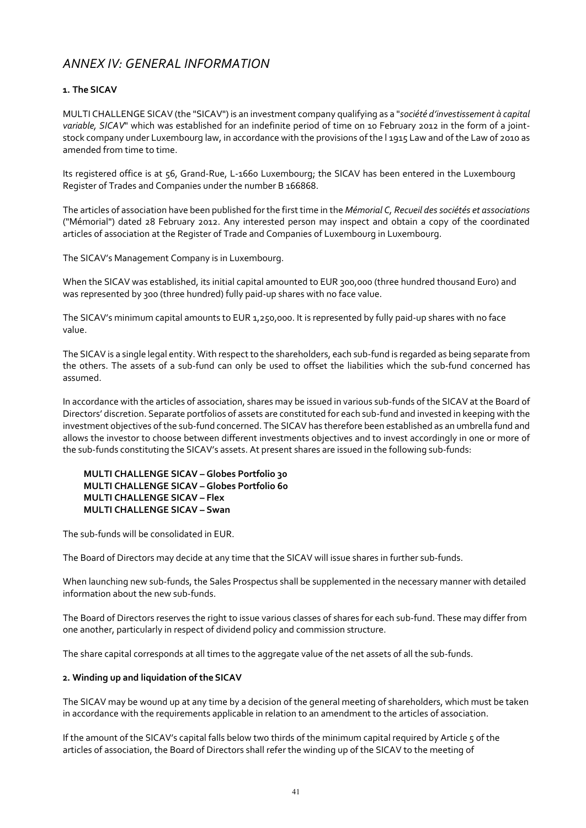### <span id="page-40-0"></span>*ANNEX IV: GENERAL INFORMATION*

#### **1. The SICAV**

MULTI CHALLENGE SICAV (the "SICAV") is an investment company qualifying as a "*société d'investissement à capital variable, SICAV*" which was established for an indefinite period of time on 10 February 2012 in the form of a jointstock company under Luxembourg law, in accordance with the provisions of the l 1915 Law and of the Law of 2010 as amended from time to time.

Its registered office is at 56, Grand-Rue, L-1660 Luxembourg; the SICAV has been entered in the Luxembourg Register of Trades and Companies under the number B 166868.

The articles of association have been published for the first time in the *Mémorial C, Recueil des sociétés et associations*  ("Mémorial") dated 28 February 2012. Any interested person may inspect and obtain a copy of the coordinated articles of association at the Register of Trade and Companies of Luxembourg in Luxembourg.

The SICAV's Management Company is in Luxembourg.

When the SICAV was established, its initial capital amounted to EUR 300,000 (three hundred thousand Euro) and was represented by 300 (three hundred) fully paid-up shares with no face value.

The SICAV's minimum capital amounts to EUR 1,250,000. It is represented by fully paid-up shares with no face value.

The SICAV is a single legal entity. With respect to the shareholders, each sub-fund is regarded as being separate from the others. The assets of a sub-fund can only be used to offset the liabilities which the sub-fund concerned has assumed.

In accordance with the articles of association, shares may be issued in various sub-funds of the SICAV at the Board of Directors' discretion. Separate portfolios of assets are constituted for each sub-fund and invested in keeping with the investment objectives of the sub-fund concerned. The SICAV has therefore been established as an umbrella fund and allows the investor to choose between different investments objectives and to invest accordingly in one or more of the sub-funds constituting the SICAV's assets. At present shares are issued in the following sub-funds:

#### **MULTI CHALLENGE SICAV – Globes Portfolio 30 MULTI CHALLENGE SICAV – Globes Portfolio 60 MULTI CHALLENGE SICAV – Flex MULTI CHALLENGE SICAV – Swan**

The sub-funds will be consolidated in EUR.

The Board of Directors may decide at any time that the SICAV will issue shares in further sub-funds.

When launching new sub-funds, the Sales Prospectus shall be supplemented in the necessary manner with detailed information about the new sub-funds.

The Board of Directors reserves the right to issue various classes of shares for each sub-fund. These may differ from one another, particularly in respect of dividend policy and commission structure.

The share capital corresponds at all times to the aggregate value of the net assets of all the sub-funds.

#### **2. Winding up and liquidation of theSICAV**

The SICAV may be wound up at any time by a decision of the general meeting of shareholders, which must be taken in accordance with the requirements applicable in relation to an amendment to the articles of association.

If the amount of the SICAV's capital falls below two thirds of the minimum capital required by Article 5 of the articles of association, the Board of Directors shall refer the winding up of the SICAV to the meeting of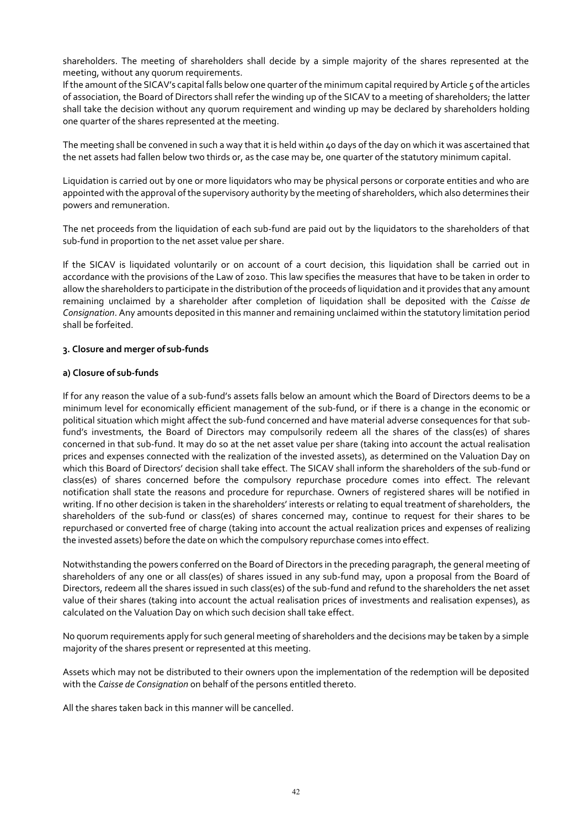shareholders. The meeting of shareholders shall decide by a simple majority of the shares represented at the meeting, without any quorum requirements.

If the amount of the SICAV's capital falls below one quarter of the minimum capital required by Article 5 of the articles of association, the Board of Directors shall refer the winding up of the SICAV to a meeting of shareholders; the latter shall take the decision without any quorum requirement and winding up may be declared by shareholders holding one quarter of the shares represented at the meeting.

The meeting shall be convened in such a way that it is held within 40 days of the day on which it was ascertained that the net assets had fallen below two thirds or, as the case may be, one quarter of the statutory minimum capital.

Liquidation is carried out by one or more liquidators who may be physical persons or corporate entities and who are appointed with the approval of the supervisory authority by the meeting of shareholders, which also determines their powers and remuneration.

The net proceeds from the liquidation of each sub-fund are paid out by the liquidators to the shareholders of that sub-fund in proportion to the net asset value per share.

If the SICAV is liquidated voluntarily or on account of a court decision, this liquidation shall be carried out in accordance with the provisions of the Law of 2010. This law specifies the measures that have to be taken in order to allow the shareholders to participate in the distribution of the proceeds of liquidation and it provides that any amount remaining unclaimed by a shareholder after completion of liquidation shall be deposited with the *Caisse de Consignation*. Any amounts deposited in this manner and remaining unclaimed within the statutory limitation period shall be forfeited.

#### **3. Closure and merger of sub-funds**

#### **a) Closure of sub-funds**

If for any reason the value of a sub-fund's assets falls below an amount which the Board of Directors deems to be a minimum level for economically efficient management of the sub-fund, or if there is a change in the economic or political situation which might affect the sub-fund concerned and have material adverse consequences for that subfund's investments, the Board of Directors may compulsorily redeem all the shares of the class(es) of shares concerned in that sub-fund. It may do so at the net asset value per share (taking into account the actual realisation prices and expenses connected with the realization of the invested assets), as determined on the Valuation Day on which this Board of Directors' decision shall take effect. The SICAV shall inform the shareholders of the sub-fund or class(es) of shares concerned before the compulsory repurchase procedure comes into effect. The relevant notification shall state the reasons and procedure for repurchase. Owners of registered shares will be notified in writing. If no other decision is taken in the shareholders' interests or relating to equal treatment of shareholders, the shareholders of the sub-fund or class(es) of shares concerned may, continue to request for their shares to be repurchased or converted free of charge (taking into account the actual realization prices and expenses of realizing the invested assets) before the date on which the compulsory repurchase comes into effect.

Notwithstanding the powers conferred on the Board of Directors in the preceding paragraph, the general meeting of shareholders of any one or all class(es) of shares issued in any sub-fund may, upon a proposal from the Board of Directors, redeem all the shares issued in such class(es) of the sub-fund and refund to the shareholders the net asset value of their shares (taking into account the actual realisation prices of investments and realisation expenses), as calculated on the Valuation Day on which such decision shall take effect.

No quorum requirements apply for such general meeting of shareholders and the decisions may be taken by a simple majority of the shares present or represented at this meeting.

Assets which may not be distributed to their owners upon the implementation of the redemption will be deposited with the *Caisse de Consignation* on behalf of the persons entitled thereto.

All the shares taken back in this manner will be cancelled.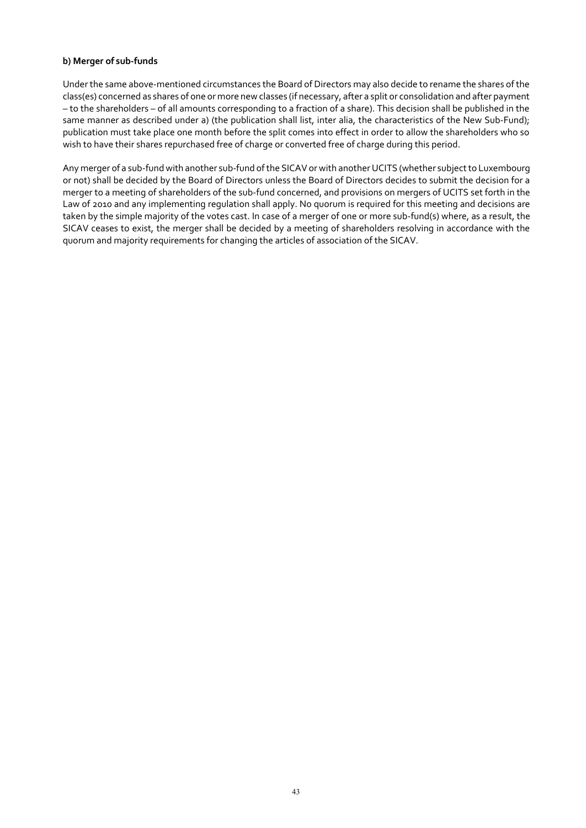#### **b) Merger of sub-funds**

Under the same above-mentioned circumstances the Board of Directors may also decide to rename the shares of the class(es) concerned as shares of one or more new classes (if necessary, after a split or consolidation and after payment – to the shareholders – of all amounts corresponding to a fraction of a share). This decision shall be published in the same manner as described under a) (the publication shall list, inter alia, the characteristics of the New Sub-Fund); publication must take place one month before the split comes into effect in order to allow the shareholders who so wish to have their shares repurchased free of charge or converted free of charge during this period.

Any merger of a sub-fund with another sub-fund of the SICAV or with another UCITS (whether subject to Luxembourg or not) shall be decided by the Board of Directors unless the Board of Directors decides to submit the decision for a merger to a meeting of shareholders of the sub-fund concerned, and provisions on mergers of UCITS set forth in the Law of 2010 and any implementing regulation shall apply. No quorum is required for this meeting and decisions are taken by the simple majority of the votes cast. In case of a merger of one or more sub-fund(s) where, as a result, the SICAV ceases to exist, the merger shall be decided by a meeting of shareholders resolving in accordance with the quorum and majority requirements for changing the articles of association of the SICAV.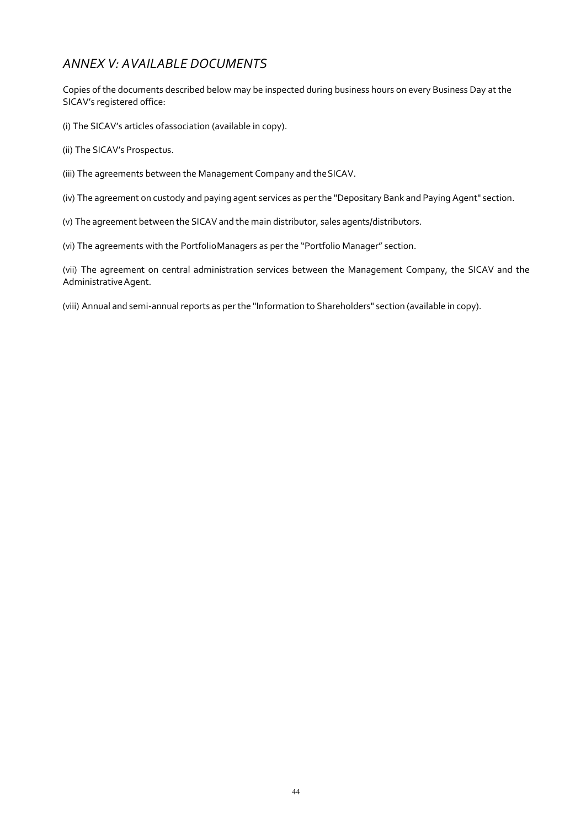# <span id="page-43-0"></span>*ANNEX V: AVAILABLE DOCUMENTS*

Copies of the documents described below may be inspected during business hours on every Business Day at the SICAV's registered office:

(i) The SICAV's articles ofassociation (available in copy).

(ii) The SICAV's Prospectus.

(iii) The agreements between the Management Company and theSICAV.

(iv) The agreement on custody and paying agent services as per the "Depositary Bank and Paying Agent" section.

(v) The agreement between the SICAV and the main distributor, sales agents/distributors.

(vi) The agreements with the PortfolioManagers as per the "Portfolio Manager" section.

(vii) The agreement on central administration services between the Management Company, the SICAV and the Administrative Agent.

(viii) Annual and semi-annual reports as per the "Information to Shareholders" section (available in copy).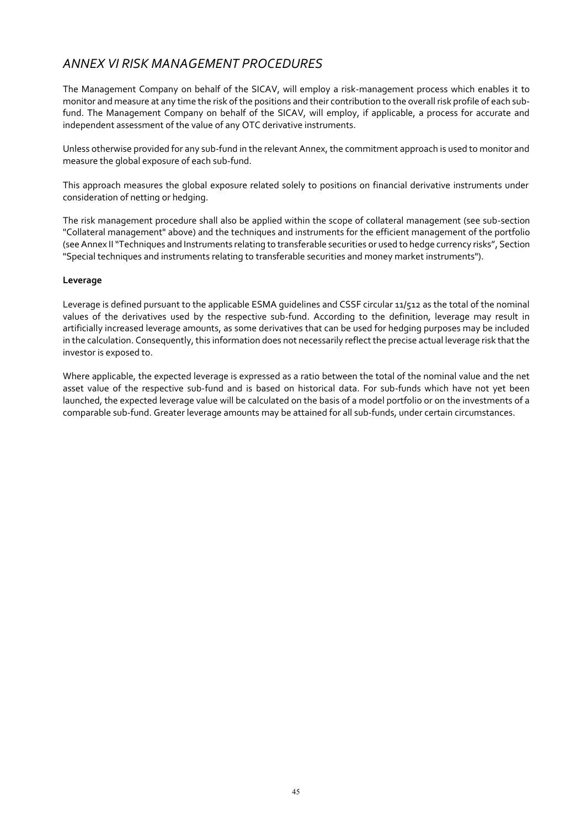# <span id="page-44-0"></span>*ANNEX VI RISK MANAGEMENT PROCEDURES*

The Management Company on behalf of the SICAV, will employ a risk-management process which enables it to monitor and measure at any time the risk of the positions and their contribution to the overall risk profile of each subfund. The Management Company on behalf of the SICAV, will employ, if applicable, a process for accurate and independent assessment of the value of any OTC derivative instruments.

Unless otherwise provided for any sub-fund in the relevant Annex, the commitment approach is used to monitor and measure the global exposure of each sub-fund.

This approach measures the global exposure related solely to positions on financial derivative instruments under consideration of netting or hedging.

The risk management procedure shall also be applied within the scope of collateral management (see sub-section "Collateral management" above) and the techniques and instruments for the efficient management of the portfolio (see Annex II "Techniques and Instruments relating to transferable securities or used to hedge currency risks", Section "Special techniques and instruments relating to transferable securities and money market instruments").

#### **Leverage**

Leverage is defined pursuant to the applicable ESMA guidelines and CSSF circular 11/512 as the total of the nominal values of the derivatives used by the respective sub-fund. According to the definition, leverage may result in artificially increased leverage amounts, as some derivatives that can be used for hedging purposes may be included in the calculation. Consequently, this information does not necessarily reflect the precise actual leverage risk that the investor is exposed to.

Where applicable, the expected leverage is expressed as a ratio between the total of the nominal value and the net asset value of the respective sub-fund and is based on historical data. For sub-funds which have not yet been launched, the expected leverage value will be calculated on the basis of a model portfolio or on the investments of a comparable sub-fund. Greater leverage amounts may be attained for all sub-funds, under certain circumstances.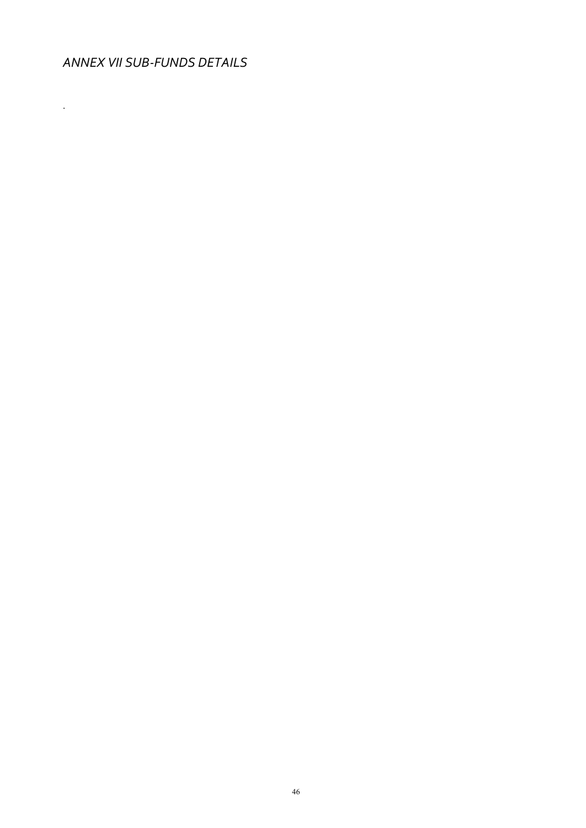<span id="page-45-0"></span>*ANNEX VII SUB-FUNDS DETAILS*

.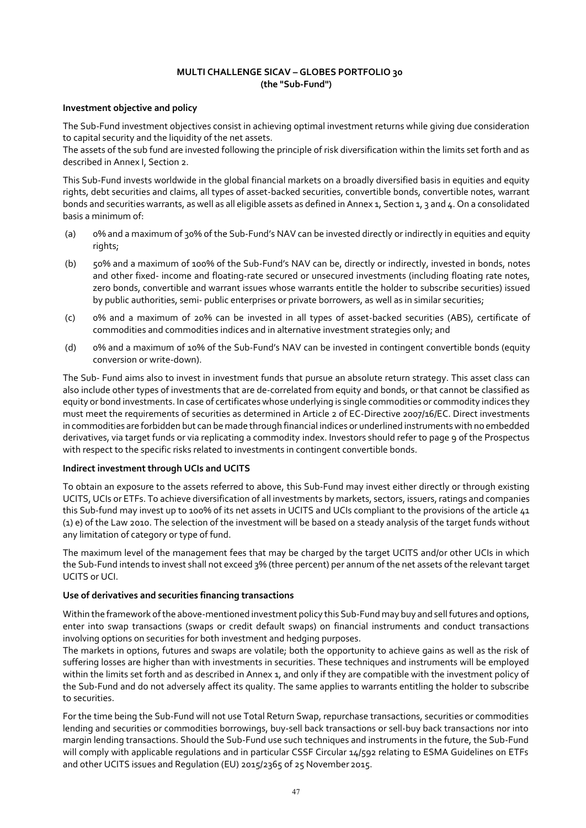#### **MULTI CHALLENGE SICAV – GLOBES PORTFOLIO 30 (the "Sub-Fund")**

#### **Investment objective and policy**

The Sub-Fund investment objectives consist in achieving optimal investment returns while giving due consideration to capital security and the liquidity of the net assets.

The assets of the sub fund are invested following the principle of risk diversification within the limits set forth and as described in Annex I, Section 2.

This Sub-Fund invests worldwide in the global financial markets on a broadly diversified basis in equities and equity rights, debt securities and claims, all types of asset-backed securities, convertible bonds, convertible notes, warrant bonds and securities warrants, as well as all eligible assets as defined in Annex 1, Section 1, 3 and 4. On a consolidated basis a minimum of:

- (a) 0% and a maximum of 30% of the Sub-Fund's NAV can be invested directly or indirectly in equities and equity rights;
- (b) 50% and a maximum of 100% of the Sub-Fund's NAV can be, directly or indirectly, invested in bonds, notes and other fixed- income and floating-rate secured or unsecured investments (including floating rate notes, zero bonds, convertible and warrant issues whose warrants entitle the holder to subscribe securities) issued by public authorities, semi- public enterprises or private borrowers, as well as in similar securities;
- (c) 0% and a maximum of 20% can be invested in all types of asset-backed securities (ABS), certificate of commodities and commodities indices and in alternative investment strategies only; and
- (d) 0% and a maximum of 10% of the Sub-Fund's NAV can be invested in contingent convertible bonds (equity conversion or write-down).

The Sub- Fund aims also to invest in investment funds that pursue an absolute return strategy. This asset class can also include other types of investments that are de-correlated from equity and bonds, or that cannot be classified as equity or bond investments. In case of certificates whose underlying is single commodities or commodity indices they must meet the requirements of securities as determined in Article 2 of EC-Directive 2007/16/EC. Direct investments in commodities are forbidden but can be made through financial indices or underlined instruments with no embedded derivatives, via target funds or via replicating a commodity index. Investors should refer to page 9 of the Prospectus with respect to the specific risks related to investments in contingent convertible bonds.

#### **Indirect investment through UCIs and UCITS**

To obtain an exposure to the assets referred to above, this Sub-Fund may invest either directly or through existing UCITS, UCIs or ETFs. To achieve diversification of all investments by markets, sectors, issuers, ratings and companies this Sub-fund may invest up to 100% of its net assets in UCITS and UCIs compliant to the provisions of the article 41 (1) e) of the Law 2010. The selection of the investment will be based on a steady analysis of the target funds without any limitation of category or type of fund.

The maximum level of the management fees that may be charged by the target UCITS and/or other UCIs in which the Sub-Fund intends to invest shall not exceed 3% (three percent) per annum of the net assets of the relevant target UCITS or UCI.

#### **Use of derivatives and securities financing transactions**

Within the framework of the above-mentioned investment policy this Sub-Fund may buy and sell futures and options, enter into swap transactions (swaps or credit default swaps) on financial instruments and conduct transactions involving options on securities for both investment and hedging purposes.

The markets in options, futures and swaps are volatile; both the opportunity to achieve gains as well as the risk of suffering losses are higher than with investments in securities. These techniques and instruments will be employed within the limits set forth and as described in Annex 1, and only if they are compatible with the investment policy of the Sub-Fund and do not adversely affect its quality. The same applies to warrants entitling the holder to subscribe to securities.

For the time being the Sub-Fund will not use Total Return Swap, repurchase transactions, securities or commodities lending and securities or commodities borrowings, buy-sell back transactions or sell-buy back transactions nor into margin lending transactions. Should the Sub-Fund use such techniques and instruments in the future, the Sub-Fund will comply with applicable regulations and in particular CSSF Circular 14/592 relating to ESMA Guidelines on ETFs and other UCITS issues and Regulation (EU) 2015/2365 of 25 November 2015.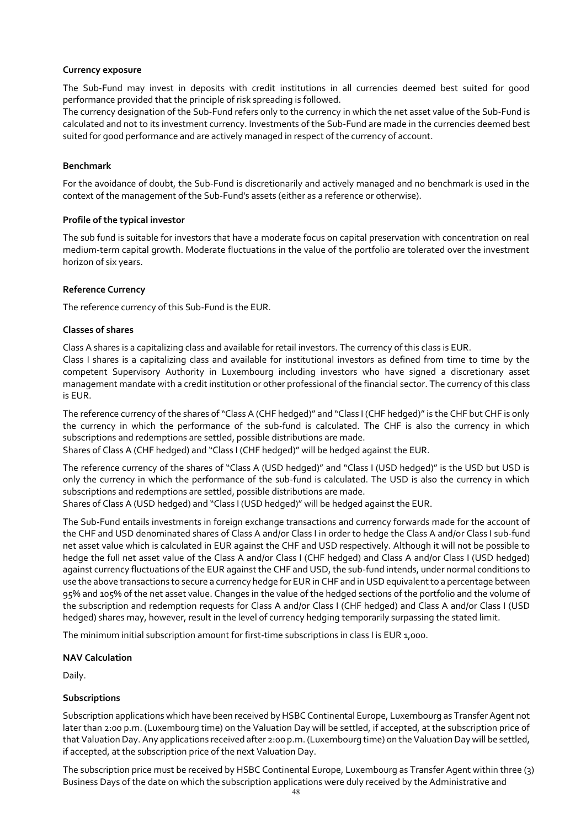#### **Currency exposure**

The Sub-Fund may invest in deposits with credit institutions in all currencies deemed best suited for good performance provided that the principle of risk spreading is followed.

The currency designation of the Sub-Fund refers only to the currency in which the net asset value of the Sub-Fund is calculated and not to its investment currency. Investments of the Sub-Fund are made in the currencies deemed best suited for good performance and are actively managed in respect of the currency of account.

#### **Benchmark**

For the avoidance of doubt, the Sub-Fund is discretionarily and actively managed and no benchmark is used in the context of the management of the Sub-Fund's assets (either as a reference or otherwise).

#### **Profile of the typical investor**

The sub fund is suitable for investors that have a moderate focus on capital preservation with concentration on real medium-term capital growth. Moderate fluctuations in the value of the portfolio are tolerated over the investment horizon of six years.

#### **Reference Currency**

The reference currency of this Sub-Fund is the EUR.

#### **Classes of shares**

Class A shares is a capitalizing class and available for retail investors. The currency of this class is EUR.

Class I shares is a capitalizing class and available for institutional investors as defined from time to time by the competent Supervisory Authority in Luxembourg including investors who have signed a discretionary asset management mandate with a credit institution or other professional of the financial sector. The currency of this class is EUR.

The reference currency of the shares of "Class A (CHF hedged)" and "Class I (CHF hedged)" is the CHF but CHF is only the currency in which the performance of the sub-fund is calculated. The CHF is also the currency in which subscriptions and redemptions are settled, possible distributions are made.

Shares of Class A (CHF hedged) and "Class I (CHF hedged)" will be hedged against the EUR.

The reference currency of the shares of "Class A (USD hedged)" and "Class I (USD hedged)" is the USD but USD is only the currency in which the performance of the sub-fund is calculated. The USD is also the currency in which subscriptions and redemptions are settled, possible distributions are made.

Shares of Class A (USD hedged) and "Class I (USD hedged)" will be hedged against the EUR.

The Sub-Fund entails investments in foreign exchange transactions and currency forwards made for the account of the CHF and USD denominated shares of Class A and/or Class I in order to hedge the Class A and/or Class I sub-fund net asset value which is calculated in EUR against the CHF and USD respectively. Although it will not be possible to hedge the full net asset value of the Class A and/or Class I (CHF hedged) and Class A and/or Class I (USD hedged) against currency fluctuations of the EUR against the CHF and USD, the sub-fund intends, under normal conditions to use the above transactions to secure a currency hedge for EUR in CHF and in USD equivalent to a percentage between 95% and 105% of the net asset value. Changes in the value of the hedged sections of the portfolio and the volume of the subscription and redemption requests for Class A and/or Class I (CHF hedged) and Class A and/or Class I (USD hedged) shares may, however, result in the level of currency hedging temporarily surpassing the stated limit.

The minimum initial subscription amount for first-time subscriptions in class I is EUR 1,000.

#### **NAV Calculation**

Daily.

#### **Subscriptions**

Subscription applications which have been received by HSBC Continental Europe, Luxembourg as Transfer Agent not later than 2:00 p.m. (Luxembourg time) on the Valuation Day will be settled, if accepted, at the subscription price of that Valuation Day. Any applications received after 2:00 p.m. (Luxembourg time) on the Valuation Day will be settled, if accepted, at the subscription price of the next Valuation Day.

The subscription price must be received by HSBC Continental Europe, Luxembourg as Transfer Agent within three (3) Business Days of the date on which the subscription applications were duly received by the Administrative and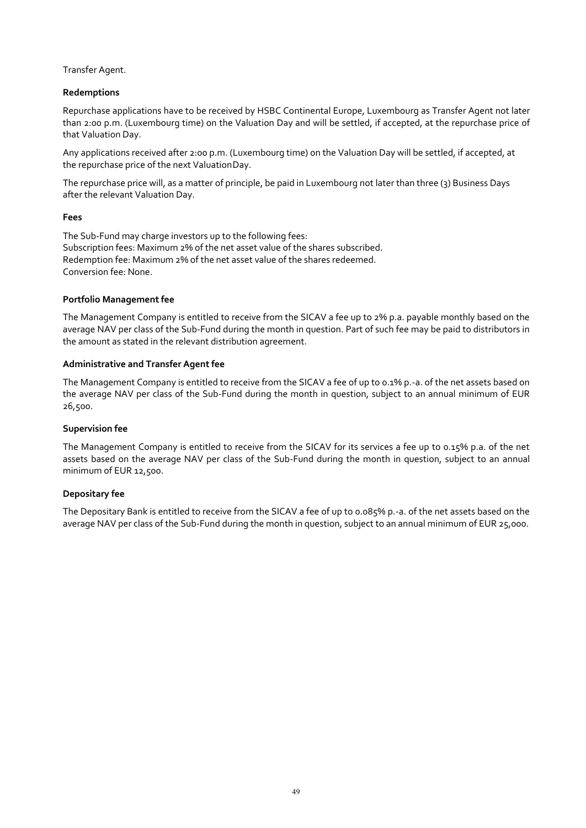Transfer Agent.

#### **Redemptions**

Repurchase applications have to be received by HSBC Continental Europe, Luxembourg as Transfer Agent not later than 2:00 p.m. (Luxembourg time) on the Valuation Day and will be settled, if accepted, at the repurchase price of that Valuation Day.

Any applications received after 2:00 p.m. (Luxembourg time) on the Valuation Day will be settled, if accepted, at the repurchase price of the next ValuationDay.

The repurchase price will, as a matter of principle, be paid in Luxembourg not later than three (3) Business Days after the relevant Valuation Day.

#### **Fees**

The Sub-Fund may charge investors up to the following fees: Subscription fees: Maximum 2% of the net asset value of the shares subscribed. Redemption fee: Maximum 2% of the net asset value of the shares redeemed. Conversion fee: None.

#### **Portfolio Management fee**

The Management Company is entitled to receive from the SICAV a fee up to 2% p.a. payable monthly based on the average NAV per class of the Sub-Fund during the month in question. Part of such fee may be paid to distributors in the amount as stated in the relevant distribution agreement.

#### **Administrative and Transfer Agent fee**

The Management Company is entitled to receive from the SICAV a fee of up to 0.1% p.-a. of the net assets based on the average NAV per class of the Sub-Fund during the month in question, subject to an annual minimum of EUR 26,500.

#### **Supervision fee**

The Management Company is entitled to receive from the SICAV for its services a fee up to 0.15% p.a. of the net assets based on the average NAV per class of the Sub-Fund during the month in question, subject to an annual minimum of EUR 12,500.

#### **Depositary fee**

The Depositary Bank is entitled to receive from the SICAV a fee of up to 0.085% p.-a. of the net assets based on the average NAV per class of the Sub-Fund during the month in question, subject to an annual minimum of EUR 25,000.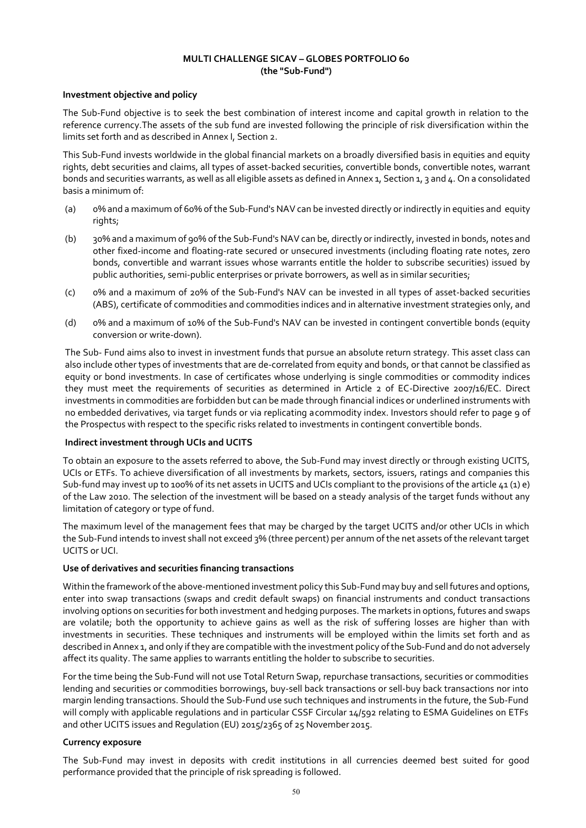#### **MULTI CHALLENGE SICAV – GLOBES PORTFOLIO 60 (the "Sub-Fund")**

#### **Investment objective and policy**

The Sub-Fund objective is to seek the best combination of interest income and capital growth in relation to the reference currency.The assets of the sub fund are invested following the principle of risk diversification within the limits set forth and as described in Annex I, Section 2.

This Sub-Fund invests worldwide in the global financial markets on a broadly diversified basis in equities and equity rights, debt securities and claims, all types of asset-backed securities, convertible bonds, convertible notes, warrant bonds and securities warrants, as well as all eligible assets as defined in Annex 1, Section 1, 3 and 4. On a consolidated basis a minimum of:

- (a) 0% and a maximum of 60% of the Sub-Fund's NAV can be invested directly or indirectly in equities and equity rights;
- (b) 30% and a maximum of 90% of the Sub-Fund's NAV can be, directly or indirectly, invested in bonds, notes and other fixed-income and floating-rate secured or unsecured investments (including floating rate notes, zero bonds, convertible and warrant issues whose warrants entitle the holder to subscribe securities) issued by public authorities, semi-public enterprises or private borrowers, as well as in similar securities;
- (c) 0% and a maximum of 20% of the Sub-Fund's NAV can be invested in all types of asset-backed securities (ABS), certificate of commodities and commodities indices and in alternative investment strategies only, and
- (d) 0% and a maximum of 10% of the Sub-Fund's NAV can be invested in contingent convertible bonds (equity conversion or write-down).

The Sub- Fund aims also to invest in investment funds that pursue an absolute return strategy. This asset class can also include other types of investments that are de-correlated from equity and bonds, or that cannot be classified as equity or bond investments. In case of certificates whose underlying is single commodities or commodity indices they must meet the requirements of securities as determined in Article 2 of EC-Directive 2007/16/EC. Direct investments in commodities are forbidden but can be made through financial indices or underlined instruments with no embedded derivatives, via target funds or via replicating acommodity index. Investors should refer to page 9 of the Prospectus with respect to the specific risks related to investments in contingent convertible bonds.

#### **Indirect investment through UCIs and UCITS**

To obtain an exposure to the assets referred to above, the Sub-Fund may invest directly or through existing UCITS, UCIs or ETFs. To achieve diversification of all investments by markets, sectors, issuers, ratings and companies this Sub-fund may invest up to 100% of its net assets in UCITS and UCIs compliant to the provisions of the article 41 (1) e) of the Law 2010. The selection of the investment will be based on a steady analysis of the target funds without any limitation of category or type of fund.

The maximum level of the management fees that may be charged by the target UCITS and/or other UCIs in which the Sub-Fund intends to invest shall not exceed 3% (three percent) per annum of the net assets of the relevant target UCITS or UCI.

#### **Use of derivatives and securities financing transactions**

Within the framework of the above-mentioned investment policy this Sub-Fund may buy and sell futures and options, enter into swap transactions (swaps and credit default swaps) on financial instruments and conduct transactions involving options on securities for both investment and hedging purposes. The markets in options, futures and swaps are volatile; both the opportunity to achieve gains as well as the risk of suffering losses are higher than with investments in securities. These techniques and instruments will be employed within the limits set forth and as described in Annex 1, and only if they are compatible with the investment policy of the Sub-Fund and do not adversely affect its quality. The same applies to warrants entitling the holder to subscribe to securities.

For the time being the Sub-Fund will not use Total Return Swap, repurchase transactions, securities or commodities lending and securities or commodities borrowings, buy-sell back transactions or sell-buy back transactions nor into margin lending transactions. Should the Sub-Fund use such techniques and instruments in the future, the Sub-Fund will comply with applicable regulations and in particular CSSF Circular 14/592 relating to ESMA Guidelines on ETFs and other UCITS issues and Regulation (EU) 2015/2365 of 25 November 2015.

#### **Currency exposure**

The Sub-Fund may invest in deposits with credit institutions in all currencies deemed best suited for good performance provided that the principle of risk spreading is followed.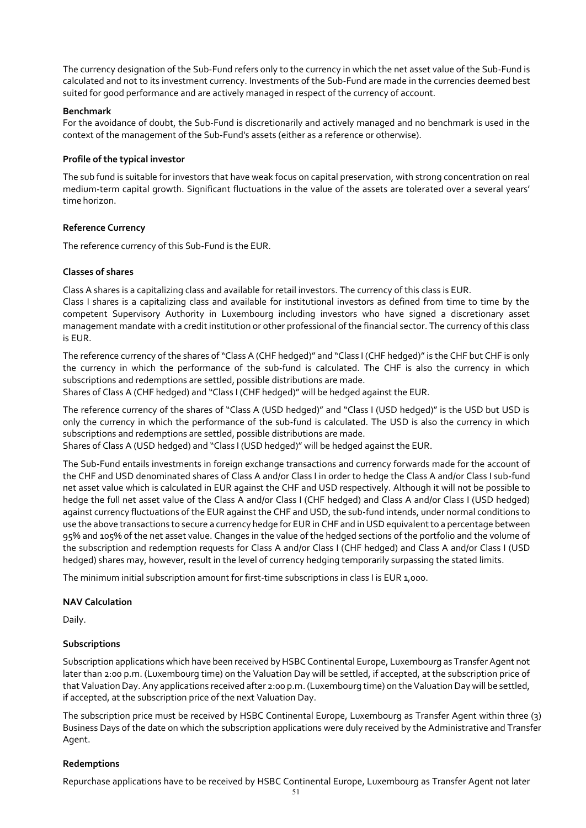The currency designation of the Sub-Fund refers only to the currency in which the net asset value of the Sub-Fund is calculated and not to its investment currency. Investments of the Sub-Fund are made in the currencies deemed best suited for good performance and are actively managed in respect of the currency of account.

#### **Benchmark**

For the avoidance of doubt, the Sub-Fund is discretionarily and actively managed and no benchmark is used in the context of the management of the Sub-Fund's assets (either as a reference or otherwise).

#### **Profile of the typical investor**

The sub fund is suitable for investors that have weak focus on capital preservation, with strong concentration on real medium-term capital growth. Significant fluctuations in the value of the assets are tolerated over a several years' time horizon.

#### **Reference Currency**

The reference currency of this Sub-Fund is the EUR.

#### **Classes of shares**

Class A shares is a capitalizing class and available for retail investors. The currency of this class is EUR.

Class I shares is a capitalizing class and available for institutional investors as defined from time to time by the competent Supervisory Authority in Luxembourg including investors who have signed a discretionary asset management mandate with a credit institution or other professional of the financial sector. The currency of this class is EUR.

The reference currency of the shares of "Class A (CHF hedged)" and "Class I (CHF hedged)" is the CHF but CHF is only the currency in which the performance of the sub-fund is calculated. The CHF is also the currency in which subscriptions and redemptions are settled, possible distributions are made.

Shares of Class A (CHF hedged) and "Class I (CHF hedged)" will be hedged against the EUR.

The reference currency of the shares of "Class A (USD hedged)" and "Class I (USD hedged)" is the USD but USD is only the currency in which the performance of the sub-fund is calculated. The USD is also the currency in which subscriptions and redemptions are settled, possible distributions are made.

Shares of Class A (USD hedged) and "Class I (USD hedged)" will be hedged against the EUR.

The Sub-Fund entails investments in foreign exchange transactions and currency forwards made for the account of the CHF and USD denominated shares of Class A and/or Class I in order to hedge the Class A and/or Class I sub-fund net asset value which is calculated in EUR against the CHF and USD respectively. Although it will not be possible to hedge the full net asset value of the Class A and/or Class I (CHF hedged) and Class A and/or Class I (USD hedged) against currency fluctuations of the EUR against the CHF and USD, the sub-fund intends, under normal conditions to use the above transactions to secure a currency hedge for EUR in CHF and in USD equivalent to a percentage between 95% and 105% of the net asset value. Changes in the value of the hedged sections of the portfolio and the volume of the subscription and redemption requests for Class A and/or Class I (CHF hedged) and Class A and/or Class I (USD hedged) shares may, however, result in the level of currency hedging temporarily surpassing the stated limits.

The minimum initial subscription amount for first-time subscriptions in class I is EUR 1,000.

#### **NAV Calculation**

Daily.

#### **Subscriptions**

Subscription applications which have been received by HSBC Continental Europe, Luxembourg as Transfer Agent not later than 2:00 p.m. (Luxembourg time) on the Valuation Day will be settled, if accepted, at the subscription price of that Valuation Day. Any applications received after 2:00 p.m. (Luxembourg time) on the Valuation Day will be settled, if accepted, at the subscription price of the next Valuation Day.

The subscription price must be received by HSBC Continental Europe, Luxembourg as Transfer Agent within three (3) Business Days of the date on which the subscription applications were duly received by the Administrative and Transfer Agent.

#### **Redemptions**

Repurchase applications have to be received by HSBC Continental Europe, Luxembourg as Transfer Agent not later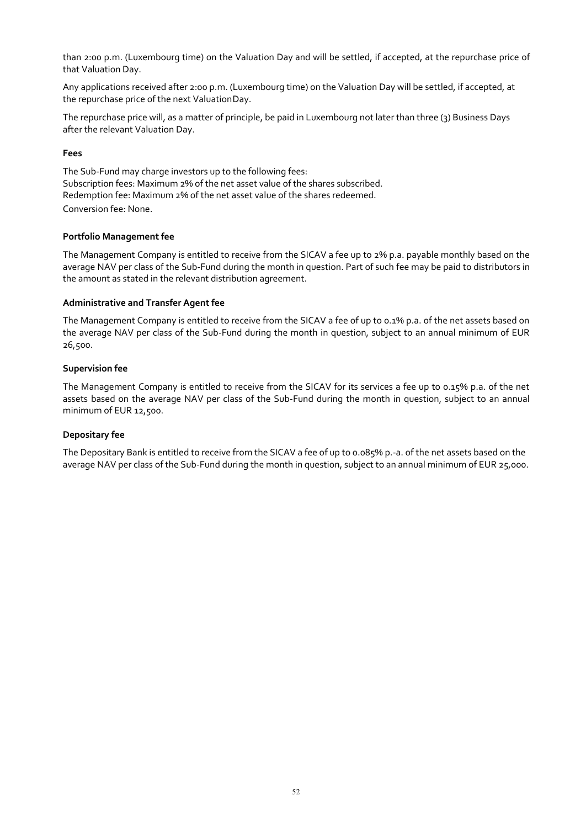than 2:00 p.m. (Luxembourg time) on the Valuation Day and will be settled, if accepted, at the repurchase price of that Valuation Day.

Any applications received after 2:00 p.m. (Luxembourg time) on the Valuation Day will be settled, if accepted, at the repurchase price of the next ValuationDay.

The repurchase price will, as a matter of principle, be paid in Luxembourg not later than three (3) Business Days after the relevant Valuation Day.

#### **Fees**

The Sub-Fund may charge investors up to the following fees: Subscription fees: Maximum 2% of the net asset value of the shares subscribed. Redemption fee: Maximum 2% of the net asset value of the shares redeemed. Conversion fee: None.

#### **Portfolio Management fee**

The Management Company is entitled to receive from the SICAV a fee up to 2% p.a. payable monthly based on the average NAV per class of the Sub-Fund during the month in question. Part of such fee may be paid to distributors in the amount as stated in the relevant distribution agreement.

#### **Administrative and Transfer Agent fee**

The Management Company is entitled to receive from the SICAV a fee of up to 0.1% p.a. of the net assets based on the average NAV per class of the Sub-Fund during the month in question, subject to an annual minimum of EUR 26,500.

#### **Supervision fee**

The Management Company is entitled to receive from the SICAV for its services a fee up to 0.15% p.a. of the net assets based on the average NAV per class of the Sub-Fund during the month in question, subject to an annual minimum of EUR 12,500.

#### **Depositary fee**

The Depositary Bank is entitled to receive from the SICAV a fee of up to 0.085% p.-a. of the net assets based on the average NAV per class of the Sub-Fund during the month in question, subject to an annual minimum of EUR 25,000.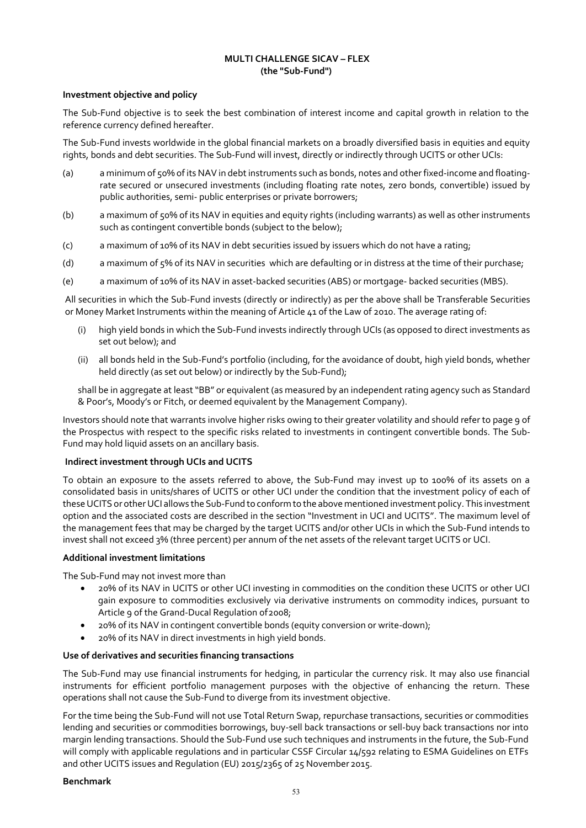#### **MULTI CHALLENGE SICAV – FLEX (the "Sub-Fund")**

#### **Investment objective and policy**

The Sub-Fund objective is to seek the best combination of interest income and capital growth in relation to the reference currency defined hereafter.

The Sub-Fund invests worldwide in the global financial markets on a broadly diversified basis in equities and equity rights, bonds and debt securities. The Sub-Fund will invest, directly or indirectly through UCITS or other UCIs:

- (a) a minimum of 50% of its NAV in debt instruments such as bonds, notes and other fixed-income and floatingrate secured or unsecured investments (including floating rate notes, zero bonds, convertible) issued by public authorities, semi- public enterprises or private borrowers;
- (b) a maximum of 50% of its NAV in equities and equity rights (including warrants) as well as other instruments such as contingent convertible bonds (subject to the below);
- (c) a maximum of 10% of its NAV in debt securities issued by issuers which do not have a rating;
- (d) a maximum of 5% of its NAV in securities which are defaulting or in distress at the time of their purchase;
- (e) a maximum of 10% of its NAV in asset-backed securities (ABS) or mortgage- backed securities (MBS).

All securities in which the Sub-Fund invests (directly or indirectly) as per the above shall be Transferable Securities or Money Market Instruments within the meaning of Article 41 of the Law of 2010. The average rating of:

- (i) high yield bonds in which the Sub-Fund invests indirectly through UCIs (as opposed to direct investments as set out below); and
- (ii) all bonds held in the Sub-Fund's portfolio (including, for the avoidance of doubt, high yield bonds, whether held directly (as set out below) or indirectly by the Sub-Fund);

shall be in aggregate at least"BB" or equivalent (as measured by an independent rating agency such as Standard & Poor's, Moody's or Fitch, or deemed equivalent by the Management Company).

Investors should note that warrants involve higher risks owing to their greater volatility and should refer to page 9 of the Prospectus with respect to the specific risks related to investments in contingent convertible bonds. The Sub-Fund may hold liquid assets on an ancillary basis.

#### **Indirect investment through UCIs and UCITS**

To obtain an exposure to the assets referred to above, the Sub-Fund may invest up to 100% of its assets on a consolidated basis in units/shares of UCITS or other UCI under the condition that the investment policy of each of these UCITS or other UCI allows the Sub-Fund to conform to the above mentioned investment policy. This investment option and the associated costs are described in the section "Investment in UCI and UCITS". The maximum level of the management fees that may be charged by the target UCITS and/or other UCIs in which the Sub-Fund intends to invest shall not exceed 3% (three percent) per annum of the net assets of the relevant target UCITS or UCI.

#### **Additional investment limitations**

The Sub-Fund may not invest more than

- 20% of its NAV in UCITS or other UCI investing in commodities on the condition these UCITS or other UCI gain exposure to commodities exclusively via derivative instruments on commodity indices, pursuant to Article 9 of the Grand-Ducal Regulation of 2008;
- 20% of its NAV in contingent convertible bonds (equity conversion or write-down);
- 20% of its NAV in direct investments in high yield bonds.

#### **Use of derivatives and securities financing transactions**

The Sub-Fund may use financial instruments for hedging, in particular the currency risk. It may also use financial instruments for efficient portfolio management purposes with the objective of enhancing the return. These operations shall not cause the Sub-Fund to diverge from its investment objective.

For the time being the Sub-Fund will not use Total Return Swap, repurchase transactions, securities or commodities lending and securities or commodities borrowings, buy-sell back transactions or sell-buy back transactions nor into margin lending transactions. Should the Sub-Fund use such techniques and instruments in the future, the Sub-Fund will comply with applicable regulations and in particular CSSF Circular 14/592 relating to ESMA Guidelines on ETFs and other UCITS issues and Regulation (EU) 2015/2365 of 25 November 2015.

#### **Benchmark**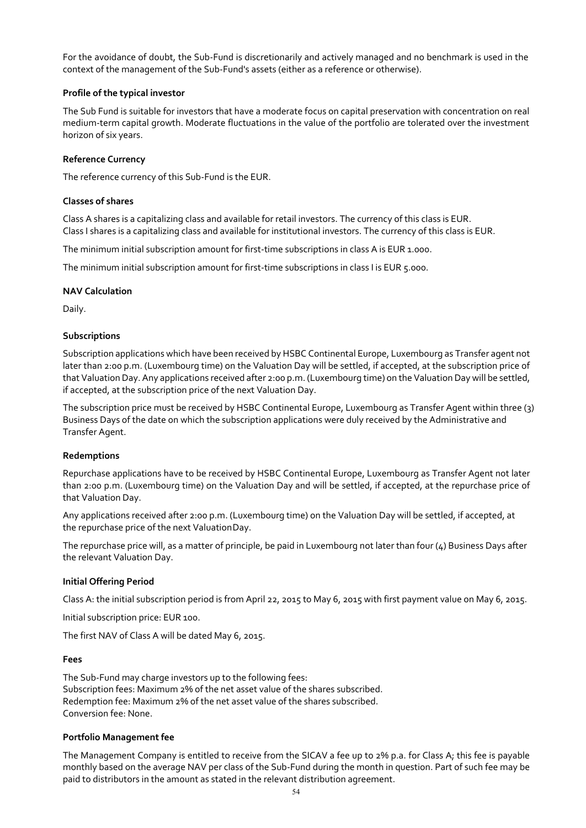For the avoidance of doubt, the Sub-Fund is discretionarily and actively managed and no benchmark is used in the context of the management of the Sub-Fund's assets (either as a reference or otherwise).

#### **Profile of the typical investor**

The Sub Fund is suitable for investors that have a moderate focus on capital preservation with concentration on real medium-term capital growth. Moderate fluctuations in the value of the portfolio are tolerated over the investment horizon of six years.

#### **Reference Currency**

The reference currency of this Sub-Fund is the EUR.

#### **Classes of shares**

Class A shares is a capitalizing class and available for retail investors. The currency of this class is EUR. Class I shares is a capitalizing class and available for institutional investors. The currency of this class is EUR.

The minimum initial subscription amount for first-time subscriptions in class A is EUR 1.000.

The minimum initial subscription amount for first-time subscriptions in class I is EUR 5.000.

#### **NAV Calculation**

Daily.

#### **Subscriptions**

Subscription applications which have been received by HSBC Continental Europe, Luxembourg as Transfer agent not later than 2:00 p.m. (Luxembourg time) on the Valuation Day will be settled, if accepted, at the subscription price of that Valuation Day. Any applications received after 2:00 p.m. (Luxembourg time) on the Valuation Day will be settled, if accepted, at the subscription price of the next Valuation Day.

The subscription price must be received by HSBC Continental Europe, Luxembourg as Transfer Agent within three (3) Business Days of the date on which the subscription applications were duly received by the Administrative and Transfer Agent.

#### **Redemptions**

Repurchase applications have to be received by HSBC Continental Europe, Luxembourg as Transfer Agent not later than 2:00 p.m. (Luxembourg time) on the Valuation Day and will be settled, if accepted, at the repurchase price of that Valuation Day.

Any applications received after 2:00 p.m. (Luxembourg time) on the Valuation Day will be settled, if accepted, at the repurchase price of the next ValuationDay.

The repurchase price will, as a matter of principle, be paid in Luxembourg not later than four (4) Business Days after the relevant Valuation Day.

#### **Initial Offering Period**

Class A: the initial subscription period is from April 22, 2015 to May 6, 2015 with first payment value on May 6, 2015.

Initial subscription price: EUR 100.

The first NAV of Class A will be dated May 6, 2015.

#### **Fees**

The Sub-Fund may charge investors up to the following fees: Subscription fees: Maximum 2% of the net asset value of the shares subscribed. Redemption fee: Maximum 2% of the net asset value of the shares subscribed. Conversion fee: None.

#### **Portfolio Management fee**

The Management Company is entitled to receive from the SICAV a fee up to 2% p.a. for Class A; this fee is payable monthly based on the average NAV per class of the Sub-Fund during the month in question. Part of such fee may be paid to distributors in the amount as stated in the relevant distribution agreement.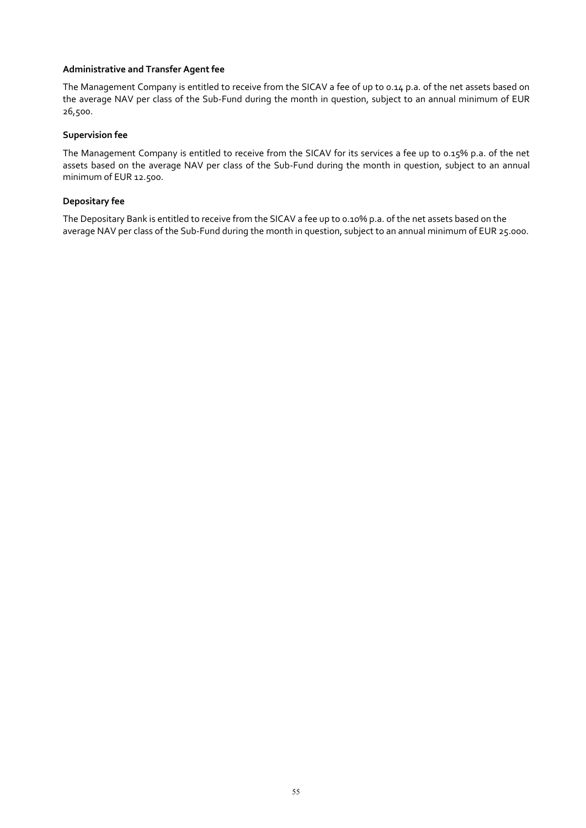#### **Administrative and Transfer Agent fee**

The Management Company is entitled to receive from the SICAV a fee of up to 0.14 p.a. of the net assets based on the average NAV per class of the Sub-Fund during the month in question, subject to an annual minimum of EUR 26,500.

#### **Supervision fee**

The Management Company is entitled to receive from the SICAV for its services a fee up to 0.15% p.a. of the net assets based on the average NAV per class of the Sub-Fund during the month in question, subject to an annual minimum of EUR 12.500.

#### **Depositary fee**

The Depositary Bank is entitled to receive from the SICAV a fee up to 0.10% p.a. of the net assets based on the average NAV per class of the Sub-Fund during the month in question, subject to an annual minimum of EUR 25.000.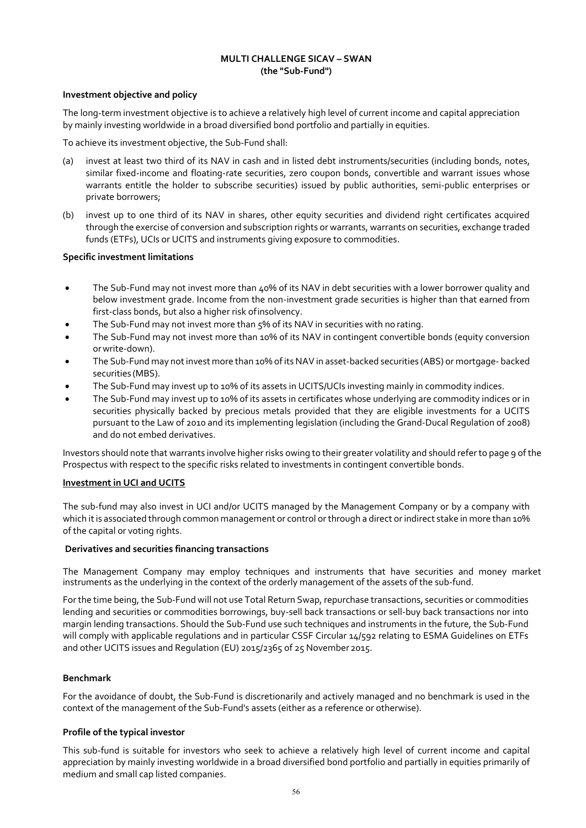#### **MULTI CHALLENGE SICAV – SWAN (the "Sub-Fund")**

#### **Investment objective and policy**

The long-term investment objective is to achieve a relatively high level of current income and capital appreciation by mainly investing worldwide in a broad diversified bond portfolio and partially in equities.

To achieve its investment objective, the Sub-Fund shall:

- (a) invest at least two third of its NAV in cash and in listed debt instruments/securities (including bonds, notes, similar fixed-income and floating-rate securities, zero coupon bonds, convertible and warrant issues whose warrants entitle the holder to subscribe securities) issued by public authorities, semi-public enterprises or private borrowers;
- (b) invest up to one third of its NAV in shares, other equity securities and dividend right certificates acquired through the exercise of conversion and subscription rights or warrants, warrants on securities, exchange traded funds (ETFs), UCIs or UCITS and instruments giving exposure to commodities.

#### **Specific investment limitations**

- The Sub-Fund may not invest more than 40% of its NAV in debt securities with a lower borrower quality and below investment grade. Income from the non-investment grade securities is higher than that earned from first-class bonds, but also a higher risk ofinsolvency.
- The Sub-Fund may not invest more than 5% of its NAV in securities with no rating.
- The Sub-Fund may not invest more than 10% of its NAV in contingent convertible bonds (equity conversion orwrite-down).
- The Sub-Fund may not invest more than 10% of its NAV in asset-backed securities (ABS) or mortgage- backed securities (MBS).
- The Sub-Fund may invest up to 10% of its assets in UCITS/UCIs investing mainly in commodity indices.
- The Sub-Fund may invest up to 10% of its assets in certificates whose underlying are commodity indices or in securities physically backed by precious metals provided that they are eligible investments for a UCITS pursuant to the Law of 2010 and its implementing legislation (including the Grand-Ducal Regulation of 2008) and do not embed derivatives.

Investors should note that warrants involve higher risks owing to their greater volatility and should refer to page 9 of the Prospectus with respect to the specific risks related to investments in contingent convertible bonds.

#### **Investment in UCI and UCITS**

The sub-fund may also invest in UCI and/or UCITS managed by the Management Company or by a company with which it is associated through common management or control or through a direct or indirect stake in more than 10% of the capital or voting rights.

#### **Derivatives and securities financing transactions**

The Management Company may employ techniques and instruments that have securities and money market instruments as the underlying in the context of the orderly management of the assets of the sub-fund.

For the time being, the Sub-Fund will not use Total Return Swap, repurchase transactions, securities or commodities lending and securities or commodities borrowings, buy-sell back transactions or sell-buy back transactions nor into margin lending transactions. Should the Sub-Fund use such techniques and instruments in the future, the Sub-Fund will comply with applicable regulations and in particular CSSF Circular 14/592 relating to ESMA Guidelines on ETFs and other UCITS issues and Regulation (EU) 2015/2365 of 25 November 2015.

#### **Benchmark**

For the avoidance of doubt, the Sub-Fund is discretionarily and actively managed and no benchmark is used in the context of the management of the Sub-Fund's assets (either as a reference or otherwise).

#### **Profile of the typical investor**

This sub-fund is suitable for investors who seek to achieve a relatively high level of current income and capital appreciation by mainly investing worldwide in a broad diversified bond portfolio and partially in equities primarily of medium and small cap listed companies.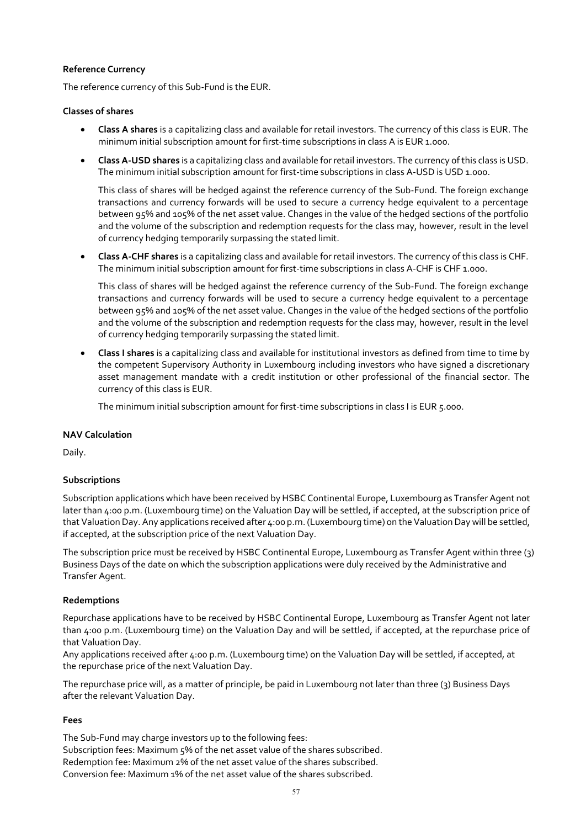#### **Reference Currency**

The reference currency of this Sub-Fund is the EUR.

#### **Classes of shares**

- **Class A shares** is a capitalizing class and available for retail investors. The currency of this class is EUR. The minimum initial subscription amount for first-time subscriptions in class A is EUR 1.000.
- **Class A-USD shares** is a capitalizing class and available for retail investors. The currency of this class is USD. The minimum initial subscription amount for first-time subscriptions in class A-USD is USD 1.000.

This class of shares will be hedged against the reference currency of the Sub-Fund. The foreign exchange transactions and currency forwards will be used to secure a currency hedge equivalent to a percentage between 95% and 105% of the net asset value. Changes in the value of the hedged sections of the portfolio and the volume of the subscription and redemption requests for the class may, however, result in the level of currency hedging temporarily surpassing the stated limit.

• **Class A-CHF shares** is a capitalizing class and available for retail investors. The currency of this class is CHF. The minimum initial subscription amount for first-time subscriptions in class A-CHF is CHF 1.000.

This class of shares will be hedged against the reference currency of the Sub-Fund. The foreign exchange transactions and currency forwards will be used to secure a currency hedge equivalent to a percentage between 95% and 105% of the net asset value. Changes in the value of the hedged sections of the portfolio and the volume of the subscription and redemption requests for the class may, however, result in the level of currency hedging temporarily surpassing the stated limit.

• **Class I shares** is a capitalizing class and available for institutional investors as defined from time to time by the competent Supervisory Authority in Luxembourg including investors who have signed a discretionary asset management mandate with a credit institution or other professional of the financial sector. The currency of this class is EUR.

The minimum initial subscription amount for first-time subscriptions in class I is EUR 5.000.

#### **NAV Calculation**

Daily.

#### **Subscriptions**

Subscription applications which have been received by HSBC Continental Europe, Luxembourg as Transfer Agent not later than 4:00 p.m. (Luxembourg time) on the Valuation Day will be settled, if accepted, at the subscription price of that Valuation Day. Any applications received after 4:00 p.m. (Luxembourg time) on the Valuation Day will be settled, if accepted, at the subscription price of the next Valuation Day.

The subscription price must be received by HSBC Continental Europe, Luxembourg as Transfer Agent within three (3) Business Days of the date on which the subscription applications were duly received by the Administrative and Transfer Agent.

#### **Redemptions**

Repurchase applications have to be received by HSBC Continental Europe, Luxembourg as Transfer Agent not later than 4:00 p.m. (Luxembourg time) on the Valuation Day and will be settled, if accepted, at the repurchase price of that Valuation Day.

Any applications received after 4:00 p.m. (Luxembourg time) on the Valuation Day will be settled, if accepted, at the repurchase price of the next Valuation Day.

The repurchase price will, as a matter of principle, be paid in Luxembourg not later than three (3) Business Days after the relevant Valuation Day.

#### **Fees**

The Sub-Fund may charge investors up to the following fees: Subscription fees: Maximum 5% of the net asset value of the shares subscribed. Redemption fee: Maximum 2% of the net asset value of the shares subscribed. Conversion fee: Maximum 1% of the net asset value of the shares subscribed.